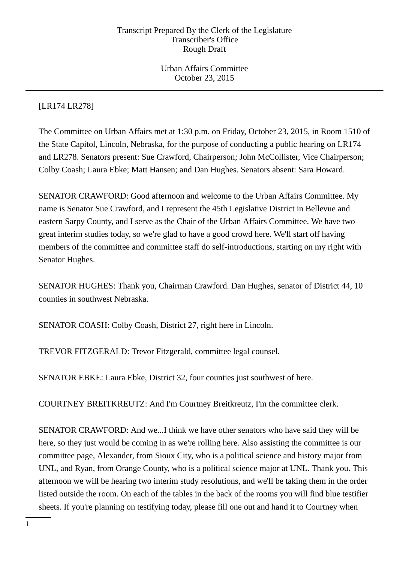Urban Affairs Committee October 23, 2015

[LR174 LR278]

The Committee on Urban Affairs met at 1:30 p.m. on Friday, October 23, 2015, in Room 1510 of the State Capitol, Lincoln, Nebraska, for the purpose of conducting a public hearing on LR174 and LR278. Senators present: Sue Crawford, Chairperson; John McCollister, Vice Chairperson; Colby Coash; Laura Ebke; Matt Hansen; and Dan Hughes. Senators absent: Sara Howard.

SENATOR CRAWFORD: Good afternoon and welcome to the Urban Affairs Committee. My name is Senator Sue Crawford, and I represent the 45th Legislative District in Bellevue and eastern Sarpy County, and I serve as the Chair of the Urban Affairs Committee. We have two great interim studies today, so we're glad to have a good crowd here. We'll start off having members of the committee and committee staff do self-introductions, starting on my right with Senator Hughes.

SENATOR HUGHES: Thank you, Chairman Crawford. Dan Hughes, senator of District 44, 10 counties in southwest Nebraska.

SENATOR COASH: Colby Coash, District 27, right here in Lincoln.

TREVOR FITZGERALD: Trevor Fitzgerald, committee legal counsel.

SENATOR EBKE: Laura Ebke, District 32, four counties just southwest of here.

COURTNEY BREITKREUTZ: And I'm Courtney Breitkreutz, I'm the committee clerk.

SENATOR CRAWFORD: And we...I think we have other senators who have said they will be here, so they just would be coming in as we're rolling here. Also assisting the committee is our committee page, Alexander, from Sioux City, who is a political science and history major from UNL, and Ryan, from Orange County, who is a political science major at UNL. Thank you. This afternoon we will be hearing two interim study resolutions, and we'll be taking them in the order listed outside the room. On each of the tables in the back of the rooms you will find blue testifier sheets. If you're planning on testifying today, please fill one out and hand it to Courtney when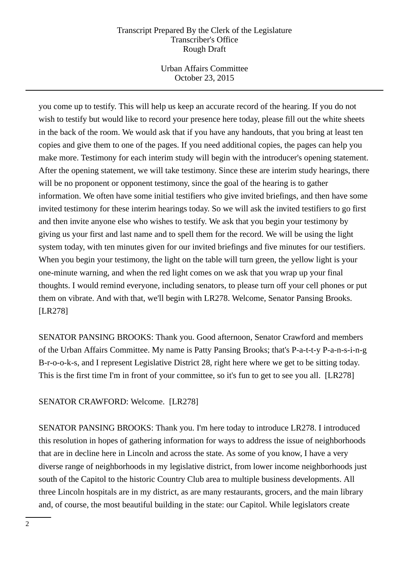Urban Affairs Committee October 23, 2015

you come up to testify. This will help us keep an accurate record of the hearing. If you do not wish to testify but would like to record your presence here today, please fill out the white sheets in the back of the room. We would ask that if you have any handouts, that you bring at least ten copies and give them to one of the pages. If you need additional copies, the pages can help you make more. Testimony for each interim study will begin with the introducer's opening statement. After the opening statement, we will take testimony. Since these are interim study hearings, there will be no proponent or opponent testimony, since the goal of the hearing is to gather information. We often have some initial testifiers who give invited briefings, and then have some invited testimony for these interim hearings today. So we will ask the invited testifiers to go first and then invite anyone else who wishes to testify. We ask that you begin your testimony by giving us your first and last name and to spell them for the record. We will be using the light system today, with ten minutes given for our invited briefings and five minutes for our testifiers. When you begin your testimony, the light on the table will turn green, the yellow light is your one-minute warning, and when the red light comes on we ask that you wrap up your final thoughts. I would remind everyone, including senators, to please turn off your cell phones or put them on vibrate. And with that, we'll begin with LR278. Welcome, Senator Pansing Brooks. [LR278]

SENATOR PANSING BROOKS: Thank you. Good afternoon, Senator Crawford and members of the Urban Affairs Committee. My name is Patty Pansing Brooks; that's P-a-t-t-y P-a-n-s-i-n-g B-r-o-o-k-s, and I represent Legislative District 28, right here where we get to be sitting today. This is the first time I'm in front of your committee, so it's fun to get to see you all. [LR278]

## SENATOR CRAWFORD: Welcome. [LR278]

SENATOR PANSING BROOKS: Thank you. I'm here today to introduce LR278. I introduced this resolution in hopes of gathering information for ways to address the issue of neighborhoods that are in decline here in Lincoln and across the state. As some of you know, I have a very diverse range of neighborhoods in my legislative district, from lower income neighborhoods just south of the Capitol to the historic Country Club area to multiple business developments. All three Lincoln hospitals are in my district, as are many restaurants, grocers, and the main library and, of course, the most beautiful building in the state: our Capitol. While legislators create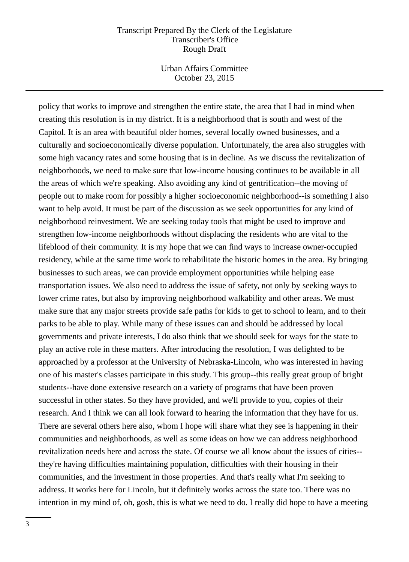Urban Affairs Committee October 23, 2015

policy that works to improve and strengthen the entire state, the area that I had in mind when creating this resolution is in my district. It is a neighborhood that is south and west of the Capitol. It is an area with beautiful older homes, several locally owned businesses, and a culturally and socioeconomically diverse population. Unfortunately, the area also struggles with some high vacancy rates and some housing that is in decline. As we discuss the revitalization of neighborhoods, we need to make sure that low-income housing continues to be available in all the areas of which we're speaking. Also avoiding any kind of gentrification--the moving of people out to make room for possibly a higher socioeconomic neighborhood--is something I also want to help avoid. It must be part of the discussion as we seek opportunities for any kind of neighborhood reinvestment. We are seeking today tools that might be used to improve and strengthen low-income neighborhoods without displacing the residents who are vital to the lifeblood of their community. It is my hope that we can find ways to increase owner-occupied residency, while at the same time work to rehabilitate the historic homes in the area. By bringing businesses to such areas, we can provide employment opportunities while helping ease transportation issues. We also need to address the issue of safety, not only by seeking ways to lower crime rates, but also by improving neighborhood walkability and other areas. We must make sure that any major streets provide safe paths for kids to get to school to learn, and to their parks to be able to play. While many of these issues can and should be addressed by local governments and private interests, I do also think that we should seek for ways for the state to play an active role in these matters. After introducing the resolution, I was delighted to be approached by a professor at the University of Nebraska-Lincoln, who was interested in having one of his master's classes participate in this study. This group--this really great group of bright students--have done extensive research on a variety of programs that have been proven successful in other states. So they have provided, and we'll provide to you, copies of their research. And I think we can all look forward to hearing the information that they have for us. There are several others here also, whom I hope will share what they see is happening in their communities and neighborhoods, as well as some ideas on how we can address neighborhood revitalization needs here and across the state. Of course we all know about the issues of cities- they're having difficulties maintaining population, difficulties with their housing in their communities, and the investment in those properties. And that's really what I'm seeking to address. It works here for Lincoln, but it definitely works across the state too. There was no intention in my mind of, oh, gosh, this is what we need to do. I really did hope to have a meeting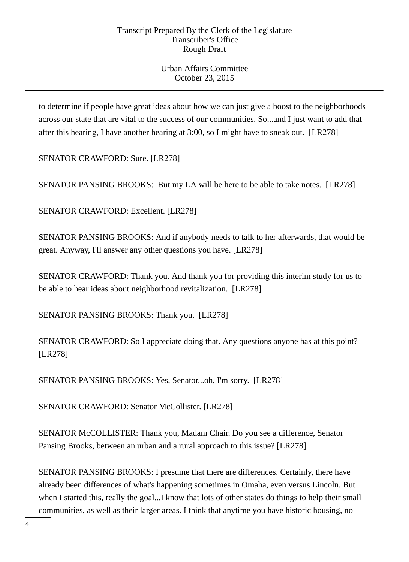Urban Affairs Committee October 23, 2015

to determine if people have great ideas about how we can just give a boost to the neighborhoods across our state that are vital to the success of our communities. So...and I just want to add that after this hearing, I have another hearing at 3:00, so I might have to sneak out. [LR278]

SENATOR CRAWFORD: Sure. [LR278]

SENATOR PANSING BROOKS: But my LA will be here to be able to take notes. [LR278]

SENATOR CRAWFORD: Excellent. [LR278]

SENATOR PANSING BROOKS: And if anybody needs to talk to her afterwards, that would be great. Anyway, I'll answer any other questions you have. [LR278]

SENATOR CRAWFORD: Thank you. And thank you for providing this interim study for us to be able to hear ideas about neighborhood revitalization. [LR278]

SENATOR PANSING BROOKS: Thank you. [LR278]

SENATOR CRAWFORD: So I appreciate doing that. Any questions anyone has at this point? [LR278]

SENATOR PANSING BROOKS: Yes, Senator...oh, I'm sorry. [LR278]

SENATOR CRAWFORD: Senator McCollister. [LR278]

SENATOR McCOLLISTER: Thank you, Madam Chair. Do you see a difference, Senator Pansing Brooks, between an urban and a rural approach to this issue? [LR278]

SENATOR PANSING BROOKS: I presume that there are differences. Certainly, there have already been differences of what's happening sometimes in Omaha, even versus Lincoln. But when I started this, really the goal...I know that lots of other states do things to help their small communities, as well as their larger areas. I think that anytime you have historic housing, no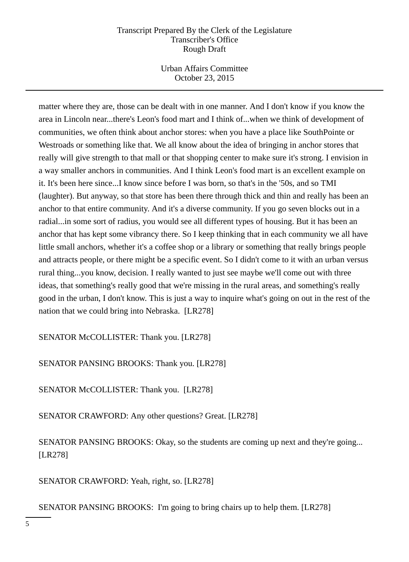Urban Affairs Committee October 23, 2015

matter where they are, those can be dealt with in one manner. And I don't know if you know the area in Lincoln near...there's Leon's food mart and I think of...when we think of development of communities, we often think about anchor stores: when you have a place like SouthPointe or Westroads or something like that. We all know about the idea of bringing in anchor stores that really will give strength to that mall or that shopping center to make sure it's strong. I envision in a way smaller anchors in communities. And I think Leon's food mart is an excellent example on it. It's been here since...I know since before I was born, so that's in the '50s, and so TMI (laughter). But anyway, so that store has been there through thick and thin and really has been an anchor to that entire community. And it's a diverse community. If you go seven blocks out in a radial...in some sort of radius, you would see all different types of housing. But it has been an anchor that has kept some vibrancy there. So I keep thinking that in each community we all have little small anchors, whether it's a coffee shop or a library or something that really brings people and attracts people, or there might be a specific event. So I didn't come to it with an urban versus rural thing...you know, decision. I really wanted to just see maybe we'll come out with three ideas, that something's really good that we're missing in the rural areas, and something's really good in the urban, I don't know. This is just a way to inquire what's going on out in the rest of the nation that we could bring into Nebraska. [LR278]

SENATOR McCOLLISTER: Thank you. [LR278]

SENATOR PANSING BROOKS: Thank you. [LR278]

SENATOR McCOLLISTER: Thank you. [LR278]

SENATOR CRAWFORD: Any other questions? Great. [LR278]

SENATOR PANSING BROOKS: Okay, so the students are coming up next and they're going... [LR278]

SENATOR CRAWFORD: Yeah, right, so. [LR278]

SENATOR PANSING BROOKS: I'm going to bring chairs up to help them. [LR278]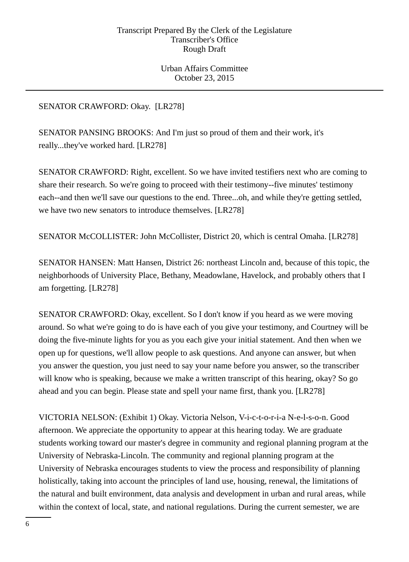Urban Affairs Committee October 23, 2015

# SENATOR CRAWFORD: Okay. [LR278]

SENATOR PANSING BROOKS: And I'm just so proud of them and their work, it's really...they've worked hard. [LR278]

SENATOR CRAWFORD: Right, excellent. So we have invited testifiers next who are coming to share their research. So we're going to proceed with their testimony--five minutes' testimony each--and then we'll save our questions to the end. Three...oh, and while they're getting settled, we have two new senators to introduce themselves. [LR278]

SENATOR McCOLLISTER: John McCollister, District 20, which is central Omaha. [LR278]

SENATOR HANSEN: Matt Hansen, District 26: northeast Lincoln and, because of this topic, the neighborhoods of University Place, Bethany, Meadowlane, Havelock, and probably others that I am forgetting. [LR278]

SENATOR CRAWFORD: Okay, excellent. So I don't know if you heard as we were moving around. So what we're going to do is have each of you give your testimony, and Courtney will be doing the five-minute lights for you as you each give your initial statement. And then when we open up for questions, we'll allow people to ask questions. And anyone can answer, but when you answer the question, you just need to say your name before you answer, so the transcriber will know who is speaking, because we make a written transcript of this hearing, okay? So go ahead and you can begin. Please state and spell your name first, thank you. [LR278]

VICTORIA NELSON: (Exhibit 1) Okay. Victoria Nelson, V-i-c-t-o-r-i-a N-e-l-s-o-n. Good afternoon. We appreciate the opportunity to appear at this hearing today. We are graduate students working toward our master's degree in community and regional planning program at the University of Nebraska-Lincoln. The community and regional planning program at the University of Nebraska encourages students to view the process and responsibility of planning holistically, taking into account the principles of land use, housing, renewal, the limitations of the natural and built environment, data analysis and development in urban and rural areas, while within the context of local, state, and national regulations. During the current semester, we are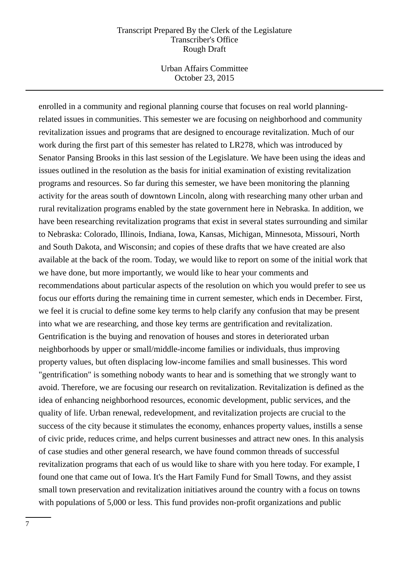Urban Affairs Committee October 23, 2015

enrolled in a community and regional planning course that focuses on real world planningrelated issues in communities. This semester we are focusing on neighborhood and community revitalization issues and programs that are designed to encourage revitalization. Much of our work during the first part of this semester has related to LR278, which was introduced by Senator Pansing Brooks in this last session of the Legislature. We have been using the ideas and issues outlined in the resolution as the basis for initial examination of existing revitalization programs and resources. So far during this semester, we have been monitoring the planning activity for the areas south of downtown Lincoln, along with researching many other urban and rural revitalization programs enabled by the state government here in Nebraska. In addition, we have been researching revitalization programs that exist in several states surrounding and similar to Nebraska: Colorado, Illinois, Indiana, Iowa, Kansas, Michigan, Minnesota, Missouri, North and South Dakota, and Wisconsin; and copies of these drafts that we have created are also available at the back of the room. Today, we would like to report on some of the initial work that we have done, but more importantly, we would like to hear your comments and recommendations about particular aspects of the resolution on which you would prefer to see us focus our efforts during the remaining time in current semester, which ends in December. First, we feel it is crucial to define some key terms to help clarify any confusion that may be present into what we are researching, and those key terms are gentrification and revitalization. Gentrification is the buying and renovation of houses and stores in deteriorated urban neighborhoods by upper or small/middle-income families or individuals, thus improving property values, but often displacing low-income families and small businesses. This word "gentrification" is something nobody wants to hear and is something that we strongly want to avoid. Therefore, we are focusing our research on revitalization. Revitalization is defined as the idea of enhancing neighborhood resources, economic development, public services, and the quality of life. Urban renewal, redevelopment, and revitalization projects are crucial to the success of the city because it stimulates the economy, enhances property values, instills a sense of civic pride, reduces crime, and helps current businesses and attract new ones. In this analysis of case studies and other general research, we have found common threads of successful revitalization programs that each of us would like to share with you here today. For example, I found one that came out of Iowa. It's the Hart Family Fund for Small Towns, and they assist small town preservation and revitalization initiatives around the country with a focus on towns with populations of 5,000 or less. This fund provides non-profit organizations and public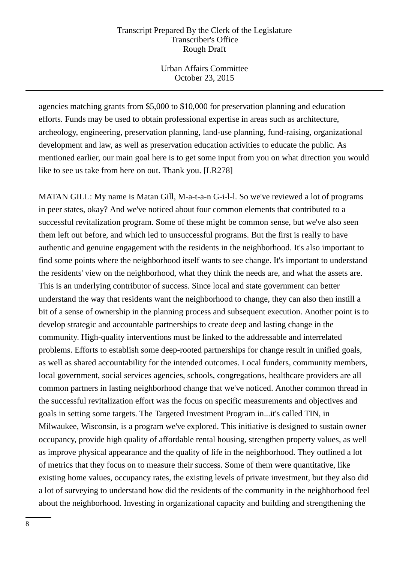Urban Affairs Committee October 23, 2015

agencies matching grants from \$5,000 to \$10,000 for preservation planning and education efforts. Funds may be used to obtain professional expertise in areas such as architecture, archeology, engineering, preservation planning, land-use planning, fund-raising, organizational development and law, as well as preservation education activities to educate the public. As mentioned earlier, our main goal here is to get some input from you on what direction you would like to see us take from here on out. Thank you. [LR278]

MATAN GILL: My name is Matan Gill, M-a-t-a-n G-i-l-l. So we've reviewed a lot of programs in peer states, okay? And we've noticed about four common elements that contributed to a successful revitalization program. Some of these might be common sense, but we've also seen them left out before, and which led to unsuccessful programs. But the first is really to have authentic and genuine engagement with the residents in the neighborhood. It's also important to find some points where the neighborhood itself wants to see change. It's important to understand the residents' view on the neighborhood, what they think the needs are, and what the assets are. This is an underlying contributor of success. Since local and state government can better understand the way that residents want the neighborhood to change, they can also then instill a bit of a sense of ownership in the planning process and subsequent execution. Another point is to develop strategic and accountable partnerships to create deep and lasting change in the community. High-quality interventions must be linked to the addressable and interrelated problems. Efforts to establish some deep-rooted partnerships for change result in unified goals, as well as shared accountability for the intended outcomes. Local funders, community members, local government, social services agencies, schools, congregations, healthcare providers are all common partners in lasting neighborhood change that we've noticed. Another common thread in the successful revitalization effort was the focus on specific measurements and objectives and goals in setting some targets. The Targeted Investment Program in...it's called TIN, in Milwaukee, Wisconsin, is a program we've explored. This initiative is designed to sustain owner occupancy, provide high quality of affordable rental housing, strengthen property values, as well as improve physical appearance and the quality of life in the neighborhood. They outlined a lot of metrics that they focus on to measure their success. Some of them were quantitative, like existing home values, occupancy rates, the existing levels of private investment, but they also did a lot of surveying to understand how did the residents of the community in the neighborhood feel about the neighborhood. Investing in organizational capacity and building and strengthening the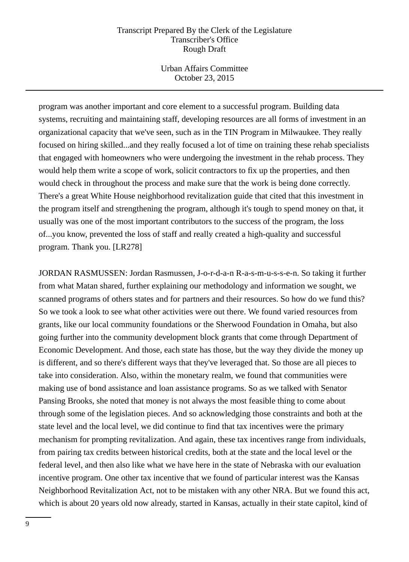Urban Affairs Committee October 23, 2015

program was another important and core element to a successful program. Building data systems, recruiting and maintaining staff, developing resources are all forms of investment in an organizational capacity that we've seen, such as in the TIN Program in Milwaukee. They really focused on hiring skilled...and they really focused a lot of time on training these rehab specialists that engaged with homeowners who were undergoing the investment in the rehab process. They would help them write a scope of work, solicit contractors to fix up the properties, and then would check in throughout the process and make sure that the work is being done correctly. There's a great White House neighborhood revitalization guide that cited that this investment in the program itself and strengthening the program, although it's tough to spend money on that, it usually was one of the most important contributors to the success of the program, the loss of...you know, prevented the loss of staff and really created a high-quality and successful program. Thank you. [LR278]

JORDAN RASMUSSEN: Jordan Rasmussen, J-o-r-d-a-n R-a-s-m-u-s-s-e-n. So taking it further from what Matan shared, further explaining our methodology and information we sought, we scanned programs of others states and for partners and their resources. So how do we fund this? So we took a look to see what other activities were out there. We found varied resources from grants, like our local community foundations or the Sherwood Foundation in Omaha, but also going further into the community development block grants that come through Department of Economic Development. And those, each state has those, but the way they divide the money up is different, and so there's different ways that they've leveraged that. So those are all pieces to take into consideration. Also, within the monetary realm, we found that communities were making use of bond assistance and loan assistance programs. So as we talked with Senator Pansing Brooks, she noted that money is not always the most feasible thing to come about through some of the legislation pieces. And so acknowledging those constraints and both at the state level and the local level, we did continue to find that tax incentives were the primary mechanism for prompting revitalization. And again, these tax incentives range from individuals, from pairing tax credits between historical credits, both at the state and the local level or the federal level, and then also like what we have here in the state of Nebraska with our evaluation incentive program. One other tax incentive that we found of particular interest was the Kansas Neighborhood Revitalization Act, not to be mistaken with any other NRA. But we found this act, which is about 20 years old now already, started in Kansas, actually in their state capitol, kind of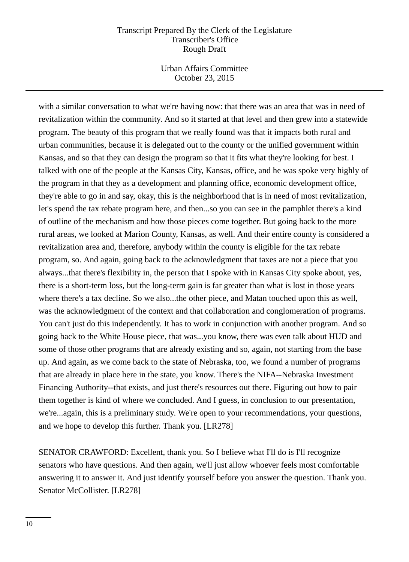Urban Affairs Committee October 23, 2015

with a similar conversation to what we're having now: that there was an area that was in need of revitalization within the community. And so it started at that level and then grew into a statewide program. The beauty of this program that we really found was that it impacts both rural and urban communities, because it is delegated out to the county or the unified government within Kansas, and so that they can design the program so that it fits what they're looking for best. I talked with one of the people at the Kansas City, Kansas, office, and he was spoke very highly of the program in that they as a development and planning office, economic development office, they're able to go in and say, okay, this is the neighborhood that is in need of most revitalization, let's spend the tax rebate program here, and then...so you can see in the pamphlet there's a kind of outline of the mechanism and how those pieces come together. But going back to the more rural areas, we looked at Marion County, Kansas, as well. And their entire county is considered a revitalization area and, therefore, anybody within the county is eligible for the tax rebate program, so. And again, going back to the acknowledgment that taxes are not a piece that you always...that there's flexibility in, the person that I spoke with in Kansas City spoke about, yes, there is a short-term loss, but the long-term gain is far greater than what is lost in those years where there's a tax decline. So we also...the other piece, and Matan touched upon this as well, was the acknowledgment of the context and that collaboration and conglomeration of programs. You can't just do this independently. It has to work in conjunction with another program. And so going back to the White House piece, that was...you know, there was even talk about HUD and some of those other programs that are already existing and so, again, not starting from the base up. And again, as we come back to the state of Nebraska, too, we found a number of programs that are already in place here in the state, you know. There's the NIFA--Nebraska Investment Financing Authority--that exists, and just there's resources out there. Figuring out how to pair them together is kind of where we concluded. And I guess, in conclusion to our presentation, we're...again, this is a preliminary study. We're open to your recommendations, your questions, and we hope to develop this further. Thank you. [LR278]

SENATOR CRAWFORD: Excellent, thank you. So I believe what I'll do is I'll recognize senators who have questions. And then again, we'll just allow whoever feels most comfortable answering it to answer it. And just identify yourself before you answer the question. Thank you. Senator McCollister. [LR278]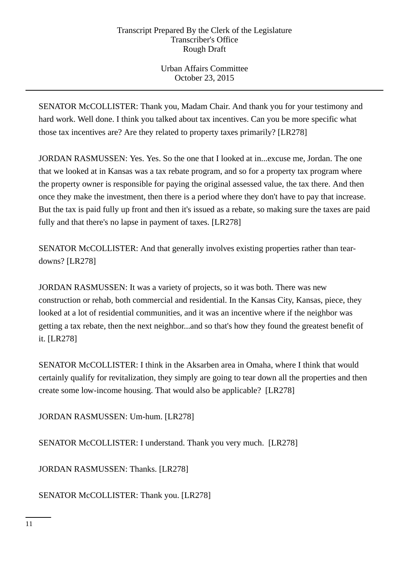Urban Affairs Committee October 23, 2015

SENATOR McCOLLISTER: Thank you, Madam Chair. And thank you for your testimony and hard work. Well done. I think you talked about tax incentives. Can you be more specific what those tax incentives are? Are they related to property taxes primarily? [LR278]

JORDAN RASMUSSEN: Yes. Yes. So the one that I looked at in...excuse me, Jordan. The one that we looked at in Kansas was a tax rebate program, and so for a property tax program where the property owner is responsible for paying the original assessed value, the tax there. And then once they make the investment, then there is a period where they don't have to pay that increase. But the tax is paid fully up front and then it's issued as a rebate, so making sure the taxes are paid fully and that there's no lapse in payment of taxes. [LR278]

SENATOR McCOLLISTER: And that generally involves existing properties rather than teardowns? [LR278]

JORDAN RASMUSSEN: It was a variety of projects, so it was both. There was new construction or rehab, both commercial and residential. In the Kansas City, Kansas, piece, they looked at a lot of residential communities, and it was an incentive where if the neighbor was getting a tax rebate, then the next neighbor...and so that's how they found the greatest benefit of it. [LR278]

SENATOR McCOLLISTER: I think in the Aksarben area in Omaha, where I think that would certainly qualify for revitalization, they simply are going to tear down all the properties and then create some low-income housing. That would also be applicable? [LR278]

JORDAN RASMUSSEN: Um-hum. [LR278]

SENATOR McCOLLISTER: I understand. Thank you very much. [LR278]

JORDAN RASMUSSEN: Thanks. [LR278]

SENATOR McCOLLISTER: Thank you. [LR278]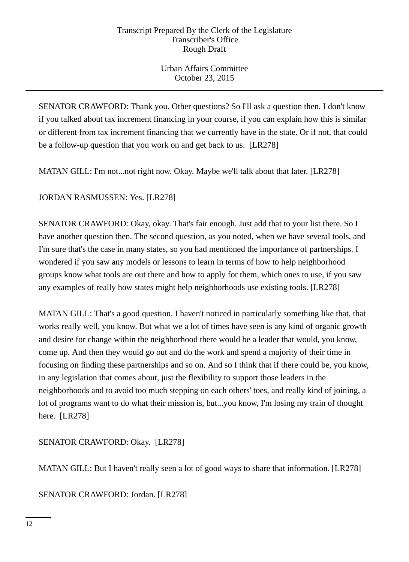Urban Affairs Committee October 23, 2015

SENATOR CRAWFORD: Thank you. Other questions? So I'll ask a question then. I don't know if you talked about tax increment financing in your course, if you can explain how this is similar or different from tax increment financing that we currently have in the state. Or if not, that could be a follow-up question that you work on and get back to us. [LR278]

MATAN GILL: I'm not...not right now. Okay. Maybe we'll talk about that later. [LR278]

JORDAN RASMUSSEN: Yes. [LR278]

SENATOR CRAWFORD: Okay, okay. That's fair enough. Just add that to your list there. So I have another question then. The second question, as you noted, when we have several tools, and I'm sure that's the case in many states, so you had mentioned the importance of partnerships. I wondered if you saw any models or lessons to learn in terms of how to help neighborhood groups know what tools are out there and how to apply for them, which ones to use, if you saw any examples of really how states might help neighborhoods use existing tools. [LR278]

MATAN GILL: That's a good question. I haven't noticed in particularly something like that, that works really well, you know. But what we a lot of times have seen is any kind of organic growth and desire for change within the neighborhood there would be a leader that would, you know, come up. And then they would go out and do the work and spend a majority of their time in focusing on finding these partnerships and so on. And so I think that if there could be, you know, in any legislation that comes about, just the flexibility to support those leaders in the neighborhoods and to avoid too much stepping on each others' toes, and really kind of joining, a lot of programs want to do what their mission is, but...you know, I'm losing my train of thought here. [LR278]

SENATOR CRAWFORD: Okay. [LR278]

MATAN GILL: But I haven't really seen a lot of good ways to share that information. [LR278]

SENATOR CRAWFORD: Jordan. [LR278]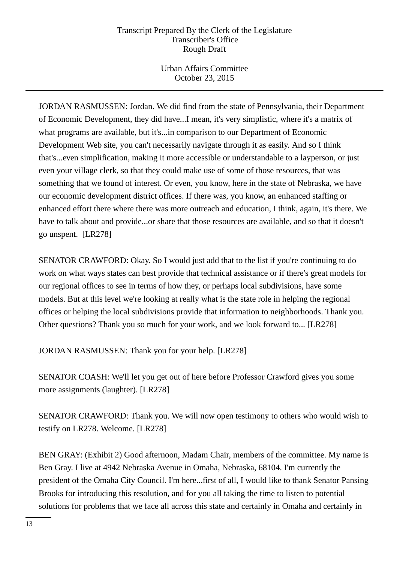Urban Affairs Committee October 23, 2015

JORDAN RASMUSSEN: Jordan. We did find from the state of Pennsylvania, their Department of Economic Development, they did have...I mean, it's very simplistic, where it's a matrix of what programs are available, but it's...in comparison to our Department of Economic Development Web site, you can't necessarily navigate through it as easily. And so I think that's...even simplification, making it more accessible or understandable to a layperson, or just even your village clerk, so that they could make use of some of those resources, that was something that we found of interest. Or even, you know, here in the state of Nebraska, we have our economic development district offices. If there was, you know, an enhanced staffing or enhanced effort there where there was more outreach and education, I think, again, it's there. We have to talk about and provide...or share that those resources are available, and so that it doesn't go unspent. [LR278]

SENATOR CRAWFORD: Okay. So I would just add that to the list if you're continuing to do work on what ways states can best provide that technical assistance or if there's great models for our regional offices to see in terms of how they, or perhaps local subdivisions, have some models. But at this level we're looking at really what is the state role in helping the regional offices or helping the local subdivisions provide that information to neighborhoods. Thank you. Other questions? Thank you so much for your work, and we look forward to... [LR278]

JORDAN RASMUSSEN: Thank you for your help. [LR278]

SENATOR COASH: We'll let you get out of here before Professor Crawford gives you some more assignments (laughter). [LR278]

SENATOR CRAWFORD: Thank you. We will now open testimony to others who would wish to testify on LR278. Welcome. [LR278]

BEN GRAY: (Exhibit 2) Good afternoon, Madam Chair, members of the committee. My name is Ben Gray. I live at 4942 Nebraska Avenue in Omaha, Nebraska, 68104. I'm currently the president of the Omaha City Council. I'm here...first of all, I would like to thank Senator Pansing Brooks for introducing this resolution, and for you all taking the time to listen to potential solutions for problems that we face all across this state and certainly in Omaha and certainly in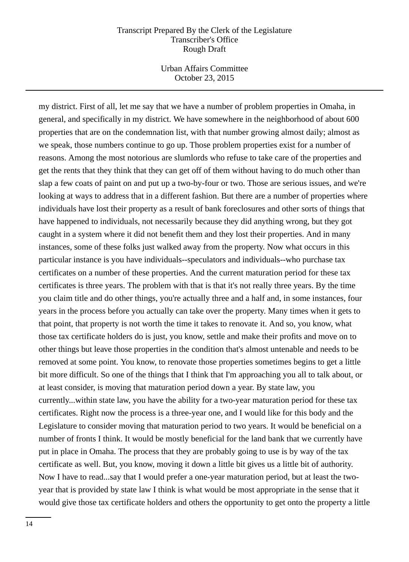Urban Affairs Committee October 23, 2015

my district. First of all, let me say that we have a number of problem properties in Omaha, in general, and specifically in my district. We have somewhere in the neighborhood of about 600 properties that are on the condemnation list, with that number growing almost daily; almost as we speak, those numbers continue to go up. Those problem properties exist for a number of reasons. Among the most notorious are slumlords who refuse to take care of the properties and get the rents that they think that they can get off of them without having to do much other than slap a few coats of paint on and put up a two-by-four or two. Those are serious issues, and we're looking at ways to address that in a different fashion. But there are a number of properties where individuals have lost their property as a result of bank foreclosures and other sorts of things that have happened to individuals, not necessarily because they did anything wrong, but they got caught in a system where it did not benefit them and they lost their properties. And in many instances, some of these folks just walked away from the property. Now what occurs in this particular instance is you have individuals--speculators and individuals--who purchase tax certificates on a number of these properties. And the current maturation period for these tax certificates is three years. The problem with that is that it's not really three years. By the time you claim title and do other things, you're actually three and a half and, in some instances, four years in the process before you actually can take over the property. Many times when it gets to that point, that property is not worth the time it takes to renovate it. And so, you know, what those tax certificate holders do is just, you know, settle and make their profits and move on to other things but leave those properties in the condition that's almost untenable and needs to be removed at some point. You know, to renovate those properties sometimes begins to get a little bit more difficult. So one of the things that I think that I'm approaching you all to talk about, or at least consider, is moving that maturation period down a year. By state law, you currently...within state law, you have the ability for a two-year maturation period for these tax certificates. Right now the process is a three-year one, and I would like for this body and the Legislature to consider moving that maturation period to two years. It would be beneficial on a number of fronts I think. It would be mostly beneficial for the land bank that we currently have put in place in Omaha. The process that they are probably going to use is by way of the tax certificate as well. But, you know, moving it down a little bit gives us a little bit of authority. Now I have to read...say that I would prefer a one-year maturation period, but at least the twoyear that is provided by state law I think is what would be most appropriate in the sense that it would give those tax certificate holders and others the opportunity to get onto the property a little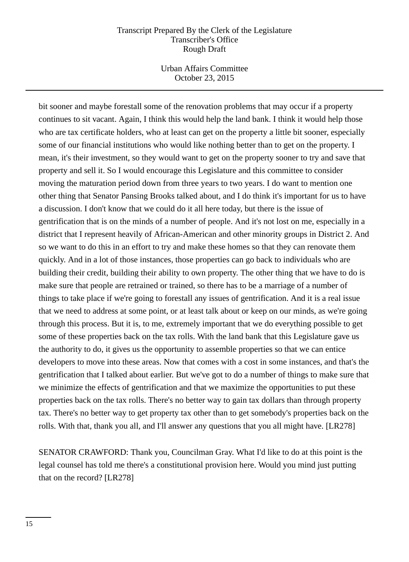Urban Affairs Committee October 23, 2015

bit sooner and maybe forestall some of the renovation problems that may occur if a property continues to sit vacant. Again, I think this would help the land bank. I think it would help those who are tax certificate holders, who at least can get on the property a little bit sooner, especially some of our financial institutions who would like nothing better than to get on the property. I mean, it's their investment, so they would want to get on the property sooner to try and save that property and sell it. So I would encourage this Legislature and this committee to consider moving the maturation period down from three years to two years. I do want to mention one other thing that Senator Pansing Brooks talked about, and I do think it's important for us to have a discussion. I don't know that we could do it all here today, but there is the issue of gentrification that is on the minds of a number of people. And it's not lost on me, especially in a district that I represent heavily of African-American and other minority groups in District 2. And so we want to do this in an effort to try and make these homes so that they can renovate them quickly. And in a lot of those instances, those properties can go back to individuals who are building their credit, building their ability to own property. The other thing that we have to do is make sure that people are retrained or trained, so there has to be a marriage of a number of things to take place if we're going to forestall any issues of gentrification. And it is a real issue that we need to address at some point, or at least talk about or keep on our minds, as we're going through this process. But it is, to me, extremely important that we do everything possible to get some of these properties back on the tax rolls. With the land bank that this Legislature gave us the authority to do, it gives us the opportunity to assemble properties so that we can entice developers to move into these areas. Now that comes with a cost in some instances, and that's the gentrification that I talked about earlier. But we've got to do a number of things to make sure that we minimize the effects of gentrification and that we maximize the opportunities to put these properties back on the tax rolls. There's no better way to gain tax dollars than through property tax. There's no better way to get property tax other than to get somebody's properties back on the rolls. With that, thank you all, and I'll answer any questions that you all might have. [LR278]

SENATOR CRAWFORD: Thank you, Councilman Gray. What I'd like to do at this point is the legal counsel has told me there's a constitutional provision here. Would you mind just putting that on the record? [LR278]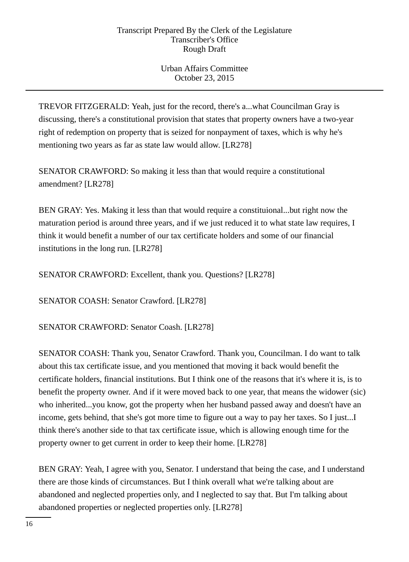Urban Affairs Committee October 23, 2015

TREVOR FITZGERALD: Yeah, just for the record, there's a...what Councilman Gray is discussing, there's a constitutional provision that states that property owners have a two-year right of redemption on property that is seized for nonpayment of taxes, which is why he's mentioning two years as far as state law would allow. [LR278]

SENATOR CRAWFORD: So making it less than that would require a constitutional amendment? [LR278]

BEN GRAY: Yes. Making it less than that would require a constituional...but right now the maturation period is around three years, and if we just reduced it to what state law requires, I think it would benefit a number of our tax certificate holders and some of our financial institutions in the long run. [LR278]

SENATOR CRAWFORD: Excellent, thank you. Questions? [LR278]

SENATOR COASH: Senator Crawford. [LR278]

SENATOR CRAWFORD: Senator Coash. [LR278]

SENATOR COASH: Thank you, Senator Crawford. Thank you, Councilman. I do want to talk about this tax certificate issue, and you mentioned that moving it back would benefit the certificate holders, financial institutions. But I think one of the reasons that it's where it is, is to benefit the property owner. And if it were moved back to one year, that means the widower (sic) who inherited...you know, got the property when her husband passed away and doesn't have an income, gets behind, that she's got more time to figure out a way to pay her taxes. So I just...I think there's another side to that tax certificate issue, which is allowing enough time for the property owner to get current in order to keep their home. [LR278]

BEN GRAY: Yeah, I agree with you, Senator. I understand that being the case, and I understand there are those kinds of circumstances. But I think overall what we're talking about are abandoned and neglected properties only, and I neglected to say that. But I'm talking about abandoned properties or neglected properties only. [LR278]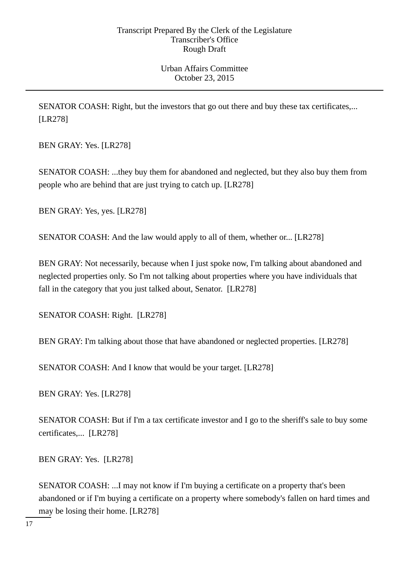Urban Affairs Committee October 23, 2015

SENATOR COASH: Right, but the investors that go out there and buy these tax certificates,... [LR278]

BEN GRAY: Yes. [LR278]

SENATOR COASH: ...they buy them for abandoned and neglected, but they also buy them from people who are behind that are just trying to catch up. [LR278]

BEN GRAY: Yes, yes. [LR278]

SENATOR COASH: And the law would apply to all of them, whether or... [LR278]

BEN GRAY: Not necessarily, because when I just spoke now, I'm talking about abandoned and neglected properties only. So I'm not talking about properties where you have individuals that fall in the category that you just talked about, Senator. [LR278]

SENATOR COASH: Right. [LR278]

BEN GRAY: I'm talking about those that have abandoned or neglected properties. [LR278]

SENATOR COASH: And I know that would be your target. [LR278]

BEN GRAY: Yes. [LR278]

SENATOR COASH: But if I'm a tax certificate investor and I go to the sheriff's sale to buy some certificates,... [LR278]

BEN GRAY: Yes. [LR278]

SENATOR COASH: ...I may not know if I'm buying a certificate on a property that's been abandoned or if I'm buying a certificate on a property where somebody's fallen on hard times and may be losing their home. [LR278]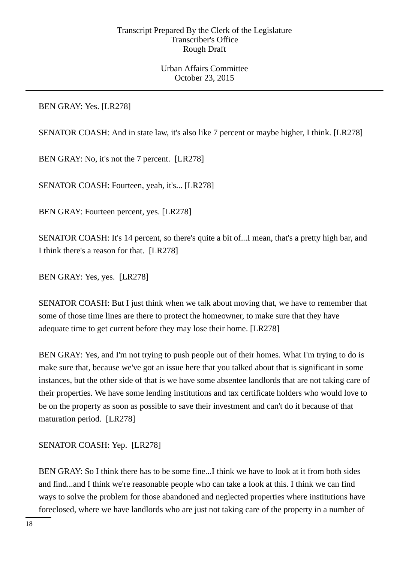Urban Affairs Committee October 23, 2015

BEN GRAY: Yes. [LR278]

SENATOR COASH: And in state law, it's also like 7 percent or maybe higher, I think. [LR278]

BEN GRAY: No, it's not the 7 percent. [LR278]

SENATOR COASH: Fourteen, yeah, it's... [LR278]

BEN GRAY: Fourteen percent, yes. [LR278]

SENATOR COASH: It's 14 percent, so there's quite a bit of...I mean, that's a pretty high bar, and I think there's a reason for that. [LR278]

BEN GRAY: Yes, yes. [LR278]

SENATOR COASH: But I just think when we talk about moving that, we have to remember that some of those time lines are there to protect the homeowner, to make sure that they have adequate time to get current before they may lose their home. [LR278]

BEN GRAY: Yes, and I'm not trying to push people out of their homes. What I'm trying to do is make sure that, because we've got an issue here that you talked about that is significant in some instances, but the other side of that is we have some absentee landlords that are not taking care of their properties. We have some lending institutions and tax certificate holders who would love to be on the property as soon as possible to save their investment and can't do it because of that maturation period. [LR278]

SENATOR COASH: Yep. [LR278]

BEN GRAY: So I think there has to be some fine...I think we have to look at it from both sides and find...and I think we're reasonable people who can take a look at this. I think we can find ways to solve the problem for those abandoned and neglected properties where institutions have foreclosed, where we have landlords who are just not taking care of the property in a number of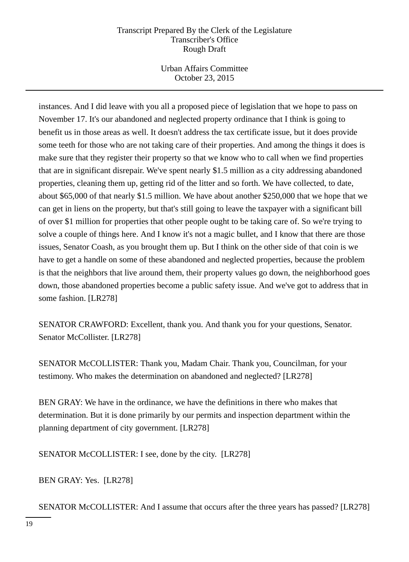Urban Affairs Committee October 23, 2015

instances. And I did leave with you all a proposed piece of legislation that we hope to pass on November 17. It's our abandoned and neglected property ordinance that I think is going to benefit us in those areas as well. It doesn't address the tax certificate issue, but it does provide some teeth for those who are not taking care of their properties. And among the things it does is make sure that they register their property so that we know who to call when we find properties that are in significant disrepair. We've spent nearly \$1.5 million as a city addressing abandoned properties, cleaning them up, getting rid of the litter and so forth. We have collected, to date, about \$65,000 of that nearly \$1.5 million. We have about another \$250,000 that we hope that we can get in liens on the property, but that's still going to leave the taxpayer with a significant bill of over \$1 million for properties that other people ought to be taking care of. So we're trying to solve a couple of things here. And I know it's not a magic bullet, and I know that there are those issues, Senator Coash, as you brought them up. But I think on the other side of that coin is we have to get a handle on some of these abandoned and neglected properties, because the problem is that the neighbors that live around them, their property values go down, the neighborhood goes down, those abandoned properties become a public safety issue. And we've got to address that in some fashion. [LR278]

SENATOR CRAWFORD: Excellent, thank you. And thank you for your questions, Senator. Senator McCollister. [LR278]

SENATOR McCOLLISTER: Thank you, Madam Chair. Thank you, Councilman, for your testimony. Who makes the determination on abandoned and neglected? [LR278]

BEN GRAY: We have in the ordinance, we have the definitions in there who makes that determination. But it is done primarily by our permits and inspection department within the planning department of city government. [LR278]

SENATOR McCOLLISTER: I see, done by the city. [LR278]

BEN GRAY: Yes. [LR278]

SENATOR McCOLLISTER: And I assume that occurs after the three years has passed? [LR278]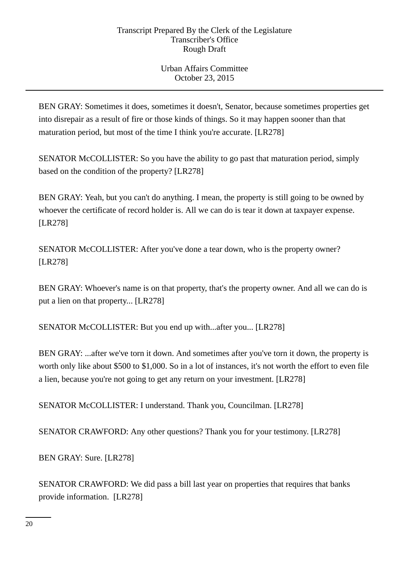Urban Affairs Committee October 23, 2015

BEN GRAY: Sometimes it does, sometimes it doesn't, Senator, because sometimes properties get into disrepair as a result of fire or those kinds of things. So it may happen sooner than that maturation period, but most of the time I think you're accurate. [LR278]

SENATOR McCOLLISTER: So you have the ability to go past that maturation period, simply based on the condition of the property? [LR278]

BEN GRAY: Yeah, but you can't do anything. I mean, the property is still going to be owned by whoever the certificate of record holder is. All we can do is tear it down at taxpayer expense. [LR278]

SENATOR McCOLLISTER: After you've done a tear down, who is the property owner? [LR278]

BEN GRAY: Whoever's name is on that property, that's the property owner. And all we can do is put a lien on that property... [LR278]

SENATOR McCOLLISTER: But you end up with...after you... [LR278]

BEN GRAY: ...after we've torn it down. And sometimes after you've torn it down, the property is worth only like about \$500 to \$1,000. So in a lot of instances, it's not worth the effort to even file a lien, because you're not going to get any return on your investment. [LR278]

SENATOR McCOLLISTER: I understand. Thank you, Councilman. [LR278]

SENATOR CRAWFORD: Any other questions? Thank you for your testimony. [LR278]

BEN GRAY: Sure. [LR278]

SENATOR CRAWFORD: We did pass a bill last year on properties that requires that banks provide information. [LR278]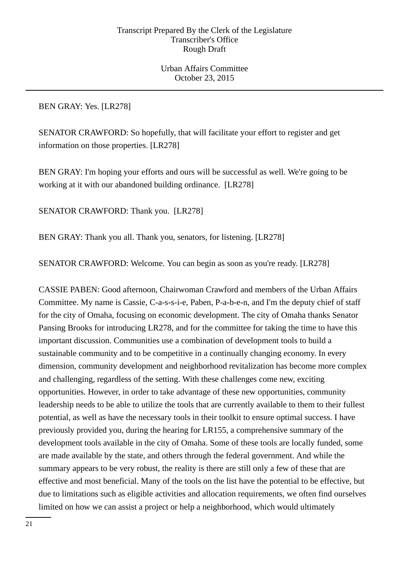Urban Affairs Committee October 23, 2015

BEN GRAY: Yes. [LR278]

SENATOR CRAWFORD: So hopefully, that will facilitate your effort to register and get information on those properties. [LR278]

BEN GRAY: I'm hoping your efforts and ours will be successful as well. We're going to be working at it with our abandoned building ordinance. [LR278]

SENATOR CRAWFORD: Thank you. [LR278]

BEN GRAY: Thank you all. Thank you, senators, for listening. [LR278]

SENATOR CRAWFORD: Welcome. You can begin as soon as you're ready. [LR278]

CASSIE PABEN: Good afternoon, Chairwoman Crawford and members of the Urban Affairs Committee. My name is Cassie, C-a-s-s-i-e, Paben, P-a-b-e-n, and I'm the deputy chief of staff for the city of Omaha, focusing on economic development. The city of Omaha thanks Senator Pansing Brooks for introducing LR278, and for the committee for taking the time to have this important discussion. Communities use a combination of development tools to build a sustainable community and to be competitive in a continually changing economy. In every dimension, community development and neighborhood revitalization has become more complex and challenging, regardless of the setting. With these challenges come new, exciting opportunities. However, in order to take advantage of these new opportunities, community leadership needs to be able to utilize the tools that are currently available to them to their fullest potential, as well as have the necessary tools in their toolkit to ensure optimal success. I have previously provided you, during the hearing for LR155, a comprehensive summary of the development tools available in the city of Omaha. Some of these tools are locally funded, some are made available by the state, and others through the federal government. And while the summary appears to be very robust, the reality is there are still only a few of these that are effective and most beneficial. Many of the tools on the list have the potential to be effective, but due to limitations such as eligible activities and allocation requirements, we often find ourselves limited on how we can assist a project or help a neighborhood, which would ultimately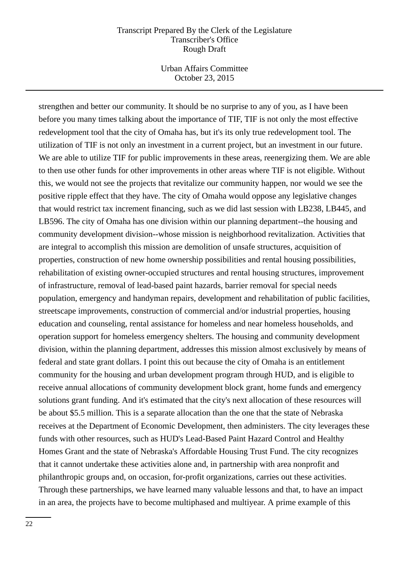Urban Affairs Committee October 23, 2015

strengthen and better our community. It should be no surprise to any of you, as I have been before you many times talking about the importance of TIF, TIF is not only the most effective redevelopment tool that the city of Omaha has, but it's its only true redevelopment tool. The utilization of TIF is not only an investment in a current project, but an investment in our future. We are able to utilize TIF for public improvements in these areas, reenergizing them. We are able to then use other funds for other improvements in other areas where TIF is not eligible. Without this, we would not see the projects that revitalize our community happen, nor would we see the positive ripple effect that they have. The city of Omaha would oppose any legislative changes that would restrict tax increment financing, such as we did last session with LB238, LB445, and LB596. The city of Omaha has one division within our planning department--the housing and community development division--whose mission is neighborhood revitalization. Activities that are integral to accomplish this mission are demolition of unsafe structures, acquisition of properties, construction of new home ownership possibilities and rental housing possibilities, rehabilitation of existing owner-occupied structures and rental housing structures, improvement of infrastructure, removal of lead-based paint hazards, barrier removal for special needs population, emergency and handyman repairs, development and rehabilitation of public facilities, streetscape improvements, construction of commercial and/or industrial properties, housing education and counseling, rental assistance for homeless and near homeless households, and operation support for homeless emergency shelters. The housing and community development division, within the planning department, addresses this mission almost exclusively by means of federal and state grant dollars. I point this out because the city of Omaha is an entitlement community for the housing and urban development program through HUD, and is eligible to receive annual allocations of community development block grant, home funds and emergency solutions grant funding. And it's estimated that the city's next allocation of these resources will be about \$5.5 million. This is a separate allocation than the one that the state of Nebraska receives at the Department of Economic Development, then administers. The city leverages these funds with other resources, such as HUD's Lead-Based Paint Hazard Control and Healthy Homes Grant and the state of Nebraska's Affordable Housing Trust Fund. The city recognizes that it cannot undertake these activities alone and, in partnership with area nonprofit and philanthropic groups and, on occasion, for-profit organizations, carries out these activities. Through these partnerships, we have learned many valuable lessons and that, to have an impact in an area, the projects have to become multiphased and multiyear. A prime example of this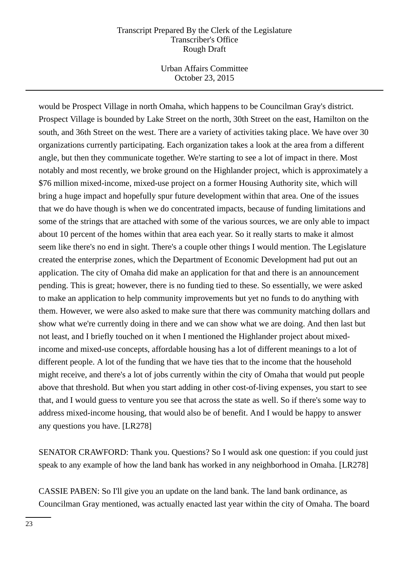Urban Affairs Committee October 23, 2015

would be Prospect Village in north Omaha, which happens to be Councilman Gray's district. Prospect Village is bounded by Lake Street on the north, 30th Street on the east, Hamilton on the south, and 36th Street on the west. There are a variety of activities taking place. We have over 30 organizations currently participating. Each organization takes a look at the area from a different angle, but then they communicate together. We're starting to see a lot of impact in there. Most notably and most recently, we broke ground on the Highlander project, which is approximately a \$76 million mixed-income, mixed-use project on a former Housing Authority site, which will bring a huge impact and hopefully spur future development within that area. One of the issues that we do have though is when we do concentrated impacts, because of funding limitations and some of the strings that are attached with some of the various sources, we are only able to impact about 10 percent of the homes within that area each year. So it really starts to make it almost seem like there's no end in sight. There's a couple other things I would mention. The Legislature created the enterprise zones, which the Department of Economic Development had put out an application. The city of Omaha did make an application for that and there is an announcement pending. This is great; however, there is no funding tied to these. So essentially, we were asked to make an application to help community improvements but yet no funds to do anything with them. However, we were also asked to make sure that there was community matching dollars and show what we're currently doing in there and we can show what we are doing. And then last but not least, and I briefly touched on it when I mentioned the Highlander project about mixedincome and mixed-use concepts, affordable housing has a lot of different meanings to a lot of different people. A lot of the funding that we have ties that to the income that the household might receive, and there's a lot of jobs currently within the city of Omaha that would put people above that threshold. But when you start adding in other cost-of-living expenses, you start to see that, and I would guess to venture you see that across the state as well. So if there's some way to address mixed-income housing, that would also be of benefit. And I would be happy to answer any questions you have. [LR278]

SENATOR CRAWFORD: Thank you. Questions? So I would ask one question: if you could just speak to any example of how the land bank has worked in any neighborhood in Omaha. [LR278]

CASSIE PABEN: So I'll give you an update on the land bank. The land bank ordinance, as Councilman Gray mentioned, was actually enacted last year within the city of Omaha. The board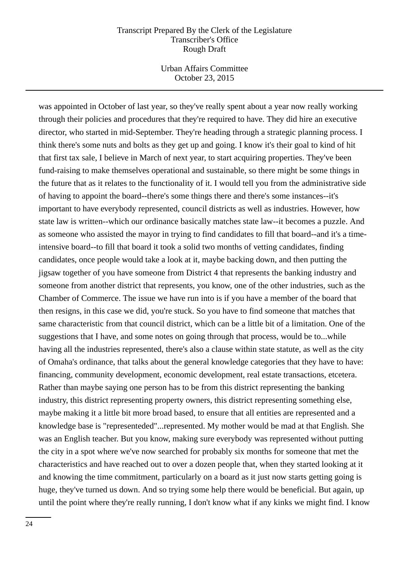Urban Affairs Committee October 23, 2015

was appointed in October of last year, so they've really spent about a year now really working through their policies and procedures that they're required to have. They did hire an executive director, who started in mid-September. They're heading through a strategic planning process. I think there's some nuts and bolts as they get up and going. I know it's their goal to kind of hit that first tax sale, I believe in March of next year, to start acquiring properties. They've been fund-raising to make themselves operational and sustainable, so there might be some things in the future that as it relates to the functionality of it. I would tell you from the administrative side of having to appoint the board--there's some things there and there's some instances--it's important to have everybody represented, council districts as well as industries. However, how state law is written--which our ordinance basically matches state law--it becomes a puzzle. And as someone who assisted the mayor in trying to find candidates to fill that board--and it's a timeintensive board--to fill that board it took a solid two months of vetting candidates, finding candidates, once people would take a look at it, maybe backing down, and then putting the jigsaw together of you have someone from District 4 that represents the banking industry and someone from another district that represents, you know, one of the other industries, such as the Chamber of Commerce. The issue we have run into is if you have a member of the board that then resigns, in this case we did, you're stuck. So you have to find someone that matches that same characteristic from that council district, which can be a little bit of a limitation. One of the suggestions that I have, and some notes on going through that process, would be to...while having all the industries represented, there's also a clause within state statute, as well as the city of Omaha's ordinance, that talks about the general knowledge categories that they have to have: financing, community development, economic development, real estate transactions, etcetera. Rather than maybe saying one person has to be from this district representing the banking industry, this district representing property owners, this district representing something else, maybe making it a little bit more broad based, to ensure that all entities are represented and a knowledge base is "representeded"...represented. My mother would be mad at that English. She was an English teacher. But you know, making sure everybody was represented without putting the city in a spot where we've now searched for probably six months for someone that met the characteristics and have reached out to over a dozen people that, when they started looking at it and knowing the time commitment, particularly on a board as it just now starts getting going is huge, they've turned us down. And so trying some help there would be beneficial. But again, up until the point where they're really running, I don't know what if any kinks we might find. I know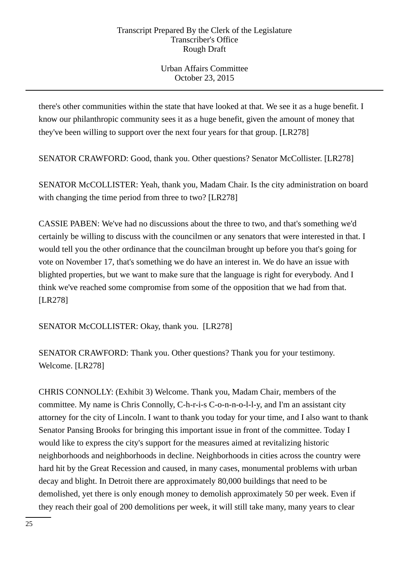Urban Affairs Committee October 23, 2015

there's other communities within the state that have looked at that. We see it as a huge benefit. I know our philanthropic community sees it as a huge benefit, given the amount of money that they've been willing to support over the next four years for that group. [LR278]

SENATOR CRAWFORD: Good, thank you. Other questions? Senator McCollister. [LR278]

SENATOR McCOLLISTER: Yeah, thank you, Madam Chair. Is the city administration on board with changing the time period from three to two? [LR278]

CASSIE PABEN: We've had no discussions about the three to two, and that's something we'd certainly be willing to discuss with the councilmen or any senators that were interested in that. I would tell you the other ordinance that the councilman brought up before you that's going for vote on November 17, that's something we do have an interest in. We do have an issue with blighted properties, but we want to make sure that the language is right for everybody. And I think we've reached some compromise from some of the opposition that we had from that. [LR278]

SENATOR McCOLLISTER: Okay, thank you. [LR278]

SENATOR CRAWFORD: Thank you. Other questions? Thank you for your testimony. Welcome. [LR278]

CHRIS CONNOLLY: (Exhibit 3) Welcome. Thank you, Madam Chair, members of the committee. My name is Chris Connolly, C-h-r-i-s C-o-n-n-o-l-l-y, and I'm an assistant city attorney for the city of Lincoln. I want to thank you today for your time, and I also want to thank Senator Pansing Brooks for bringing this important issue in front of the committee. Today I would like to express the city's support for the measures aimed at revitalizing historic neighborhoods and neighborhoods in decline. Neighborhoods in cities across the country were hard hit by the Great Recession and caused, in many cases, monumental problems with urban decay and blight. In Detroit there are approximately 80,000 buildings that need to be demolished, yet there is only enough money to demolish approximately 50 per week. Even if they reach their goal of 200 demolitions per week, it will still take many, many years to clear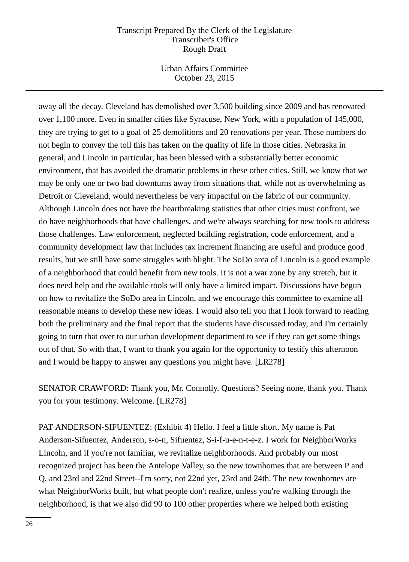Urban Affairs Committee October 23, 2015

away all the decay. Cleveland has demolished over 3,500 building since 2009 and has renovated over 1,100 more. Even in smaller cities like Syracuse, New York, with a population of 145,000, they are trying to get to a goal of 25 demolitions and 20 renovations per year. These numbers do not begin to convey the toll this has taken on the quality of life in those cities. Nebraska in general, and Lincoln in particular, has been blessed with a substantially better economic environment, that has avoided the dramatic problems in these other cities. Still, we know that we may be only one or two bad downturns away from situations that, while not as overwhelming as Detroit or Cleveland, would nevertheless be very impactful on the fabric of our community. Although Lincoln does not have the heartbreaking statistics that other cities must confront, we do have neighborhoods that have challenges, and we're always searching for new tools to address those challenges. Law enforcement, neglected building registration, code enforcement, and a community development law that includes tax increment financing are useful and produce good results, but we still have some struggles with blight. The SoDo area of Lincoln is a good example of a neighborhood that could benefit from new tools. It is not a war zone by any stretch, but it does need help and the available tools will only have a limited impact. Discussions have begun on how to revitalize the SoDo area in Lincoln, and we encourage this committee to examine all reasonable means to develop these new ideas. I would also tell you that I look forward to reading both the preliminary and the final report that the students have discussed today, and I'm certainly going to turn that over to our urban development department to see if they can get some things out of that. So with that, I want to thank you again for the opportunity to testify this afternoon and I would be happy to answer any questions you might have. [LR278]

SENATOR CRAWFORD: Thank you, Mr. Connolly. Questions? Seeing none, thank you. Thank you for your testimony. Welcome. [LR278]

PAT ANDERSON-SIFUENTEZ: (Exhibit 4) Hello. I feel a little short. My name is Pat Anderson-Sifuentez, Anderson, s-o-n, Sifuentez, S-i-f-u-e-n-t-e-z. I work for NeighborWorks Lincoln, and if you're not familiar, we revitalize neighborhoods. And probably our most recognized project has been the Antelope Valley, so the new townhomes that are between P and Q, and 23rd and 22nd Street--I'm sorry, not 22nd yet, 23rd and 24th. The new townhomes are what NeighborWorks built, but what people don't realize, unless you're walking through the neighborhood, is that we also did 90 to 100 other properties where we helped both existing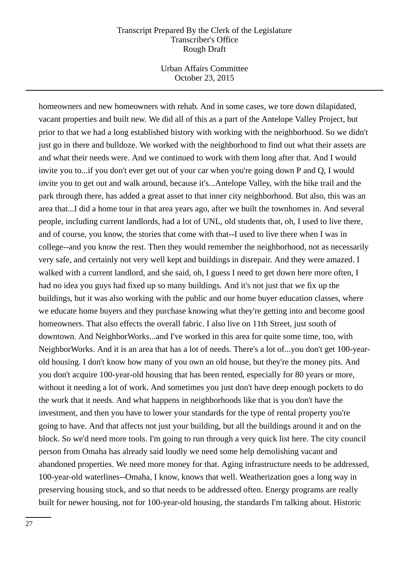Urban Affairs Committee October 23, 2015

homeowners and new homeowners with rehab. And in some cases, we tore down dilapidated, vacant properties and built new. We did all of this as a part of the Antelope Valley Project, but prior to that we had a long established history with working with the neighborhood. So we didn't just go in there and bulldoze. We worked with the neighborhood to find out what their assets are and what their needs were. And we continued to work with them long after that. And I would invite you to...if you don't ever get out of your car when you're going down P and Q, I would invite you to get out and walk around, because it's...Antelope Valley, with the bike trail and the park through there, has added a great asset to that inner city neighborhood. But also, this was an area that...I did a home tour in that area years ago, after we built the townhomes in. And several people, including current landlords, had a lot of UNL, old students that, oh, I used to live there, and of course, you know, the stories that come with that--I used to live there when I was in college--and you know the rest. Then they would remember the neighborhood, not as necessarily very safe, and certainly not very well kept and buildings in disrepair. And they were amazed. I walked with a current landlord, and she said, oh, I guess I need to get down here more often, I had no idea you guys had fixed up so many buildings. And it's not just that we fix up the buildings, but it was also working with the public and our home buyer education classes, where we educate home buyers and they purchase knowing what they're getting into and become good homeowners. That also effects the overall fabric. I also live on 11th Street, just south of downtown. And NeighborWorks...and I've worked in this area for quite some time, too, with NeighborWorks. And it is an area that has a lot of needs. There's a lot of...you don't get 100-yearold housing. I don't know how many of you own an old house, but they're the money pits. And you don't acquire 100-year-old housing that has been rented, especially for 80 years or more, without it needing a lot of work. And sometimes you just don't have deep enough pockets to do the work that it needs. And what happens in neighborhoods like that is you don't have the investment, and then you have to lower your standards for the type of rental property you're going to have. And that affects not just your building, but all the buildings around it and on the block. So we'd need more tools. I'm going to run through a very quick list here. The city council person from Omaha has already said loudly we need some help demolishing vacant and abandoned properties. We need more money for that. Aging infrastructure needs to be addressed, 100-year-old waterlines--Omaha, I know, knows that well. Weatherization goes a long way in preserving housing stock, and so that needs to be addressed often. Energy programs are really built for newer housing, not for 100-year-old housing, the standards I'm talking about. Historic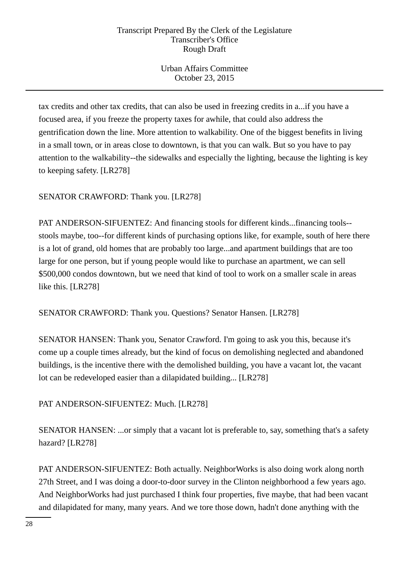Urban Affairs Committee October 23, 2015

tax credits and other tax credits, that can also be used in freezing credits in a...if you have a focused area, if you freeze the property taxes for awhile, that could also address the gentrification down the line. More attention to walkability. One of the biggest benefits in living in a small town, or in areas close to downtown, is that you can walk. But so you have to pay attention to the walkability--the sidewalks and especially the lighting, because the lighting is key to keeping safety. [LR278]

SENATOR CRAWFORD: Thank you. [LR278]

PAT ANDERSON-SIFUENTEZ: And financing stools for different kinds...financing tools- stools maybe, too--for different kinds of purchasing options like, for example, south of here there is a lot of grand, old homes that are probably too large...and apartment buildings that are too large for one person, but if young people would like to purchase an apartment, we can sell \$500,000 condos downtown, but we need that kind of tool to work on a smaller scale in areas like this. [LR278]

SENATOR CRAWFORD: Thank you. Questions? Senator Hansen. [LR278]

SENATOR HANSEN: Thank you, Senator Crawford. I'm going to ask you this, because it's come up a couple times already, but the kind of focus on demolishing neglected and abandoned buildings, is the incentive there with the demolished building, you have a vacant lot, the vacant lot can be redeveloped easier than a dilapidated building... [LR278]

PAT ANDERSON-SIFUENTEZ: Much. [LR278]

SENATOR HANSEN: ...or simply that a vacant lot is preferable to, say, something that's a safety hazard? [LR278]

PAT ANDERSON-SIFUENTEZ: Both actually. NeighborWorks is also doing work along north 27th Street, and I was doing a door-to-door survey in the Clinton neighborhood a few years ago. And NeighborWorks had just purchased I think four properties, five maybe, that had been vacant and dilapidated for many, many years. And we tore those down, hadn't done anything with the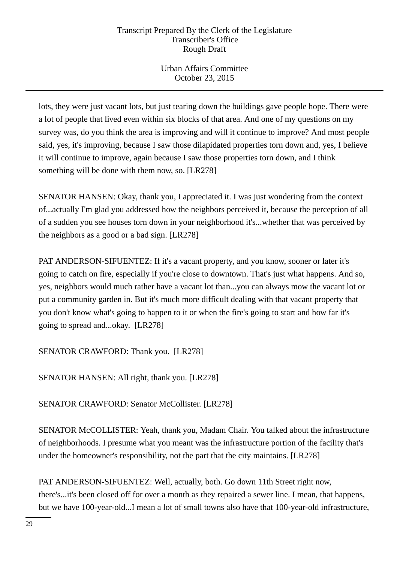Urban Affairs Committee October 23, 2015

lots, they were just vacant lots, but just tearing down the buildings gave people hope. There were a lot of people that lived even within six blocks of that area. And one of my questions on my survey was, do you think the area is improving and will it continue to improve? And most people said, yes, it's improving, because I saw those dilapidated properties torn down and, yes, I believe it will continue to improve, again because I saw those properties torn down, and I think something will be done with them now, so. [LR278]

SENATOR HANSEN: Okay, thank you, I appreciated it. I was just wondering from the context of...actually I'm glad you addressed how the neighbors perceived it, because the perception of all of a sudden you see houses torn down in your neighborhood it's...whether that was perceived by the neighbors as a good or a bad sign. [LR278]

PAT ANDERSON-SIFUENTEZ: If it's a vacant property, and you know, sooner or later it's going to catch on fire, especially if you're close to downtown. That's just what happens. And so, yes, neighbors would much rather have a vacant lot than...you can always mow the vacant lot or put a community garden in. But it's much more difficult dealing with that vacant property that you don't know what's going to happen to it or when the fire's going to start and how far it's going to spread and...okay. [LR278]

SENATOR CRAWFORD: Thank you. [LR278]

SENATOR HANSEN: All right, thank you. [LR278]

SENATOR CRAWFORD: Senator McCollister. [LR278]

SENATOR McCOLLISTER: Yeah, thank you, Madam Chair. You talked about the infrastructure of neighborhoods. I presume what you meant was the infrastructure portion of the facility that's under the homeowner's responsibility, not the part that the city maintains. [LR278]

PAT ANDERSON-SIFUENTEZ: Well, actually, both. Go down 11th Street right now, there's...it's been closed off for over a month as they repaired a sewer line. I mean, that happens, but we have 100-year-old...I mean a lot of small towns also have that 100-year-old infrastructure,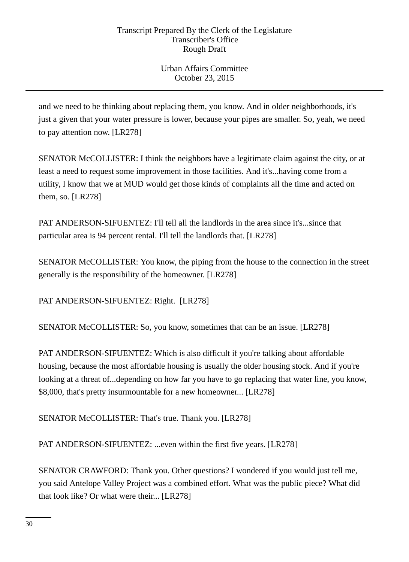Urban Affairs Committee October 23, 2015

and we need to be thinking about replacing them, you know. And in older neighborhoods, it's just a given that your water pressure is lower, because your pipes are smaller. So, yeah, we need to pay attention now. [LR278]

SENATOR McCOLLISTER: I think the neighbors have a legitimate claim against the city, or at least a need to request some improvement in those facilities. And it's...having come from a utility, I know that we at MUD would get those kinds of complaints all the time and acted on them, so. [LR278]

PAT ANDERSON-SIFUENTEZ: I'll tell all the landlords in the area since it's...since that particular area is 94 percent rental. I'll tell the landlords that. [LR278]

SENATOR McCOLLISTER: You know, the piping from the house to the connection in the street generally is the responsibility of the homeowner. [LR278]

PAT ANDERSON-SIFUENTEZ: Right. [LR278]

SENATOR McCOLLISTER: So, you know, sometimes that can be an issue. [LR278]

PAT ANDERSON-SIFUENTEZ: Which is also difficult if you're talking about affordable housing, because the most affordable housing is usually the older housing stock. And if you're looking at a threat of...depending on how far you have to go replacing that water line, you know, \$8,000, that's pretty insurmountable for a new homeowner... [LR278]

SENATOR McCOLLISTER: That's true. Thank you. [LR278]

PAT ANDERSON-SIFUENTEZ: ...even within the first five years. [LR278]

SENATOR CRAWFORD: Thank you. Other questions? I wondered if you would just tell me, you said Antelope Valley Project was a combined effort. What was the public piece? What did that look like? Or what were their... [LR278]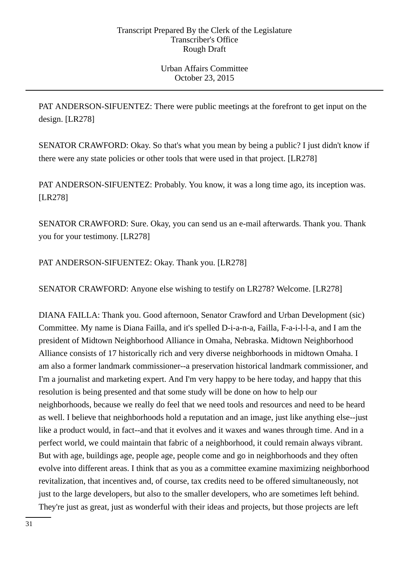Urban Affairs Committee October 23, 2015

PAT ANDERSON-SIFUENTEZ: There were public meetings at the forefront to get input on the design. [LR278]

SENATOR CRAWFORD: Okay. So that's what you mean by being a public? I just didn't know if there were any state policies or other tools that were used in that project. [LR278]

PAT ANDERSON-SIFUENTEZ: Probably. You know, it was a long time ago, its inception was. [LR278]

SENATOR CRAWFORD: Sure. Okay, you can send us an e-mail afterwards. Thank you. Thank you for your testimony. [LR278]

PAT ANDERSON-SIFUENTEZ: Okay. Thank you. [LR278]

SENATOR CRAWFORD: Anyone else wishing to testify on LR278? Welcome. [LR278]

DIANA FAILLA: Thank you. Good afternoon, Senator Crawford and Urban Development (sic) Committee. My name is Diana Failla, and it's spelled D-i-a-n-a, Failla, F-a-i-l-l-a, and I am the president of Midtown Neighborhood Alliance in Omaha, Nebraska. Midtown Neighborhood Alliance consists of 17 historically rich and very diverse neighborhoods in midtown Omaha. I am also a former landmark commissioner--a preservation historical landmark commissioner, and I'm a journalist and marketing expert. And I'm very happy to be here today, and happy that this resolution is being presented and that some study will be done on how to help our neighborhoods, because we really do feel that we need tools and resources and need to be heard as well. I believe that neighborhoods hold a reputation and an image, just like anything else--just like a product would, in fact--and that it evolves and it waxes and wanes through time. And in a perfect world, we could maintain that fabric of a neighborhood, it could remain always vibrant. But with age, buildings age, people age, people come and go in neighborhoods and they often evolve into different areas. I think that as you as a committee examine maximizing neighborhood revitalization, that incentives and, of course, tax credits need to be offered simultaneously, not just to the large developers, but also to the smaller developers, who are sometimes left behind. They're just as great, just as wonderful with their ideas and projects, but those projects are left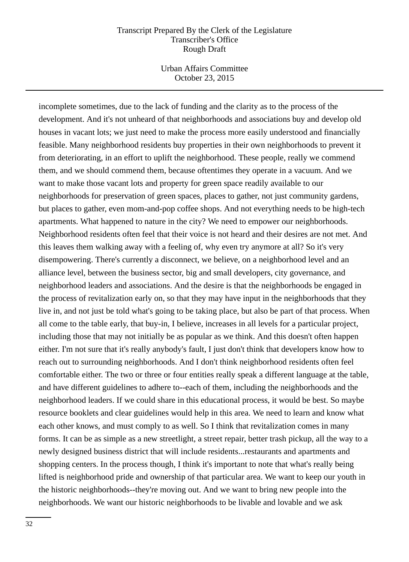Urban Affairs Committee October 23, 2015

incomplete sometimes, due to the lack of funding and the clarity as to the process of the development. And it's not unheard of that neighborhoods and associations buy and develop old houses in vacant lots; we just need to make the process more easily understood and financially feasible. Many neighborhood residents buy properties in their own neighborhoods to prevent it from deteriorating, in an effort to uplift the neighborhood. These people, really we commend them, and we should commend them, because oftentimes they operate in a vacuum. And we want to make those vacant lots and property for green space readily available to our neighborhoods for preservation of green spaces, places to gather, not just community gardens, but places to gather, even mom-and-pop coffee shops. And not everything needs to be high-tech apartments. What happened to nature in the city? We need to empower our neighborhoods. Neighborhood residents often feel that their voice is not heard and their desires are not met. And this leaves them walking away with a feeling of, why even try anymore at all? So it's very disempowering. There's currently a disconnect, we believe, on a neighborhood level and an alliance level, between the business sector, big and small developers, city governance, and neighborhood leaders and associations. And the desire is that the neighborhoods be engaged in the process of revitalization early on, so that they may have input in the neighborhoods that they live in, and not just be told what's going to be taking place, but also be part of that process. When all come to the table early, that buy-in, I believe, increases in all levels for a particular project, including those that may not initially be as popular as we think. And this doesn't often happen either. I'm not sure that it's really anybody's fault, I just don't think that developers know how to reach out to surrounding neighborhoods. And I don't think neighborhood residents often feel comfortable either. The two or three or four entities really speak a different language at the table, and have different guidelines to adhere to--each of them, including the neighborhoods and the neighborhood leaders. If we could share in this educational process, it would be best. So maybe resource booklets and clear guidelines would help in this area. We need to learn and know what each other knows, and must comply to as well. So I think that revitalization comes in many forms. It can be as simple as a new streetlight, a street repair, better trash pickup, all the way to a newly designed business district that will include residents...restaurants and apartments and shopping centers. In the process though, I think it's important to note that what's really being lifted is neighborhood pride and ownership of that particular area. We want to keep our youth in the historic neighborhoods--they're moving out. And we want to bring new people into the neighborhoods. We want our historic neighborhoods to be livable and lovable and we ask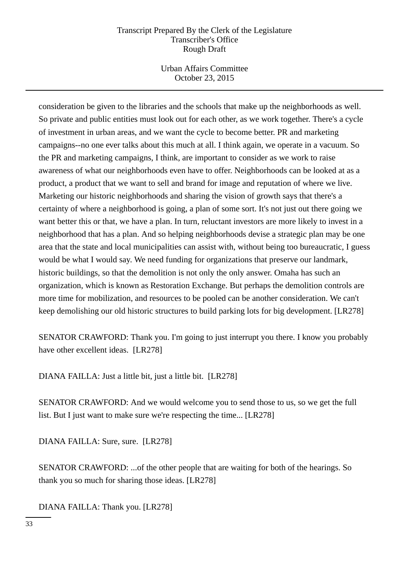Urban Affairs Committee October 23, 2015

consideration be given to the libraries and the schools that make up the neighborhoods as well. So private and public entities must look out for each other, as we work together. There's a cycle of investment in urban areas, and we want the cycle to become better. PR and marketing campaigns--no one ever talks about this much at all. I think again, we operate in a vacuum. So the PR and marketing campaigns, I think, are important to consider as we work to raise awareness of what our neighborhoods even have to offer. Neighborhoods can be looked at as a product, a product that we want to sell and brand for image and reputation of where we live. Marketing our historic neighborhoods and sharing the vision of growth says that there's a certainty of where a neighborhood is going, a plan of some sort. It's not just out there going we want better this or that, we have a plan. In turn, reluctant investors are more likely to invest in a neighborhood that has a plan. And so helping neighborhoods devise a strategic plan may be one area that the state and local municipalities can assist with, without being too bureaucratic, I guess would be what I would say. We need funding for organizations that preserve our landmark, historic buildings, so that the demolition is not only the only answer. Omaha has such an organization, which is known as Restoration Exchange. But perhaps the demolition controls are more time for mobilization, and resources to be pooled can be another consideration. We can't keep demolishing our old historic structures to build parking lots for big development. [LR278]

SENATOR CRAWFORD: Thank you. I'm going to just interrupt you there. I know you probably have other excellent ideas. [LR278]

DIANA FAILLA: Just a little bit, just a little bit. [LR278]

SENATOR CRAWFORD: And we would welcome you to send those to us, so we get the full list. But I just want to make sure we're respecting the time... [LR278]

DIANA FAILLA: Sure, sure. [LR278]

SENATOR CRAWFORD: ...of the other people that are waiting for both of the hearings. So thank you so much for sharing those ideas. [LR278]

DIANA FAILLA: Thank you. [LR278]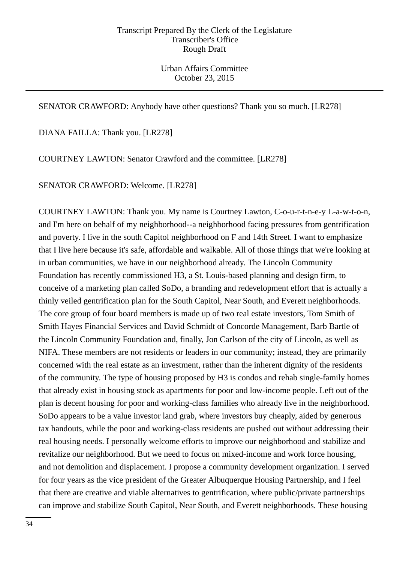Urban Affairs Committee October 23, 2015

## SENATOR CRAWFORD: Anybody have other questions? Thank you so much. [LR278]

DIANA FAILLA: Thank you. [LR278]

COURTNEY LAWTON: Senator Crawford and the committee. [LR278]

SENATOR CRAWFORD: Welcome. [LR278]

COURTNEY LAWTON: Thank you. My name is Courtney Lawton, C-o-u-r-t-n-e-y L-a-w-t-o-n, and I'm here on behalf of my neighborhood--a neighborhood facing pressures from gentrification and poverty. I live in the south Capitol neighborhood on F and 14th Street. I want to emphasize that I live here because it's safe, affordable and walkable. All of those things that we're looking at in urban communities, we have in our neighborhood already. The Lincoln Community Foundation has recently commissioned H3, a St. Louis-based planning and design firm, to conceive of a marketing plan called SoDo, a branding and redevelopment effort that is actually a thinly veiled gentrification plan for the South Capitol, Near South, and Everett neighborhoods. The core group of four board members is made up of two real estate investors, Tom Smith of Smith Hayes Financial Services and David Schmidt of Concorde Management, Barb Bartle of the Lincoln Community Foundation and, finally, Jon Carlson of the city of Lincoln, as well as NIFA. These members are not residents or leaders in our community; instead, they are primarily concerned with the real estate as an investment, rather than the inherent dignity of the residents of the community. The type of housing proposed by H3 is condos and rehab single-family homes that already exist in housing stock as apartments for poor and low-income people. Left out of the plan is decent housing for poor and working-class families who already live in the neighborhood. SoDo appears to be a value investor land grab, where investors buy cheaply, aided by generous tax handouts, while the poor and working-class residents are pushed out without addressing their real housing needs. I personally welcome efforts to improve our neighborhood and stabilize and revitalize our neighborhood. But we need to focus on mixed-income and work force housing, and not demolition and displacement. I propose a community development organization. I served for four years as the vice president of the Greater Albuquerque Housing Partnership, and I feel that there are creative and viable alternatives to gentrification, where public/private partnerships can improve and stabilize South Capitol, Near South, and Everett neighborhoods. These housing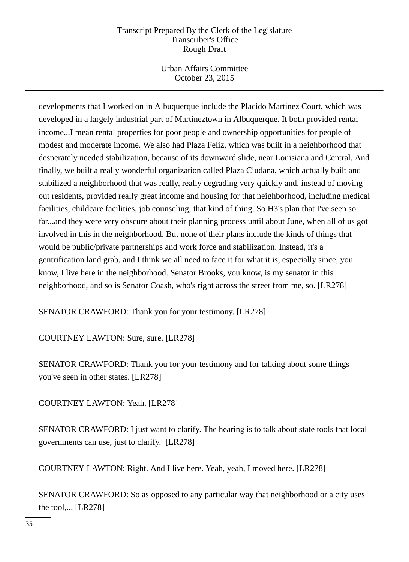Urban Affairs Committee October 23, 2015

developments that I worked on in Albuquerque include the Placido Martinez Court, which was developed in a largely industrial part of Martineztown in Albuquerque. It both provided rental income...I mean rental properties for poor people and ownership opportunities for people of modest and moderate income. We also had Plaza Feliz, which was built in a neighborhood that desperately needed stabilization, because of its downward slide, near Louisiana and Central. And finally, we built a really wonderful organization called Plaza Ciudana, which actually built and stabilized a neighborhood that was really, really degrading very quickly and, instead of moving out residents, provided really great income and housing for that neighborhood, including medical facilities, childcare facilities, job counseling, that kind of thing. So H3's plan that I've seen so far...and they were very obscure about their planning process until about June, when all of us got involved in this in the neighborhood. But none of their plans include the kinds of things that would be public/private partnerships and work force and stabilization. Instead, it's a gentrification land grab, and I think we all need to face it for what it is, especially since, you know, I live here in the neighborhood. Senator Brooks, you know, is my senator in this neighborhood, and so is Senator Coash, who's right across the street from me, so. [LR278]

SENATOR CRAWFORD: Thank you for your testimony. [LR278]

COURTNEY LAWTON: Sure, sure. [LR278]

SENATOR CRAWFORD: Thank you for your testimony and for talking about some things you've seen in other states. [LR278]

COURTNEY LAWTON: Yeah. [LR278]

SENATOR CRAWFORD: I just want to clarify. The hearing is to talk about state tools that local governments can use, just to clarify. [LR278]

COURTNEY LAWTON: Right. And I live here. Yeah, yeah, I moved here. [LR278]

SENATOR CRAWFORD: So as opposed to any particular way that neighborhood or a city uses the tool,... [LR278]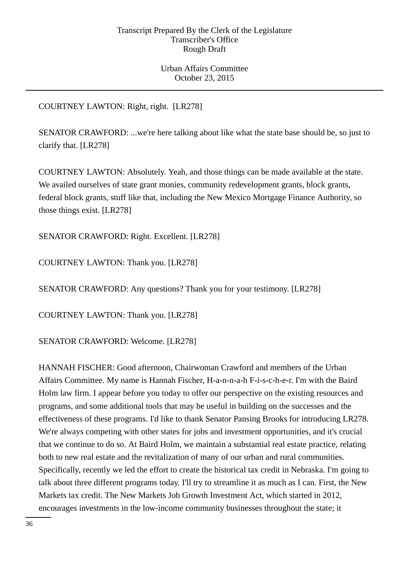Urban Affairs Committee October 23, 2015

# COURTNEY LAWTON: Right, right. [LR278]

SENATOR CRAWFORD: ...we're here talking about like what the state base should be, so just to clarify that. [LR278]

COURTNEY LAWTON: Absolutely. Yeah, and those things can be made available at the state. We availed ourselves of state grant monies, community redevelopment grants, block grants, federal block grants, stuff like that, including the New Mexico Mortgage Finance Authority, so those things exist. [LR278]

SENATOR CRAWFORD: Right. Excellent. [LR278]

COURTNEY LAWTON: Thank you. [LR278]

SENATOR CRAWFORD: Any questions? Thank you for your testimony. [LR278]

COURTNEY LAWTON: Thank you. [LR278]

SENATOR CRAWFORD: Welcome. [LR278]

HANNAH FISCHER: Good afternoon, Chairwoman Crawford and members of the Urban Affairs Committee. My name is Hannah Fischer, H-a-n-n-a-h F-i-s-c-h-e-r. I'm with the Baird Holm law firm. I appear before you today to offer our perspective on the existing resources and programs, and some additional tools that may be useful in building on the successes and the effectiveness of these programs. I'd like to thank Senator Pansing Brooks for introducing LR278. We're always competing with other states for jobs and investment opportunities, and it's crucial that we continue to do so. At Baird Holm, we maintain a substantial real estate practice, relating both to new real estate and the revitalization of many of our urban and rural communities. Specifically, recently we led the effort to create the historical tax credit in Nebraska. I'm going to talk about three different programs today. I'll try to streamline it as much as I can. First, the New Markets tax credit. The New Markets Job Growth Investment Act, which started in 2012, encourages investments in the low-income community businesses throughout the state; it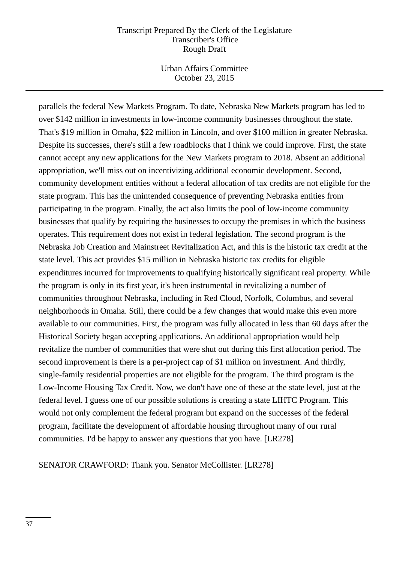Urban Affairs Committee October 23, 2015

parallels the federal New Markets Program. To date, Nebraska New Markets program has led to over \$142 million in investments in low-income community businesses throughout the state. That's \$19 million in Omaha, \$22 million in Lincoln, and over \$100 million in greater Nebraska. Despite its successes, there's still a few roadblocks that I think we could improve. First, the state cannot accept any new applications for the New Markets program to 2018. Absent an additional appropriation, we'll miss out on incentivizing additional economic development. Second, community development entities without a federal allocation of tax credits are not eligible for the state program. This has the unintended consequence of preventing Nebraska entities from participating in the program. Finally, the act also limits the pool of low-income community businesses that qualify by requiring the businesses to occupy the premises in which the business operates. This requirement does not exist in federal legislation. The second program is the Nebraska Job Creation and Mainstreet Revitalization Act, and this is the historic tax credit at the state level. This act provides \$15 million in Nebraska historic tax credits for eligible expenditures incurred for improvements to qualifying historically significant real property. While the program is only in its first year, it's been instrumental in revitalizing a number of communities throughout Nebraska, including in Red Cloud, Norfolk, Columbus, and several neighborhoods in Omaha. Still, there could be a few changes that would make this even more available to our communities. First, the program was fully allocated in less than 60 days after the Historical Society began accepting applications. An additional appropriation would help revitalize the number of communities that were shut out during this first allocation period. The second improvement is there is a per-project cap of \$1 million on investment. And thirdly, single-family residential properties are not eligible for the program. The third program is the Low-Income Housing Tax Credit. Now, we don't have one of these at the state level, just at the federal level. I guess one of our possible solutions is creating a state LIHTC Program. This would not only complement the federal program but expand on the successes of the federal program, facilitate the development of affordable housing throughout many of our rural communities. I'd be happy to answer any questions that you have. [LR278]

SENATOR CRAWFORD: Thank you. Senator McCollister. [LR278]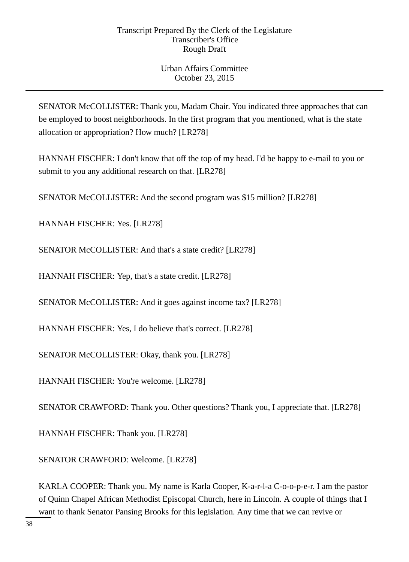SENATOR McCOLLISTER: Thank you, Madam Chair. You indicated three approaches that can be employed to boost neighborhoods. In the first program that you mentioned, what is the state allocation or appropriation? How much? [LR278]

HANNAH FISCHER: I don't know that off the top of my head. I'd be happy to e-mail to you or submit to you any additional research on that. [LR278]

SENATOR McCOLLISTER: And the second program was \$15 million? [LR278]

HANNAH FISCHER: Yes. [LR278]

SENATOR McCOLLISTER: And that's a state credit? [LR278]

HANNAH FISCHER: Yep, that's a state credit. [LR278]

SENATOR McCOLLISTER: And it goes against income tax? [LR278]

HANNAH FISCHER: Yes, I do believe that's correct. [LR278]

SENATOR McCOLLISTER: Okay, thank you. [LR278]

HANNAH FISCHER: You're welcome. [LR278]

SENATOR CRAWFORD: Thank you. Other questions? Thank you, I appreciate that. [LR278]

HANNAH FISCHER: Thank you. [LR278]

SENATOR CRAWFORD: Welcome. [LR278]

KARLA COOPER: Thank you. My name is Karla Cooper, K-a-r-l-a C-o-o-p-e-r. I am the pastor of Quinn Chapel African Methodist Episcopal Church, here in Lincoln. A couple of things that I want to thank Senator Pansing Brooks for this legislation. Any time that we can revive or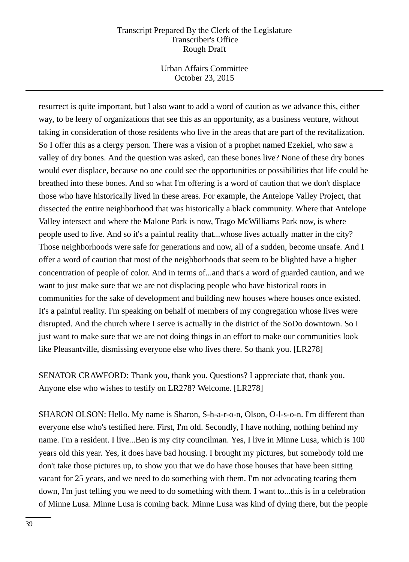Urban Affairs Committee October 23, 2015

resurrect is quite important, but I also want to add a word of caution as we advance this, either way, to be leery of organizations that see this as an opportunity, as a business venture, without taking in consideration of those residents who live in the areas that are part of the revitalization. So I offer this as a clergy person. There was a vision of a prophet named Ezekiel, who saw a valley of dry bones. And the question was asked, can these bones live? None of these dry bones would ever displace, because no one could see the opportunities or possibilities that life could be breathed into these bones. And so what I'm offering is a word of caution that we don't displace those who have historically lived in these areas. For example, the Antelope Valley Project, that dissected the entire neighborhood that was historically a black community. Where that Antelope Valley intersect and where the Malone Park is now, Trago McWilliams Park now, is where people used to live. And so it's a painful reality that...whose lives actually matter in the city? Those neighborhoods were safe for generations and now, all of a sudden, become unsafe. And I offer a word of caution that most of the neighborhoods that seem to be blighted have a higher concentration of people of color. And in terms of...and that's a word of guarded caution, and we want to just make sure that we are not displacing people who have historical roots in communities for the sake of development and building new houses where houses once existed. It's a painful reality. I'm speaking on behalf of members of my congregation whose lives were disrupted. And the church where I serve is actually in the district of the SoDo downtown. So I just want to make sure that we are not doing things in an effort to make our communities look like Pleasantville, dismissing everyone else who lives there. So thank you. [LR278]

SENATOR CRAWFORD: Thank you, thank you. Questions? I appreciate that, thank you. Anyone else who wishes to testify on LR278? Welcome. [LR278]

SHARON OLSON: Hello. My name is Sharon, S-h-a-r-o-n, Olson, O-l-s-o-n. I'm different than everyone else who's testified here. First, I'm old. Secondly, I have nothing, nothing behind my name. I'm a resident. I live...Ben is my city councilman. Yes, I live in Minne Lusa, which is 100 years old this year. Yes, it does have bad housing. I brought my pictures, but somebody told me don't take those pictures up, to show you that we do have those houses that have been sitting vacant for 25 years, and we need to do something with them. I'm not advocating tearing them down, I'm just telling you we need to do something with them. I want to...this is in a celebration of Minne Lusa. Minne Lusa is coming back. Minne Lusa was kind of dying there, but the people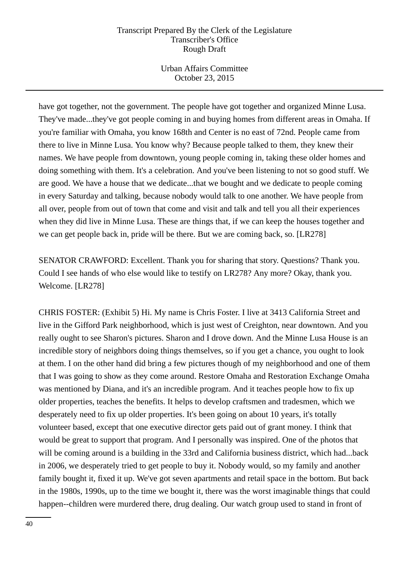Urban Affairs Committee October 23, 2015

have got together, not the government. The people have got together and organized Minne Lusa. They've made...they've got people coming in and buying homes from different areas in Omaha. If you're familiar with Omaha, you know 168th and Center is no east of 72nd. People came from there to live in Minne Lusa. You know why? Because people talked to them, they knew their names. We have people from downtown, young people coming in, taking these older homes and doing something with them. It's a celebration. And you've been listening to not so good stuff. We are good. We have a house that we dedicate...that we bought and we dedicate to people coming in every Saturday and talking, because nobody would talk to one another. We have people from all over, people from out of town that come and visit and talk and tell you all their experiences when they did live in Minne Lusa. These are things that, if we can keep the houses together and we can get people back in, pride will be there. But we are coming back, so. [LR278]

SENATOR CRAWFORD: Excellent. Thank you for sharing that story. Questions? Thank you. Could I see hands of who else would like to testify on LR278? Any more? Okay, thank you. Welcome. [LR278]

CHRIS FOSTER: (Exhibit 5) Hi. My name is Chris Foster. I live at 3413 California Street and live in the Gifford Park neighborhood, which is just west of Creighton, near downtown. And you really ought to see Sharon's pictures. Sharon and I drove down. And the Minne Lusa House is an incredible story of neighbors doing things themselves, so if you get a chance, you ought to look at them. I on the other hand did bring a few pictures though of my neighborhood and one of them that I was going to show as they come around. Restore Omaha and Restoration Exchange Omaha was mentioned by Diana, and it's an incredible program. And it teaches people how to fix up older properties, teaches the benefits. It helps to develop craftsmen and tradesmen, which we desperately need to fix up older properties. It's been going on about 10 years, it's totally volunteer based, except that one executive director gets paid out of grant money. I think that would be great to support that program. And I personally was inspired. One of the photos that will be coming around is a building in the 33rd and California business district, which had...back in 2006, we desperately tried to get people to buy it. Nobody would, so my family and another family bought it, fixed it up. We've got seven apartments and retail space in the bottom. But back in the 1980s, 1990s, up to the time we bought it, there was the worst imaginable things that could happen--children were murdered there, drug dealing. Our watch group used to stand in front of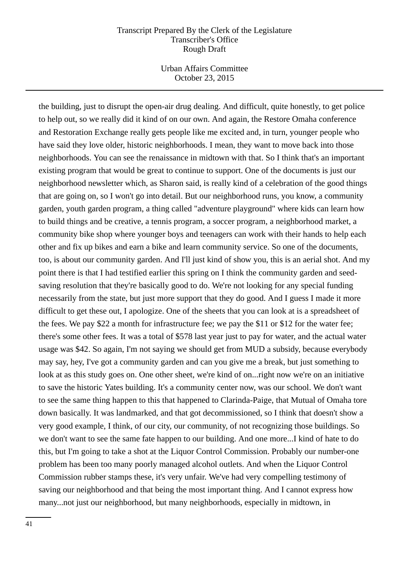Urban Affairs Committee October 23, 2015

the building, just to disrupt the open-air drug dealing. And difficult, quite honestly, to get police to help out, so we really did it kind of on our own. And again, the Restore Omaha conference and Restoration Exchange really gets people like me excited and, in turn, younger people who have said they love older, historic neighborhoods. I mean, they want to move back into those neighborhoods. You can see the renaissance in midtown with that. So I think that's an important existing program that would be great to continue to support. One of the documents is just our neighborhood newsletter which, as Sharon said, is really kind of a celebration of the good things that are going on, so I won't go into detail. But our neighborhood runs, you know, a community garden, youth garden program, a thing called "adventure playground" where kids can learn how to build things and be creative, a tennis program, a soccer program, a neighborhood market, a community bike shop where younger boys and teenagers can work with their hands to help each other and fix up bikes and earn a bike and learn community service. So one of the documents, too, is about our community garden. And I'll just kind of show you, this is an aerial shot. And my point there is that I had testified earlier this spring on I think the community garden and seedsaving resolution that they're basically good to do. We're not looking for any special funding necessarily from the state, but just more support that they do good. And I guess I made it more difficult to get these out, I apologize. One of the sheets that you can look at is a spreadsheet of the fees. We pay \$22 a month for infrastructure fee; we pay the \$11 or \$12 for the water fee; there's some other fees. It was a total of \$578 last year just to pay for water, and the actual water usage was \$42. So again, I'm not saying we should get from MUD a subsidy, because everybody may say, hey, I've got a community garden and can you give me a break, but just something to look at as this study goes on. One other sheet, we're kind of on... right now we're on an initiative to save the historic Yates building. It's a community center now, was our school. We don't want to see the same thing happen to this that happened to Clarinda-Paige, that Mutual of Omaha tore down basically. It was landmarked, and that got decommissioned, so I think that doesn't show a very good example, I think, of our city, our community, of not recognizing those buildings. So we don't want to see the same fate happen to our building. And one more...I kind of hate to do this, but I'm going to take a shot at the Liquor Control Commission. Probably our number-one problem has been too many poorly managed alcohol outlets. And when the Liquor Control Commission rubber stamps these, it's very unfair. We've had very compelling testimony of saving our neighborhood and that being the most important thing. And I cannot express how many...not just our neighborhood, but many neighborhoods, especially in midtown, in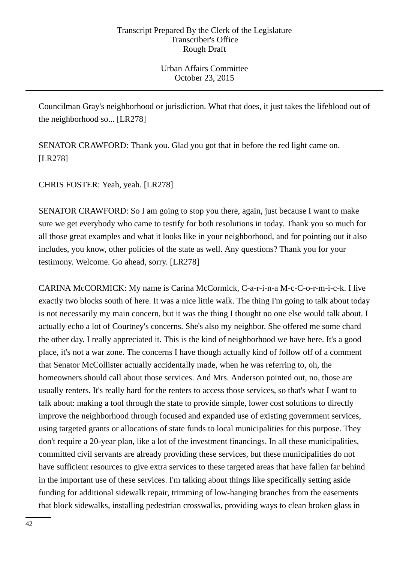Councilman Gray's neighborhood or jurisdiction. What that does, it just takes the lifeblood out of the neighborhood so... [LR278]

SENATOR CRAWFORD: Thank you. Glad you got that in before the red light came on. [LR278]

CHRIS FOSTER: Yeah, yeah. [LR278]

SENATOR CRAWFORD: So I am going to stop you there, again, just because I want to make sure we get everybody who came to testify for both resolutions in today. Thank you so much for all those great examples and what it looks like in your neighborhood, and for pointing out it also includes, you know, other policies of the state as well. Any questions? Thank you for your testimony. Welcome. Go ahead, sorry. [LR278]

CARINA McCORMICK: My name is Carina McCormick, C-a-r-i-n-a M-c-C-o-r-m-i-c-k. I live exactly two blocks south of here. It was a nice little walk. The thing I'm going to talk about today is not necessarily my main concern, but it was the thing I thought no one else would talk about. I actually echo a lot of Courtney's concerns. She's also my neighbor. She offered me some chard the other day. I really appreciated it. This is the kind of neighborhood we have here. It's a good place, it's not a war zone. The concerns I have though actually kind of follow off of a comment that Senator McCollister actually accidentally made, when he was referring to, oh, the homeowners should call about those services. And Mrs. Anderson pointed out, no, those are usually renters. It's really hard for the renters to access those services, so that's what I want to talk about: making a tool through the state to provide simple, lower cost solutions to directly improve the neighborhood through focused and expanded use of existing government services, using targeted grants or allocations of state funds to local municipalities for this purpose. They don't require a 20-year plan, like a lot of the investment financings. In all these municipalities, committed civil servants are already providing these services, but these municipalities do not have sufficient resources to give extra services to these targeted areas that have fallen far behind in the important use of these services. I'm talking about things like specifically setting aside funding for additional sidewalk repair, trimming of low-hanging branches from the easements that block sidewalks, installing pedestrian crosswalks, providing ways to clean broken glass in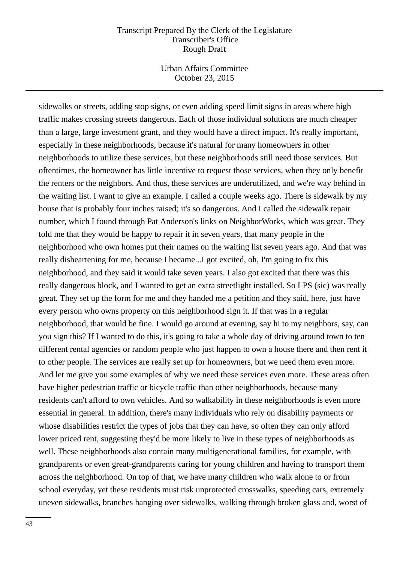Urban Affairs Committee October 23, 2015

sidewalks or streets, adding stop signs, or even adding speed limit signs in areas where high traffic makes crossing streets dangerous. Each of those individual solutions are much cheaper than a large, large investment grant, and they would have a direct impact. It's really important, especially in these neighborhoods, because it's natural for many homeowners in other neighborhoods to utilize these services, but these neighborhoods still need those services. But oftentimes, the homeowner has little incentive to request those services, when they only benefit the renters or the neighbors. And thus, these services are underutilized, and we're way behind in the waiting list. I want to give an example. I called a couple weeks ago. There is sidewalk by my house that is probably four inches raised; it's so dangerous. And I called the sidewalk repair number, which I found through Pat Anderson's links on NeighborWorks, which was great. They told me that they would be happy to repair it in seven years, that many people in the neighborhood who own homes put their names on the waiting list seven years ago. And that was really disheartening for me, because I became...I got excited, oh, I'm going to fix this neighborhood, and they said it would take seven years. I also got excited that there was this really dangerous block, and I wanted to get an extra streetlight installed. So LPS (sic) was really great. They set up the form for me and they handed me a petition and they said, here, just have every person who owns property on this neighborhood sign it. If that was in a regular neighborhood, that would be fine. I would go around at evening, say hi to my neighbors, say, can you sign this? If I wanted to do this, it's going to take a whole day of driving around town to ten different rental agencies or random people who just happen to own a house there and then rent it to other people. The services are really set up for homeowners, but we need them even more. And let me give you some examples of why we need these services even more. These areas often have higher pedestrian traffic or bicycle traffic than other neighborhoods, because many residents can't afford to own vehicles. And so walkability in these neighborhoods is even more essential in general. In addition, there's many individuals who rely on disability payments or whose disabilities restrict the types of jobs that they can have, so often they can only afford lower priced rent, suggesting they'd be more likely to live in these types of neighborhoods as well. These neighborhoods also contain many multigenerational families, for example, with grandparents or even great-grandparents caring for young children and having to transport them across the neighborhood. On top of that, we have many children who walk alone to or from school everyday, yet these residents must risk unprotected crosswalks, speeding cars, extremely uneven sidewalks, branches hanging over sidewalks, walking through broken glass and, worst of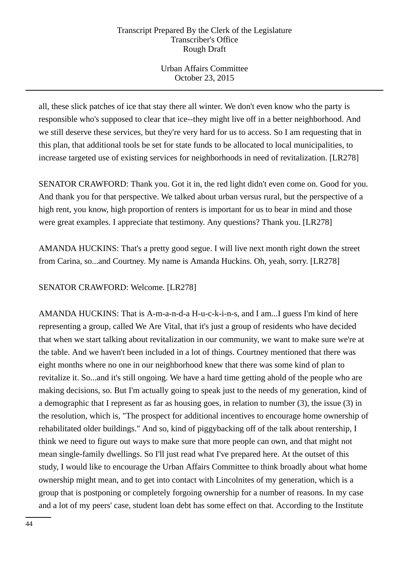Urban Affairs Committee October 23, 2015

all, these slick patches of ice that stay there all winter. We don't even know who the party is responsible who's supposed to clear that ice--they might live off in a better neighborhood. And we still deserve these services, but they're very hard for us to access. So I am requesting that in this plan, that additional tools be set for state funds to be allocated to local municipalities, to increase targeted use of existing services for neighborhoods in need of revitalization. [LR278]

SENATOR CRAWFORD: Thank you. Got it in, the red light didn't even come on. Good for you. And thank you for that perspective. We talked about urban versus rural, but the perspective of a high rent, you know, high proportion of renters is important for us to bear in mind and those were great examples. I appreciate that testimony. Any questions? Thank you. [LR278]

AMANDA HUCKINS: That's a pretty good segue. I will live next month right down the street from Carina, so...and Courtney. My name is Amanda Huckins. Oh, yeah, sorry. [LR278]

SENATOR CRAWFORD: Welcome. [LR278]

AMANDA HUCKINS: That is A-m-a-n-d-a H-u-c-k-i-n-s, and I am...I guess I'm kind of here representing a group, called We Are Vital, that it's just a group of residents who have decided that when we start talking about revitalization in our community, we want to make sure we're at the table. And we haven't been included in a lot of things. Courtney mentioned that there was eight months where no one in our neighborhood knew that there was some kind of plan to revitalize it. So...and it's still ongoing. We have a hard time getting ahold of the people who are making decisions, so. But I'm actually going to speak just to the needs of my generation, kind of a demographic that I represent as far as housing goes, in relation to number (3), the issue (3) in the resolution, which is, "The prospect for additional incentives to encourage home ownership of rehabilitated older buildings." And so, kind of piggybacking off of the talk about rentership, I think we need to figure out ways to make sure that more people can own, and that might not mean single-family dwellings. So I'll just read what I've prepared here. At the outset of this study, I would like to encourage the Urban Affairs Committee to think broadly about what home ownership might mean, and to get into contact with Lincolnites of my generation, which is a group that is postponing or completely forgoing ownership for a number of reasons. In my case and a lot of my peers' case, student loan debt has some effect on that. According to the Institute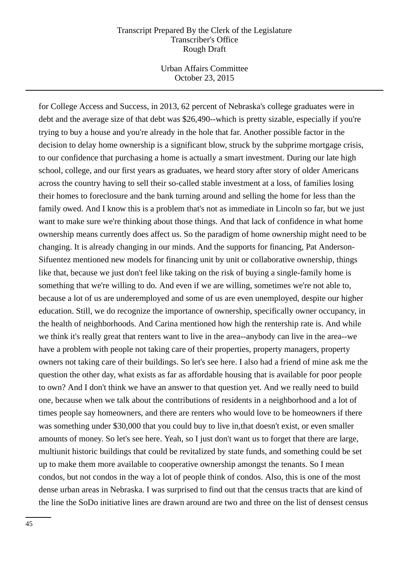Urban Affairs Committee October 23, 2015

for College Access and Success, in 2013, 62 percent of Nebraska's college graduates were in debt and the average size of that debt was \$26,490--which is pretty sizable, especially if you're trying to buy a house and you're already in the hole that far. Another possible factor in the decision to delay home ownership is a significant blow, struck by the subprime mortgage crisis, to our confidence that purchasing a home is actually a smart investment. During our late high school, college, and our first years as graduates, we heard story after story of older Americans across the country having to sell their so-called stable investment at a loss, of families losing their homes to foreclosure and the bank turning around and selling the home for less than the family owed. And I know this is a problem that's not as immediate in Lincoln so far, but we just want to make sure we're thinking about those things. And that lack of confidence in what home ownership means currently does affect us. So the paradigm of home ownership might need to be changing. It is already changing in our minds. And the supports for financing, Pat Anderson-Sifuentez mentioned new models for financing unit by unit or collaborative ownership, things like that, because we just don't feel like taking on the risk of buying a single-family home is something that we're willing to do. And even if we are willing, sometimes we're not able to, because a lot of us are underemployed and some of us are even unemployed, despite our higher education. Still, we do recognize the importance of ownership, specifically owner occupancy, in the health of neighborhoods. And Carina mentioned how high the rentership rate is. And while we think it's really great that renters want to live in the area--anybody can live in the area--we have a problem with people not taking care of their properties, property managers, property owners not taking care of their buildings. So let's see here. I also had a friend of mine ask me the question the other day, what exists as far as affordable housing that is available for poor people to own? And I don't think we have an answer to that question yet. And we really need to build one, because when we talk about the contributions of residents in a neighborhood and a lot of times people say homeowners, and there are renters who would love to be homeowners if there was something under \$30,000 that you could buy to live in,that doesn't exist, or even smaller amounts of money. So let's see here. Yeah, so I just don't want us to forget that there are large, multiunit historic buildings that could be revitalized by state funds, and something could be set up to make them more available to cooperative ownership amongst the tenants. So I mean condos, but not condos in the way a lot of people think of condos. Also, this is one of the most dense urban areas in Nebraska. I was surprised to find out that the census tracts that are kind of the line the SoDo initiative lines are drawn around are two and three on the list of densest census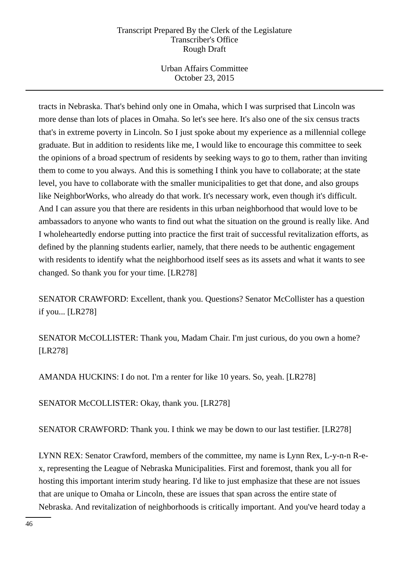Urban Affairs Committee October 23, 2015

tracts in Nebraska. That's behind only one in Omaha, which I was surprised that Lincoln was more dense than lots of places in Omaha. So let's see here. It's also one of the six census tracts that's in extreme poverty in Lincoln. So I just spoke about my experience as a millennial college graduate. But in addition to residents like me, I would like to encourage this committee to seek the opinions of a broad spectrum of residents by seeking ways to go to them, rather than inviting them to come to you always. And this is something I think you have to collaborate; at the state level, you have to collaborate with the smaller municipalities to get that done, and also groups like NeighborWorks, who already do that work. It's necessary work, even though it's difficult. And I can assure you that there are residents in this urban neighborhood that would love to be ambassadors to anyone who wants to find out what the situation on the ground is really like. And I wholeheartedly endorse putting into practice the first trait of successful revitalization efforts, as defined by the planning students earlier, namely, that there needs to be authentic engagement with residents to identify what the neighborhood itself sees as its assets and what it wants to see changed. So thank you for your time. [LR278]

SENATOR CRAWFORD: Excellent, thank you. Questions? Senator McCollister has a question if you... [LR278]

SENATOR McCOLLISTER: Thank you, Madam Chair. I'm just curious, do you own a home? [LR278]

AMANDA HUCKINS: I do not. I'm a renter for like 10 years. So, yeah. [LR278]

SENATOR McCOLLISTER: Okay, thank you. [LR278]

SENATOR CRAWFORD: Thank you. I think we may be down to our last testifier. [LR278]

LYNN REX: Senator Crawford, members of the committee, my name is Lynn Rex, L-y-n-n R-ex, representing the League of Nebraska Municipalities. First and foremost, thank you all for hosting this important interim study hearing. I'd like to just emphasize that these are not issues that are unique to Omaha or Lincoln, these are issues that span across the entire state of Nebraska. And revitalization of neighborhoods is critically important. And you've heard today a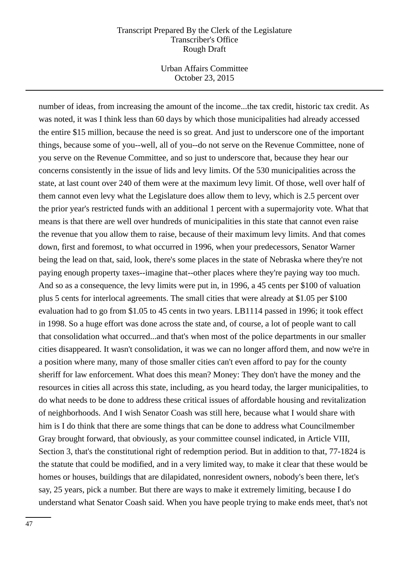Urban Affairs Committee October 23, 2015

number of ideas, from increasing the amount of the income...the tax credit, historic tax credit. As was noted, it was I think less than 60 days by which those municipalities had already accessed the entire \$15 million, because the need is so great. And just to underscore one of the important things, because some of you--well, all of you--do not serve on the Revenue Committee, none of you serve on the Revenue Committee, and so just to underscore that, because they hear our concerns consistently in the issue of lids and levy limits. Of the 530 municipalities across the state, at last count over 240 of them were at the maximum levy limit. Of those, well over half of them cannot even levy what the Legislature does allow them to levy, which is 2.5 percent over the prior year's restricted funds with an additional 1 percent with a supermajority vote. What that means is that there are well over hundreds of municipalities in this state that cannot even raise the revenue that you allow them to raise, because of their maximum levy limits. And that comes down, first and foremost, to what occurred in 1996, when your predecessors, Senator Warner being the lead on that, said, look, there's some places in the state of Nebraska where they're not paying enough property taxes--imagine that--other places where they're paying way too much. And so as a consequence, the levy limits were put in, in 1996, a 45 cents per \$100 of valuation plus 5 cents for interlocal agreements. The small cities that were already at \$1.05 per \$100 evaluation had to go from \$1.05 to 45 cents in two years. LB1114 passed in 1996; it took effect in 1998. So a huge effort was done across the state and, of course, a lot of people want to call that consolidation what occurred...and that's when most of the police departments in our smaller cities disappeared. It wasn't consolidation, it was we can no longer afford them, and now we're in a position where many, many of those smaller cities can't even afford to pay for the county sheriff for law enforcement. What does this mean? Money: They don't have the money and the resources in cities all across this state, including, as you heard today, the larger municipalities, to do what needs to be done to address these critical issues of affordable housing and revitalization of neighborhoods. And I wish Senator Coash was still here, because what I would share with him is I do think that there are some things that can be done to address what Councilmember Gray brought forward, that obviously, as your committee counsel indicated, in Article VIII, Section 3, that's the constitutional right of redemption period. But in addition to that, 77-1824 is the statute that could be modified, and in a very limited way, to make it clear that these would be homes or houses, buildings that are dilapidated, nonresident owners, nobody's been there, let's say, 25 years, pick a number. But there are ways to make it extremely limiting, because I do understand what Senator Coash said. When you have people trying to make ends meet, that's not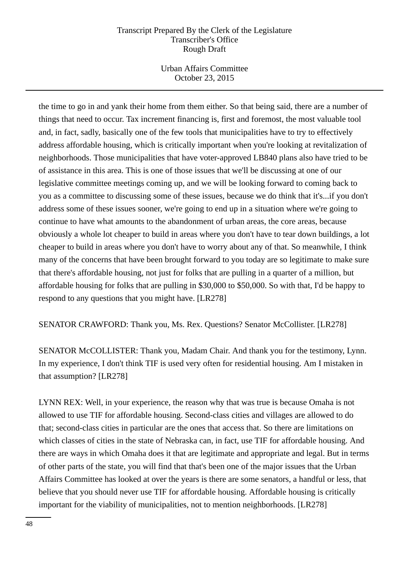Urban Affairs Committee October 23, 2015

the time to go in and yank their home from them either. So that being said, there are a number of things that need to occur. Tax increment financing is, first and foremost, the most valuable tool and, in fact, sadly, basically one of the few tools that municipalities have to try to effectively address affordable housing, which is critically important when you're looking at revitalization of neighborhoods. Those municipalities that have voter-approved LB840 plans also have tried to be of assistance in this area. This is one of those issues that we'll be discussing at one of our legislative committee meetings coming up, and we will be looking forward to coming back to you as a committee to discussing some of these issues, because we do think that it's...if you don't address some of these issues sooner, we're going to end up in a situation where we're going to continue to have what amounts to the abandonment of urban areas, the core areas, because obviously a whole lot cheaper to build in areas where you don't have to tear down buildings, a lot cheaper to build in areas where you don't have to worry about any of that. So meanwhile, I think many of the concerns that have been brought forward to you today are so legitimate to make sure that there's affordable housing, not just for folks that are pulling in a quarter of a million, but affordable housing for folks that are pulling in \$30,000 to \$50,000. So with that, I'd be happy to respond to any questions that you might have. [LR278]

SENATOR CRAWFORD: Thank you, Ms. Rex. Questions? Senator McCollister. [LR278]

SENATOR McCOLLISTER: Thank you, Madam Chair. And thank you for the testimony, Lynn. In my experience, I don't think TIF is used very often for residential housing. Am I mistaken in that assumption? [LR278]

LYNN REX: Well, in your experience, the reason why that was true is because Omaha is not allowed to use TIF for affordable housing. Second-class cities and villages are allowed to do that; second-class cities in particular are the ones that access that. So there are limitations on which classes of cities in the state of Nebraska can, in fact, use TIF for affordable housing. And there are ways in which Omaha does it that are legitimate and appropriate and legal. But in terms of other parts of the state, you will find that that's been one of the major issues that the Urban Affairs Committee has looked at over the years is there are some senators, a handful or less, that believe that you should never use TIF for affordable housing. Affordable housing is critically important for the viability of municipalities, not to mention neighborhoods. [LR278]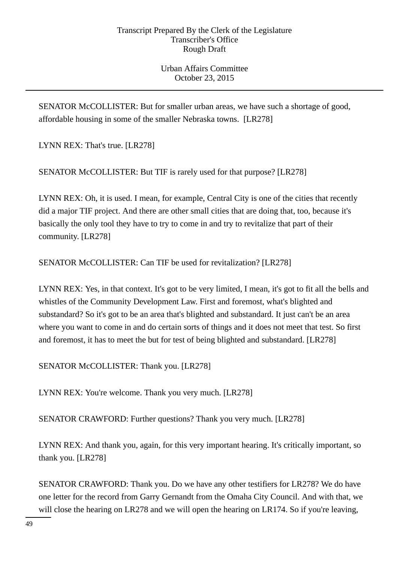SENATOR McCOLLISTER: But for smaller urban areas, we have such a shortage of good, affordable housing in some of the smaller Nebraska towns. [LR278]

LYNN REX: That's true. [LR278]

SENATOR McCOLLISTER: But TIF is rarely used for that purpose? [LR278]

LYNN REX: Oh, it is used. I mean, for example, Central City is one of the cities that recently did a major TIF project. And there are other small cities that are doing that, too, because it's basically the only tool they have to try to come in and try to revitalize that part of their community. [LR278]

SENATOR McCOLLISTER: Can TIF be used for revitalization? [LR278]

LYNN REX: Yes, in that context. It's got to be very limited, I mean, it's got to fit all the bells and whistles of the Community Development Law. First and foremost, what's blighted and substandard? So it's got to be an area that's blighted and substandard. It just can't be an area where you want to come in and do certain sorts of things and it does not meet that test. So first and foremost, it has to meet the but for test of being blighted and substandard. [LR278]

SENATOR McCOLLISTER: Thank you. [LR278]

LYNN REX: You're welcome. Thank you very much. [LR278]

SENATOR CRAWFORD: Further questions? Thank you very much. [LR278]

LYNN REX: And thank you, again, for this very important hearing. It's critically important, so thank you. [LR278]

SENATOR CRAWFORD: Thank you. Do we have any other testifiers for LR278? We do have one letter for the record from Garry Gernandt from the Omaha City Council. And with that, we will close the hearing on LR278 and we will open the hearing on LR174. So if you're leaving,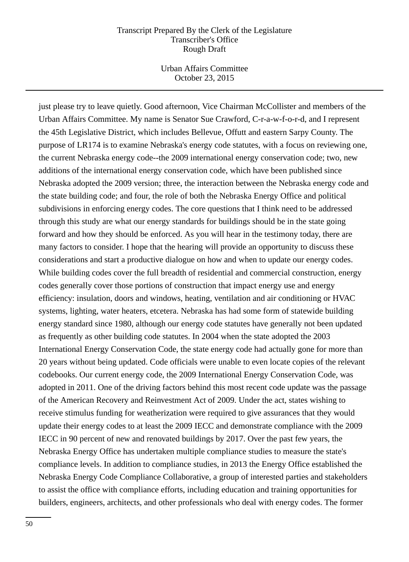Urban Affairs Committee October 23, 2015

just please try to leave quietly. Good afternoon, Vice Chairman McCollister and members of the Urban Affairs Committee. My name is Senator Sue Crawford, C-r-a-w-f-o-r-d, and I represent the 45th Legislative District, which includes Bellevue, Offutt and eastern Sarpy County. The purpose of LR174 is to examine Nebraska's energy code statutes, with a focus on reviewing one, the current Nebraska energy code--the 2009 international energy conservation code; two, new additions of the international energy conservation code, which have been published since Nebraska adopted the 2009 version; three, the interaction between the Nebraska energy code and the state building code; and four, the role of both the Nebraska Energy Office and political subdivisions in enforcing energy codes. The core questions that I think need to be addressed through this study are what our energy standards for buildings should be in the state going forward and how they should be enforced. As you will hear in the testimony today, there are many factors to consider. I hope that the hearing will provide an opportunity to discuss these considerations and start a productive dialogue on how and when to update our energy codes. While building codes cover the full breadth of residential and commercial construction, energy codes generally cover those portions of construction that impact energy use and energy efficiency: insulation, doors and windows, heating, ventilation and air conditioning or HVAC systems, lighting, water heaters, etcetera. Nebraska has had some form of statewide building energy standard since 1980, although our energy code statutes have generally not been updated as frequently as other building code statutes. In 2004 when the state adopted the 2003 International Energy Conservation Code, the state energy code had actually gone for more than 20 years without being updated. Code officials were unable to even locate copies of the relevant codebooks. Our current energy code, the 2009 International Energy Conservation Code, was adopted in 2011. One of the driving factors behind this most recent code update was the passage of the American Recovery and Reinvestment Act of 2009. Under the act, states wishing to receive stimulus funding for weatherization were required to give assurances that they would update their energy codes to at least the 2009 IECC and demonstrate compliance with the 2009 IECC in 90 percent of new and renovated buildings by 2017. Over the past few years, the Nebraska Energy Office has undertaken multiple compliance studies to measure the state's compliance levels. In addition to compliance studies, in 2013 the Energy Office established the Nebraska Energy Code Compliance Collaborative, a group of interested parties and stakeholders to assist the office with compliance efforts, including education and training opportunities for builders, engineers, architects, and other professionals who deal with energy codes. The former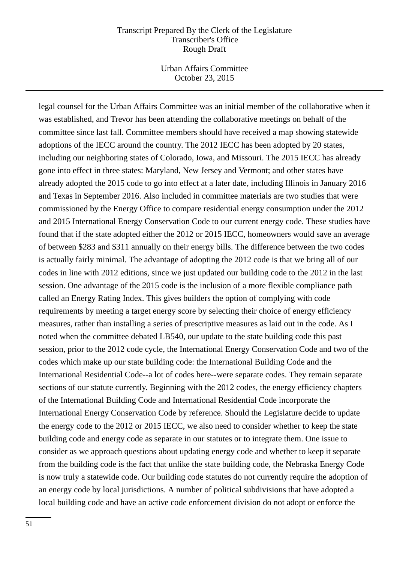Urban Affairs Committee October 23, 2015

legal counsel for the Urban Affairs Committee was an initial member of the collaborative when it was established, and Trevor has been attending the collaborative meetings on behalf of the committee since last fall. Committee members should have received a map showing statewide adoptions of the IECC around the country. The 2012 IECC has been adopted by 20 states, including our neighboring states of Colorado, Iowa, and Missouri. The 2015 IECC has already gone into effect in three states: Maryland, New Jersey and Vermont; and other states have already adopted the 2015 code to go into effect at a later date, including Illinois in January 2016 and Texas in September 2016. Also included in committee materials are two studies that were commissioned by the Energy Office to compare residential energy consumption under the 2012 and 2015 International Energy Conservation Code to our current energy code. These studies have found that if the state adopted either the 2012 or 2015 IECC, homeowners would save an average of between \$283 and \$311 annually on their energy bills. The difference between the two codes is actually fairly minimal. The advantage of adopting the 2012 code is that we bring all of our codes in line with 2012 editions, since we just updated our building code to the 2012 in the last session. One advantage of the 2015 code is the inclusion of a more flexible compliance path called an Energy Rating Index. This gives builders the option of complying with code requirements by meeting a target energy score by selecting their choice of energy efficiency measures, rather than installing a series of prescriptive measures as laid out in the code. As I noted when the committee debated LB540, our update to the state building code this past session, prior to the 2012 code cycle, the International Energy Conservation Code and two of the codes which make up our state building code: the International Building Code and the International Residential Code--a lot of codes here--were separate codes. They remain separate sections of our statute currently. Beginning with the 2012 codes, the energy efficiency chapters of the International Building Code and International Residential Code incorporate the International Energy Conservation Code by reference. Should the Legislature decide to update the energy code to the 2012 or 2015 IECC, we also need to consider whether to keep the state building code and energy code as separate in our statutes or to integrate them. One issue to consider as we approach questions about updating energy code and whether to keep it separate from the building code is the fact that unlike the state building code, the Nebraska Energy Code is now truly a statewide code. Our building code statutes do not currently require the adoption of an energy code by local jurisdictions. A number of political subdivisions that have adopted a local building code and have an active code enforcement division do not adopt or enforce the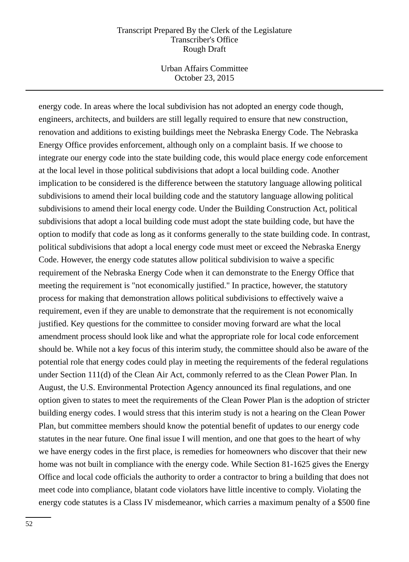Urban Affairs Committee October 23, 2015

energy code. In areas where the local subdivision has not adopted an energy code though, engineers, architects, and builders are still legally required to ensure that new construction, renovation and additions to existing buildings meet the Nebraska Energy Code. The Nebraska Energy Office provides enforcement, although only on a complaint basis. If we choose to integrate our energy code into the state building code, this would place energy code enforcement at the local level in those political subdivisions that adopt a local building code. Another implication to be considered is the difference between the statutory language allowing political subdivisions to amend their local building code and the statutory language allowing political subdivisions to amend their local energy code. Under the Building Construction Act, political subdivisions that adopt a local building code must adopt the state building code, but have the option to modify that code as long as it conforms generally to the state building code. In contrast, political subdivisions that adopt a local energy code must meet or exceed the Nebraska Energy Code. However, the energy code statutes allow political subdivision to waive a specific requirement of the Nebraska Energy Code when it can demonstrate to the Energy Office that meeting the requirement is "not economically justified." In practice, however, the statutory process for making that demonstration allows political subdivisions to effectively waive a requirement, even if they are unable to demonstrate that the requirement is not economically justified. Key questions for the committee to consider moving forward are what the local amendment process should look like and what the appropriate role for local code enforcement should be. While not a key focus of this interim study, the committee should also be aware of the potential role that energy codes could play in meeting the requirements of the federal regulations under Section 111(d) of the Clean Air Act, commonly referred to as the Clean Power Plan. In August, the U.S. Environmental Protection Agency announced its final regulations, and one option given to states to meet the requirements of the Clean Power Plan is the adoption of stricter building energy codes. I would stress that this interim study is not a hearing on the Clean Power Plan, but committee members should know the potential benefit of updates to our energy code statutes in the near future. One final issue I will mention, and one that goes to the heart of why we have energy codes in the first place, is remedies for homeowners who discover that their new home was not built in compliance with the energy code. While Section 81-1625 gives the Energy Office and local code officials the authority to order a contractor to bring a building that does not meet code into compliance, blatant code violators have little incentive to comply. Violating the energy code statutes is a Class IV misdemeanor, which carries a maximum penalty of a \$500 fine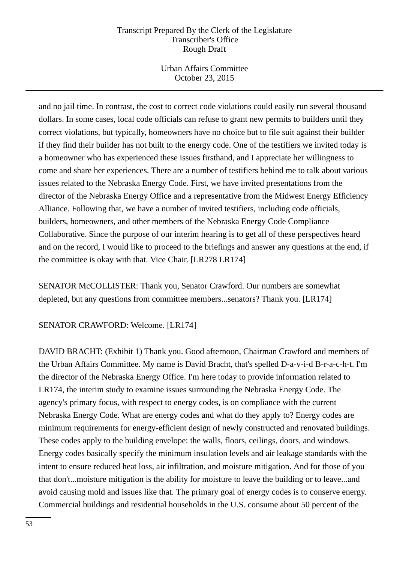Urban Affairs Committee October 23, 2015

and no jail time. In contrast, the cost to correct code violations could easily run several thousand dollars. In some cases, local code officials can refuse to grant new permits to builders until they correct violations, but typically, homeowners have no choice but to file suit against their builder if they find their builder has not built to the energy code. One of the testifiers we invited today is a homeowner who has experienced these issues firsthand, and I appreciate her willingness to come and share her experiences. There are a number of testifiers behind me to talk about various issues related to the Nebraska Energy Code. First, we have invited presentations from the director of the Nebraska Energy Office and a representative from the Midwest Energy Efficiency Alliance. Following that, we have a number of invited testifiers, including code officials, builders, homeowners, and other members of the Nebraska Energy Code Compliance Collaborative. Since the purpose of our interim hearing is to get all of these perspectives heard and on the record, I would like to proceed to the briefings and answer any questions at the end, if the committee is okay with that. Vice Chair. [LR278 LR174]

SENATOR McCOLLISTER: Thank you, Senator Crawford. Our numbers are somewhat depleted, but any questions from committee members...senators? Thank you. [LR174]

SENATOR CRAWFORD: Welcome. [LR174]

DAVID BRACHT: (Exhibit 1) Thank you. Good afternoon, Chairman Crawford and members of the Urban Affairs Committee. My name is David Bracht, that's spelled D-a-v-i-d B-r-a-c-h-t. I'm the director of the Nebraska Energy Office. I'm here today to provide information related to LR174, the interim study to examine issues surrounding the Nebraska Energy Code. The agency's primary focus, with respect to energy codes, is on compliance with the current Nebraska Energy Code. What are energy codes and what do they apply to? Energy codes are minimum requirements for energy-efficient design of newly constructed and renovated buildings. These codes apply to the building envelope: the walls, floors, ceilings, doors, and windows. Energy codes basically specify the minimum insulation levels and air leakage standards with the intent to ensure reduced heat loss, air infiltration, and moisture mitigation. And for those of you that don't...moisture mitigation is the ability for moisture to leave the building or to leave...and avoid causing mold and issues like that. The primary goal of energy codes is to conserve energy. Commercial buildings and residential households in the U.S. consume about 50 percent of the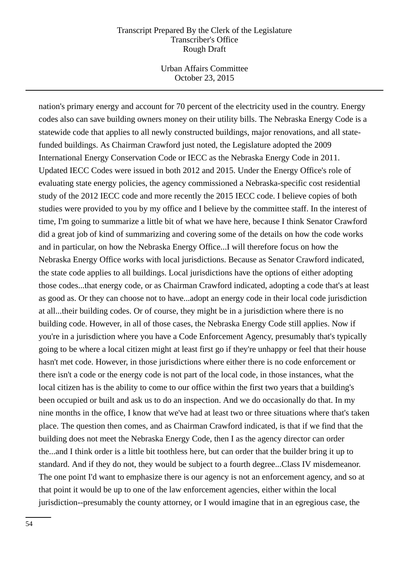Urban Affairs Committee October 23, 2015

nation's primary energy and account for 70 percent of the electricity used in the country. Energy codes also can save building owners money on their utility bills. The Nebraska Energy Code is a statewide code that applies to all newly constructed buildings, major renovations, and all statefunded buildings. As Chairman Crawford just noted, the Legislature adopted the 2009 International Energy Conservation Code or IECC as the Nebraska Energy Code in 2011. Updated IECC Codes were issued in both 2012 and 2015. Under the Energy Office's role of evaluating state energy policies, the agency commissioned a Nebraska-specific cost residential study of the 2012 IECC code and more recently the 2015 IECC code. I believe copies of both studies were provided to you by my office and I believe by the committee staff. In the interest of time, I'm going to summarize a little bit of what we have here, because I think Senator Crawford did a great job of kind of summarizing and covering some of the details on how the code works and in particular, on how the Nebraska Energy Office...I will therefore focus on how the Nebraska Energy Office works with local jurisdictions. Because as Senator Crawford indicated, the state code applies to all buildings. Local jurisdictions have the options of either adopting those codes...that energy code, or as Chairman Crawford indicated, adopting a code that's at least as good as. Or they can choose not to have...adopt an energy code in their local code jurisdiction at all...their building codes. Or of course, they might be in a jurisdiction where there is no building code. However, in all of those cases, the Nebraska Energy Code still applies. Now if you're in a jurisdiction where you have a Code Enforcement Agency, presumably that's typically going to be where a local citizen might at least first go if they're unhappy or feel that their house hasn't met code. However, in those jurisdictions where either there is no code enforcement or there isn't a code or the energy code is not part of the local code, in those instances, what the local citizen has is the ability to come to our office within the first two years that a building's been occupied or built and ask us to do an inspection. And we do occasionally do that. In my nine months in the office, I know that we've had at least two or three situations where that's taken place. The question then comes, and as Chairman Crawford indicated, is that if we find that the building does not meet the Nebraska Energy Code, then I as the agency director can order the...and I think order is a little bit toothless here, but can order that the builder bring it up to standard. And if they do not, they would be subject to a fourth degree...Class IV misdemeanor. The one point I'd want to emphasize there is our agency is not an enforcement agency, and so at that point it would be up to one of the law enforcement agencies, either within the local jurisdiction--presumably the county attorney, or I would imagine that in an egregious case, the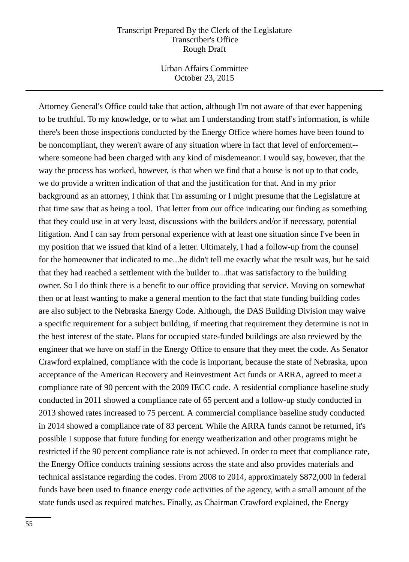Urban Affairs Committee October 23, 2015

Attorney General's Office could take that action, although I'm not aware of that ever happening to be truthful. To my knowledge, or to what am I understanding from staff's information, is while there's been those inspections conducted by the Energy Office where homes have been found to be noncompliant, they weren't aware of any situation where in fact that level of enforcement- where someone had been charged with any kind of misdemeanor. I would say, however, that the way the process has worked, however, is that when we find that a house is not up to that code, we do provide a written indication of that and the justification for that. And in my prior background as an attorney, I think that I'm assuming or I might presume that the Legislature at that time saw that as being a tool. That letter from our office indicating our finding as something that they could use in at very least, discussions with the builders and/or if necessary, potential litigation. And I can say from personal experience with at least one situation since I've been in my position that we issued that kind of a letter. Ultimately, I had a follow-up from the counsel for the homeowner that indicated to me...he didn't tell me exactly what the result was, but he said that they had reached a settlement with the builder to...that was satisfactory to the building owner. So I do think there is a benefit to our office providing that service. Moving on somewhat then or at least wanting to make a general mention to the fact that state funding building codes are also subject to the Nebraska Energy Code. Although, the DAS Building Division may waive a specific requirement for a subject building, if meeting that requirement they determine is not in the best interest of the state. Plans for occupied state-funded buildings are also reviewed by the engineer that we have on staff in the Energy Office to ensure that they meet the code. As Senator Crawford explained, compliance with the code is important, because the state of Nebraska, upon acceptance of the American Recovery and Reinvestment Act funds or ARRA, agreed to meet a compliance rate of 90 percent with the 2009 IECC code. A residential compliance baseline study conducted in 2011 showed a compliance rate of 65 percent and a follow-up study conducted in 2013 showed rates increased to 75 percent. A commercial compliance baseline study conducted in 2014 showed a compliance rate of 83 percent. While the ARRA funds cannot be returned, it's possible I suppose that future funding for energy weatherization and other programs might be restricted if the 90 percent compliance rate is not achieved. In order to meet that compliance rate, the Energy Office conducts training sessions across the state and also provides materials and technical assistance regarding the codes. From 2008 to 2014, approximately \$872,000 in federal funds have been used to finance energy code activities of the agency, with a small amount of the state funds used as required matches. Finally, as Chairman Crawford explained, the Energy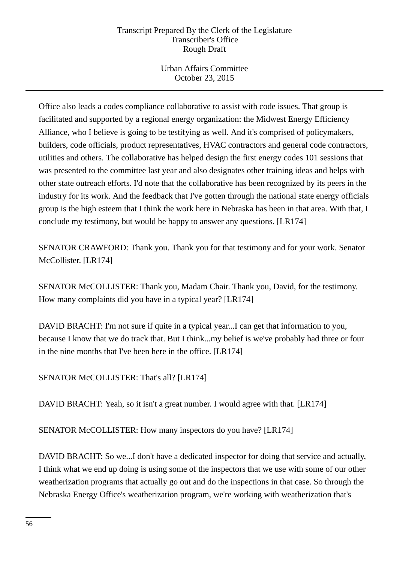Urban Affairs Committee October 23, 2015

Office also leads a codes compliance collaborative to assist with code issues. That group is facilitated and supported by a regional energy organization: the Midwest Energy Efficiency Alliance, who I believe is going to be testifying as well. And it's comprised of policymakers, builders, code officials, product representatives, HVAC contractors and general code contractors, utilities and others. The collaborative has helped design the first energy codes 101 sessions that was presented to the committee last year and also designates other training ideas and helps with other state outreach efforts. I'd note that the collaborative has been recognized by its peers in the industry for its work. And the feedback that I've gotten through the national state energy officials group is the high esteem that I think the work here in Nebraska has been in that area. With that, I conclude my testimony, but would be happy to answer any questions. [LR174]

SENATOR CRAWFORD: Thank you. Thank you for that testimony and for your work. Senator McCollister. [LR174]

SENATOR McCOLLISTER: Thank you, Madam Chair. Thank you, David, for the testimony. How many complaints did you have in a typical year? [LR174]

DAVID BRACHT: I'm not sure if quite in a typical year...I can get that information to you, because I know that we do track that. But I think...my belief is we've probably had three or four in the nine months that I've been here in the office. [LR174]

# SENATOR McCOLLISTER: That's all? [LR174]

DAVID BRACHT: Yeah, so it isn't a great number. I would agree with that. [LR174]

SENATOR McCOLLISTER: How many inspectors do you have? [LR174]

DAVID BRACHT: So we...I don't have a dedicated inspector for doing that service and actually, I think what we end up doing is using some of the inspectors that we use with some of our other weatherization programs that actually go out and do the inspections in that case. So through the Nebraska Energy Office's weatherization program, we're working with weatherization that's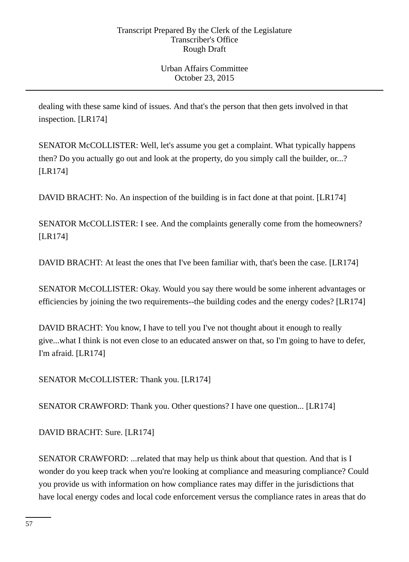dealing with these same kind of issues. And that's the person that then gets involved in that inspection. [LR174]

SENATOR McCOLLISTER: Well, let's assume you get a complaint. What typically happens then? Do you actually go out and look at the property, do you simply call the builder, or...? [LR174]

DAVID BRACHT: No. An inspection of the building is in fact done at that point. [LR174]

SENATOR McCOLLISTER: I see. And the complaints generally come from the homeowners? [LR174]

DAVID BRACHT: At least the ones that I've been familiar with, that's been the case. [LR174]

SENATOR McCOLLISTER: Okay. Would you say there would be some inherent advantages or efficiencies by joining the two requirements--the building codes and the energy codes? [LR174]

DAVID BRACHT: You know, I have to tell you I've not thought about it enough to really give...what I think is not even close to an educated answer on that, so I'm going to have to defer, I'm afraid. [LR174]

SENATOR McCOLLISTER: Thank you. [LR174]

SENATOR CRAWFORD: Thank you. Other questions? I have one question... [LR174]

DAVID BRACHT: Sure. [LR174]

SENATOR CRAWFORD: ...related that may help us think about that question. And that is I wonder do you keep track when you're looking at compliance and measuring compliance? Could you provide us with information on how compliance rates may differ in the jurisdictions that have local energy codes and local code enforcement versus the compliance rates in areas that do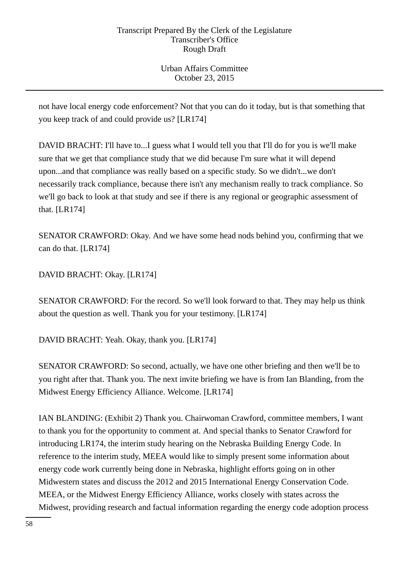Urban Affairs Committee October 23, 2015

not have local energy code enforcement? Not that you can do it today, but is that something that you keep track of and could provide us? [LR174]

DAVID BRACHT: I'll have to...I guess what I would tell you that I'll do for you is we'll make sure that we get that compliance study that we did because I'm sure what it will depend upon...and that compliance was really based on a specific study. So we didn't...we don't necessarily track compliance, because there isn't any mechanism really to track compliance. So we'll go back to look at that study and see if there is any regional or geographic assessment of that. [LR174]

SENATOR CRAWFORD: Okay. And we have some head nods behind you, confirming that we can do that. [LR174]

DAVID BRACHT: Okay. [LR174]

SENATOR CRAWFORD: For the record. So we'll look forward to that. They may help us think about the question as well. Thank you for your testimony. [LR174]

DAVID BRACHT: Yeah. Okay, thank you. [LR174]

SENATOR CRAWFORD: So second, actually, we have one other briefing and then we'll be to you right after that. Thank you. The next invite briefing we have is from Ian Blanding, from the Midwest Energy Efficiency Alliance. Welcome. [LR174]

IAN BLANDING: (Exhibit 2) Thank you. Chairwoman Crawford, committee members, I want to thank you for the opportunity to comment at. And special thanks to Senator Crawford for introducing LR174, the interim study hearing on the Nebraska Building Energy Code. In reference to the interim study, MEEA would like to simply present some information about energy code work currently being done in Nebraska, highlight efforts going on in other Midwestern states and discuss the 2012 and 2015 International Energy Conservation Code. MEEA, or the Midwest Energy Efficiency Alliance, works closely with states across the Midwest, providing research and factual information regarding the energy code adoption process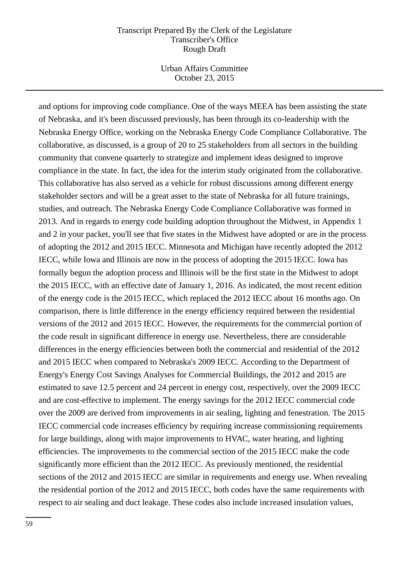Urban Affairs Committee October 23, 2015

and options for improving code compliance. One of the ways MEEA has been assisting the state of Nebraska, and it's been discussed previously, has been through its co-leadership with the Nebraska Energy Office, working on the Nebraska Energy Code Compliance Collaborative. The collaborative, as discussed, is a group of 20 to 25 stakeholders from all sectors in the building community that convene quarterly to strategize and implement ideas designed to improve compliance in the state. In fact, the idea for the interim study originated from the collaborative. This collaborative has also served as a vehicle for robust discussions among different energy stakeholder sectors and will be a great asset to the state of Nebraska for all future trainings, studies, and outreach. The Nebraska Energy Code Compliance Collaborative was formed in 2013. And in regards to energy code building adoption throughout the Midwest, in Appendix 1 and 2 in your packet, you'll see that five states in the Midwest have adopted or are in the process of adopting the 2012 and 2015 IECC. Minnesota and Michigan have recently adopted the 2012 IECC, while Iowa and Illinois are now in the process of adopting the 2015 IECC. Iowa has formally begun the adoption process and Illinois will be the first state in the Midwest to adopt the 2015 IECC, with an effective date of January 1, 2016. As indicated, the most recent edition of the energy code is the 2015 IECC, which replaced the 2012 IECC about 16 months ago. On comparison, there is little difference in the energy efficiency required between the residential versions of the 2012 and 2015 IECC. However, the requirements for the commercial portion of the code result in significant difference in energy use. Nevertheless, there are considerable differences in the energy efficiencies between both the commercial and residential of the 2012 and 2015 IECC when compared to Nebraska's 2009 IECC. According to the Department of Energy's Energy Cost Savings Analyses for Commercial Buildings, the 2012 and 2015 are estimated to save 12.5 percent and 24 percent in energy cost, respectively, over the 2009 IECC and are cost-effective to implement. The energy savings for the 2012 IECC commercial code over the 2009 are derived from improvements in air sealing, lighting and fenestration. The 2015 IECC commercial code increases efficiency by requiring increase commissioning requirements for large buildings, along with major improvements to HVAC, water heating, and lighting efficiencies. The improvements to the commercial section of the 2015 IECC make the code significantly more efficient than the 2012 IECC. As previously mentioned, the residential sections of the 2012 and 2015 IECC are similar in requirements and energy use. When revealing the residential portion of the 2012 and 2015 IECC, both codes have the same requirements with respect to air sealing and duct leakage. These codes also include increased insulation values,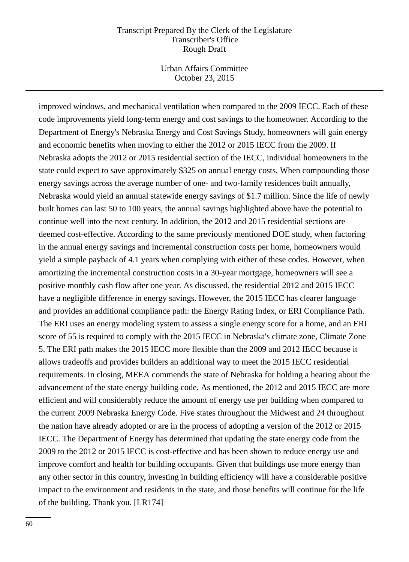Urban Affairs Committee October 23, 2015

improved windows, and mechanical ventilation when compared to the 2009 IECC. Each of these code improvements yield long-term energy and cost savings to the homeowner. According to the Department of Energy's Nebraska Energy and Cost Savings Study, homeowners will gain energy and economic benefits when moving to either the 2012 or 2015 IECC from the 2009. If Nebraska adopts the 2012 or 2015 residential section of the IECC, individual homeowners in the state could expect to save approximately \$325 on annual energy costs. When compounding those energy savings across the average number of one- and two-family residences built annually, Nebraska would yield an annual statewide energy savings of \$1.7 million. Since the life of newly built homes can last 50 to 100 years, the annual savings highlighted above have the potential to continue well into the next century. In addition, the 2012 and 2015 residential sections are deemed cost-effective. According to the same previously mentioned DOE study, when factoring in the annual energy savings and incremental construction costs per home, homeowners would yield a simple payback of 4.1 years when complying with either of these codes. However, when amortizing the incremental construction costs in a 30-year mortgage, homeowners will see a positive monthly cash flow after one year. As discussed, the residential 2012 and 2015 IECC have a negligible difference in energy savings. However, the 2015 IECC has clearer language and provides an additional compliance path: the Energy Rating Index, or ERI Compliance Path. The ERI uses an energy modeling system to assess a single energy score for a home, and an ERI score of 55 is required to comply with the 2015 IECC in Nebraska's climate zone, Climate Zone 5. The ERI path makes the 2015 IECC more flexible than the 2009 and 2012 IECC because it allows tradeoffs and provides builders an additional way to meet the 2015 IECC residential requirements. In closing, MEEA commends the state of Nebraska for holding a hearing about the advancement of the state energy building code. As mentioned, the 2012 and 2015 IECC are more efficient and will considerably reduce the amount of energy use per building when compared to the current 2009 Nebraska Energy Code. Five states throughout the Midwest and 24 throughout the nation have already adopted or are in the process of adopting a version of the 2012 or 2015 IECC. The Department of Energy has determined that updating the state energy code from the 2009 to the 2012 or 2015 IECC is cost-effective and has been shown to reduce energy use and improve comfort and health for building occupants. Given that buildings use more energy than any other sector in this country, investing in building efficiency will have a considerable positive impact to the environment and residents in the state, and those benefits will continue for the life of the building. Thank you. [LR174]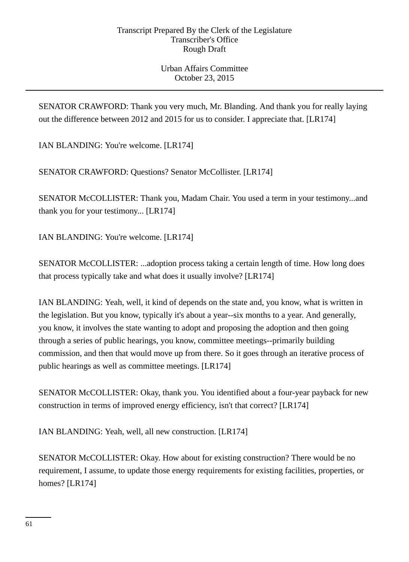SENATOR CRAWFORD: Thank you very much, Mr. Blanding. And thank you for really laying out the difference between 2012 and 2015 for us to consider. I appreciate that. [LR174]

IAN BLANDING: You're welcome. [LR174]

SENATOR CRAWFORD: Questions? Senator McCollister. [LR174]

SENATOR McCOLLISTER: Thank you, Madam Chair. You used a term in your testimony...and thank you for your testimony... [LR174]

IAN BLANDING: You're welcome. [LR174]

SENATOR McCOLLISTER: ...adoption process taking a certain length of time. How long does that process typically take and what does it usually involve? [LR174]

IAN BLANDING: Yeah, well, it kind of depends on the state and, you know, what is written in the legislation. But you know, typically it's about a year--six months to a year. And generally, you know, it involves the state wanting to adopt and proposing the adoption and then going through a series of public hearings, you know, committee meetings--primarily building commission, and then that would move up from there. So it goes through an iterative process of public hearings as well as committee meetings. [LR174]

SENATOR McCOLLISTER: Okay, thank you. You identified about a four-year payback for new construction in terms of improved energy efficiency, isn't that correct? [LR174]

IAN BLANDING: Yeah, well, all new construction. [LR174]

SENATOR McCOLLISTER: Okay. How about for existing construction? There would be no requirement, I assume, to update those energy requirements for existing facilities, properties, or homes? [LR174]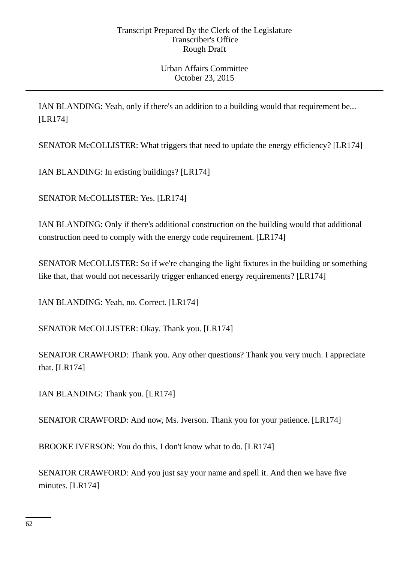IAN BLANDING: Yeah, only if there's an addition to a building would that requirement be... [LR174]

SENATOR McCOLLISTER: What triggers that need to update the energy efficiency? [LR174]

IAN BLANDING: In existing buildings? [LR174]

SENATOR McCOLLISTER: Yes. [LR174]

IAN BLANDING: Only if there's additional construction on the building would that additional construction need to comply with the energy code requirement. [LR174]

SENATOR McCOLLISTER: So if we're changing the light fixtures in the building or something like that, that would not necessarily trigger enhanced energy requirements? [LR174]

IAN BLANDING: Yeah, no. Correct. [LR174]

SENATOR McCOLLISTER: Okay. Thank you. [LR174]

SENATOR CRAWFORD: Thank you. Any other questions? Thank you very much. I appreciate that. [LR174]

IAN BLANDING: Thank you. [LR174]

SENATOR CRAWFORD: And now, Ms. Iverson. Thank you for your patience. [LR174]

BROOKE IVERSON: You do this, I don't know what to do. [LR174]

SENATOR CRAWFORD: And you just say your name and spell it. And then we have five minutes. [LR174]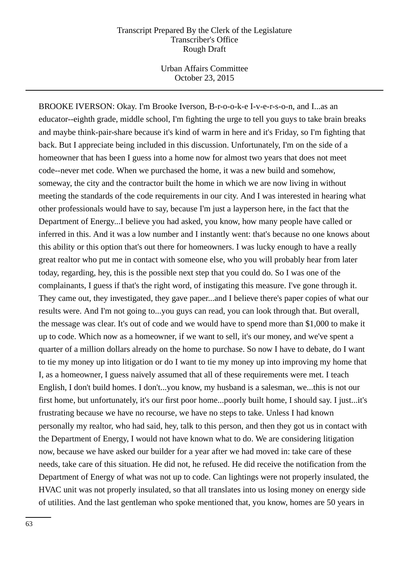Urban Affairs Committee October 23, 2015

BROOKE IVERSON: Okay. I'm Brooke Iverson, B-r-o-o-k-e I-v-e-r-s-o-n, and I...as an educator--eighth grade, middle school, I'm fighting the urge to tell you guys to take brain breaks and maybe think-pair-share because it's kind of warm in here and it's Friday, so I'm fighting that back. But I appreciate being included in this discussion. Unfortunately, I'm on the side of a homeowner that has been I guess into a home now for almost two years that does not meet code--never met code. When we purchased the home, it was a new build and somehow, someway, the city and the contractor built the home in which we are now living in without meeting the standards of the code requirements in our city. And I was interested in hearing what other professionals would have to say, because I'm just a layperson here, in the fact that the Department of Energy...I believe you had asked, you know, how many people have called or inferred in this. And it was a low number and I instantly went: that's because no one knows about this ability or this option that's out there for homeowners. I was lucky enough to have a really great realtor who put me in contact with someone else, who you will probably hear from later today, regarding, hey, this is the possible next step that you could do. So I was one of the complainants, I guess if that's the right word, of instigating this measure. I've gone through it. They came out, they investigated, they gave paper...and I believe there's paper copies of what our results were. And I'm not going to...you guys can read, you can look through that. But overall, the message was clear. It's out of code and we would have to spend more than \$1,000 to make it up to code. Which now as a homeowner, if we want to sell, it's our money, and we've spent a quarter of a million dollars already on the home to purchase. So now I have to debate, do I want to tie my money up into litigation or do I want to tie my money up into improving my home that I, as a homeowner, I guess naively assumed that all of these requirements were met. I teach English, I don't build homes. I don't...you know, my husband is a salesman, we...this is not our first home, but unfortunately, it's our first poor home...poorly built home, I should say. I just...it's frustrating because we have no recourse, we have no steps to take. Unless I had known personally my realtor, who had said, hey, talk to this person, and then they got us in contact with the Department of Energy, I would not have known what to do. We are considering litigation now, because we have asked our builder for a year after we had moved in: take care of these needs, take care of this situation. He did not, he refused. He did receive the notification from the Department of Energy of what was not up to code. Can lightings were not properly insulated, the HVAC unit was not properly insulated, so that all translates into us losing money on energy side of utilities. And the last gentleman who spoke mentioned that, you know, homes are 50 years in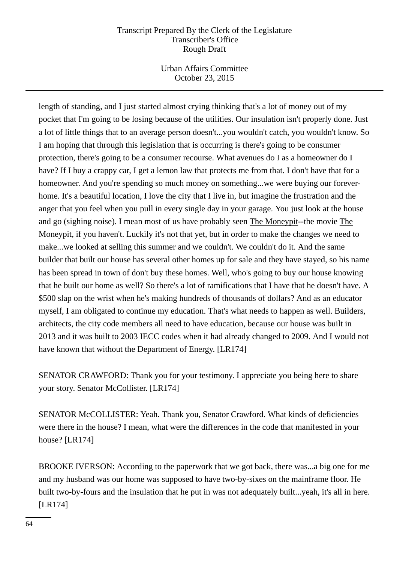Urban Affairs Committee October 23, 2015

length of standing, and I just started almost crying thinking that's a lot of money out of my pocket that I'm going to be losing because of the utilities. Our insulation isn't properly done. Just a lot of little things that to an average person doesn't...you wouldn't catch, you wouldn't know. So I am hoping that through this legislation that is occurring is there's going to be consumer protection, there's going to be a consumer recourse. What avenues do I as a homeowner do I have? If I buy a crappy car, I get a lemon law that protects me from that. I don't have that for a homeowner. And you're spending so much money on something...we were buying our foreverhome. It's a beautiful location, I love the city that I live in, but imagine the frustration and the anger that you feel when you pull in every single day in your garage. You just look at the house and go (sighing noise). I mean most of us have probably seen The Moneypit--the movie The Moneypit, if you haven't. Luckily it's not that yet, but in order to make the changes we need to make...we looked at selling this summer and we couldn't. We couldn't do it. And the same builder that built our house has several other homes up for sale and they have stayed, so his name has been spread in town of don't buy these homes. Well, who's going to buy our house knowing that he built our home as well? So there's a lot of ramifications that I have that he doesn't have. A \$500 slap on the wrist when he's making hundreds of thousands of dollars? And as an educator myself, I am obligated to continue my education. That's what needs to happen as well. Builders, architects, the city code members all need to have education, because our house was built in 2013 and it was built to 2003 IECC codes when it had already changed to 2009. And I would not have known that without the Department of Energy. [LR174]

SENATOR CRAWFORD: Thank you for your testimony. I appreciate you being here to share your story. Senator McCollister. [LR174]

SENATOR McCOLLISTER: Yeah. Thank you, Senator Crawford. What kinds of deficiencies were there in the house? I mean, what were the differences in the code that manifested in your house? [LR174]

BROOKE IVERSON: According to the paperwork that we got back, there was...a big one for me and my husband was our home was supposed to have two-by-sixes on the mainframe floor. He built two-by-fours and the insulation that he put in was not adequately built...yeah, it's all in here. [LR174]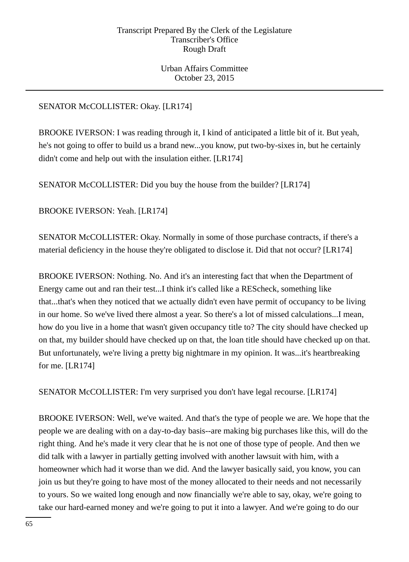Urban Affairs Committee October 23, 2015

# SENATOR McCOLLISTER: Okay. [LR174]

BROOKE IVERSON: I was reading through it, I kind of anticipated a little bit of it. But yeah, he's not going to offer to build us a brand new...you know, put two-by-sixes in, but he certainly didn't come and help out with the insulation either. [LR174]

SENATOR McCOLLISTER: Did you buy the house from the builder? [LR174]

BROOKE IVERSON: Yeah. [LR174]

SENATOR McCOLLISTER: Okay. Normally in some of those purchase contracts, if there's a material deficiency in the house they're obligated to disclose it. Did that not occur? [LR174]

BROOKE IVERSON: Nothing. No. And it's an interesting fact that when the Department of Energy came out and ran their test...I think it's called like a REScheck, something like that...that's when they noticed that we actually didn't even have permit of occupancy to be living in our home. So we've lived there almost a year. So there's a lot of missed calculations...I mean, how do you live in a home that wasn't given occupancy title to? The city should have checked up on that, my builder should have checked up on that, the loan title should have checked up on that. But unfortunately, we're living a pretty big nightmare in my opinion. It was...it's heartbreaking for me. [LR174]

SENATOR McCOLLISTER: I'm very surprised you don't have legal recourse. [LR174]

BROOKE IVERSON: Well, we've waited. And that's the type of people we are. We hope that the people we are dealing with on a day-to-day basis--are making big purchases like this, will do the right thing. And he's made it very clear that he is not one of those type of people. And then we did talk with a lawyer in partially getting involved with another lawsuit with him, with a homeowner which had it worse than we did. And the lawyer basically said, you know, you can join us but they're going to have most of the money allocated to their needs and not necessarily to yours. So we waited long enough and now financially we're able to say, okay, we're going to take our hard-earned money and we're going to put it into a lawyer. And we're going to do our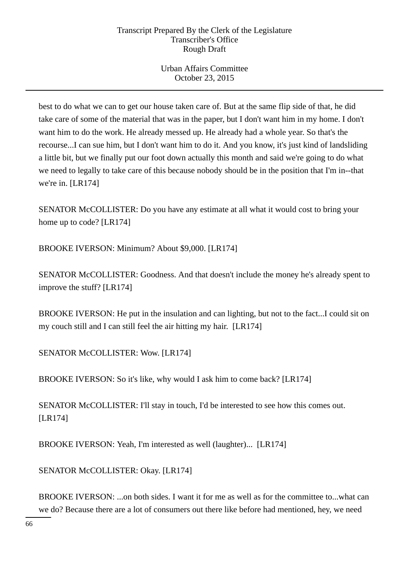Urban Affairs Committee October 23, 2015

best to do what we can to get our house taken care of. But at the same flip side of that, he did take care of some of the material that was in the paper, but I don't want him in my home. I don't want him to do the work. He already messed up. He already had a whole year. So that's the recourse...I can sue him, but I don't want him to do it. And you know, it's just kind of landsliding a little bit, but we finally put our foot down actually this month and said we're going to do what we need to legally to take care of this because nobody should be in the position that I'm in--that we're in. [LR174]

SENATOR McCOLLISTER: Do you have any estimate at all what it would cost to bring your home up to code? [LR174]

BROOKE IVERSON: Minimum? About \$9,000. [LR174]

SENATOR McCOLLISTER: Goodness. And that doesn't include the money he's already spent to improve the stuff? [LR174]

BROOKE IVERSON: He put in the insulation and can lighting, but not to the fact...I could sit on my couch still and I can still feel the air hitting my hair. [LR174]

SENATOR McCOLLISTER: Wow. [LR174]

BROOKE IVERSON: So it's like, why would I ask him to come back? [LR174]

SENATOR McCOLLISTER: I'll stay in touch, I'd be interested to see how this comes out. [LR174]

BROOKE IVERSON: Yeah, I'm interested as well (laughter)... [LR174]

SENATOR McCOLLISTER: Okay. [LR174]

BROOKE IVERSON: ...on both sides. I want it for me as well as for the committee to...what can we do? Because there are a lot of consumers out there like before had mentioned, hey, we need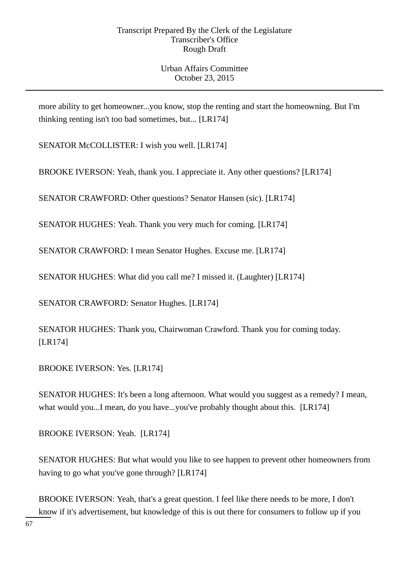more ability to get homeowner...you know, stop the renting and start the homeowning. But I'm thinking renting isn't too bad sometimes, but... [LR174]

SENATOR McCOLLISTER: I wish you well. [LR174]

BROOKE IVERSON: Yeah, thank you. I appreciate it. Any other questions? [LR174]

SENATOR CRAWFORD: Other questions? Senator Hansen (sic). [LR174]

SENATOR HUGHES: Yeah. Thank you very much for coming. [LR174]

SENATOR CRAWFORD: I mean Senator Hughes. Excuse me. [LR174]

SENATOR HUGHES: What did you call me? I missed it. (Laughter) [LR174]

SENATOR CRAWFORD: Senator Hughes. [LR174]

SENATOR HUGHES: Thank you, Chairwoman Crawford. Thank you for coming today. [LR174]

BROOKE IVERSON: Yes. [LR174]

SENATOR HUGHES: It's been a long afternoon. What would you suggest as a remedy? I mean, what would you...I mean, do you have...you've probably thought about this. [LR174]

BROOKE IVERSON: Yeah. [LR174]

SENATOR HUGHES: But what would you like to see happen to prevent other homeowners from having to go what you've gone through? [LR174]

BROOKE IVERSON: Yeah, that's a great question. I feel like there needs to be more, I don't know if it's advertisement, but knowledge of this is out there for consumers to follow up if you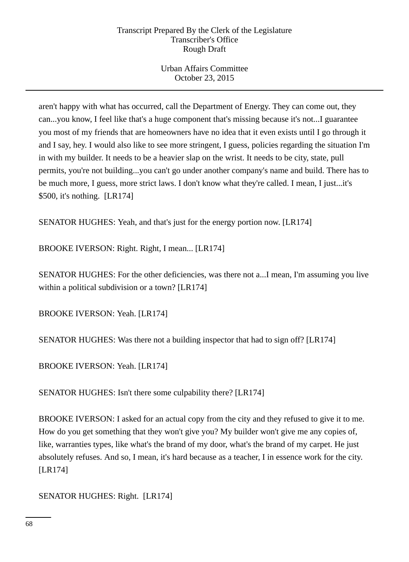Urban Affairs Committee October 23, 2015

aren't happy with what has occurred, call the Department of Energy. They can come out, they can...you know, I feel like that's a huge component that's missing because it's not...I guarantee you most of my friends that are homeowners have no idea that it even exists until I go through it and I say, hey. I would also like to see more stringent, I guess, policies regarding the situation I'm in with my builder. It needs to be a heavier slap on the wrist. It needs to be city, state, pull permits, you're not building...you can't go under another company's name and build. There has to be much more, I guess, more strict laws. I don't know what they're called. I mean, I just...it's \$500, it's nothing. [LR174]

SENATOR HUGHES: Yeah, and that's just for the energy portion now. [LR174]

BROOKE IVERSON: Right. Right, I mean... [LR174]

SENATOR HUGHES: For the other deficiencies, was there not a...I mean, I'm assuming you live within a political subdivision or a town? [LR174]

BROOKE IVERSON: Yeah. [LR174]

SENATOR HUGHES: Was there not a building inspector that had to sign off? [LR174]

BROOKE IVERSON: Yeah. [LR174]

SENATOR HUGHES: Isn't there some culpability there? [LR174]

BROOKE IVERSON: I asked for an actual copy from the city and they refused to give it to me. How do you get something that they won't give you? My builder won't give me any copies of, like, warranties types, like what's the brand of my door, what's the brand of my carpet. He just absolutely refuses. And so, I mean, it's hard because as a teacher, I in essence work for the city. [LR174]

SENATOR HUGHES: Right. [LR174]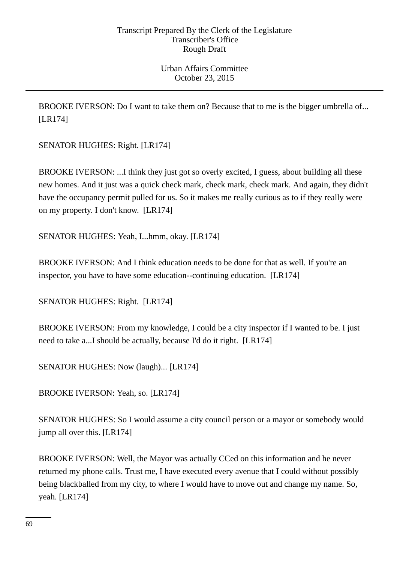BROOKE IVERSON: Do I want to take them on? Because that to me is the bigger umbrella of... [LR174]

SENATOR HUGHES: Right. [LR174]

BROOKE IVERSON: ...I think they just got so overly excited, I guess, about building all these new homes. And it just was a quick check mark, check mark, check mark. And again, they didn't have the occupancy permit pulled for us. So it makes me really curious as to if they really were on my property. I don't know. [LR174]

SENATOR HUGHES: Yeah, I...hmm, okay. [LR174]

BROOKE IVERSON: And I think education needs to be done for that as well. If you're an inspector, you have to have some education--continuing education. [LR174]

SENATOR HUGHES: Right. [LR174]

BROOKE IVERSON: From my knowledge, I could be a city inspector if I wanted to be. I just need to take a...I should be actually, because I'd do it right. [LR174]

SENATOR HUGHES: Now (laugh)... [LR174]

BROOKE IVERSON: Yeah, so. [LR174]

SENATOR HUGHES: So I would assume a city council person or a mayor or somebody would jump all over this. [LR174]

BROOKE IVERSON: Well, the Mayor was actually CCed on this information and he never returned my phone calls. Trust me, I have executed every avenue that I could without possibly being blackballed from my city, to where I would have to move out and change my name. So, yeah. [LR174]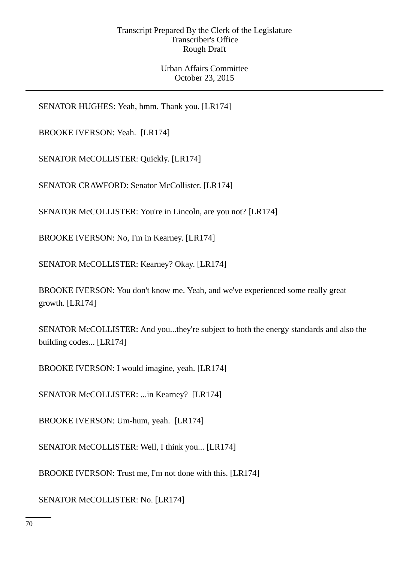Urban Affairs Committee October 23, 2015

SENATOR HUGHES: Yeah, hmm. Thank you. [LR174]

BROOKE IVERSON: Yeah. [LR174]

SENATOR McCOLLISTER: Quickly. [LR174]

SENATOR CRAWFORD: Senator McCollister. [LR174]

SENATOR McCOLLISTER: You're in Lincoln, are you not? [LR174]

BROOKE IVERSON: No, I'm in Kearney. [LR174]

SENATOR McCOLLISTER: Kearney? Okay. [LR174]

BROOKE IVERSON: You don't know me. Yeah, and we've experienced some really great growth. [LR174]

SENATOR McCOLLISTER: And you...they're subject to both the energy standards and also the building codes... [LR174]

BROOKE IVERSON: I would imagine, yeah. [LR174]

SENATOR McCOLLISTER: ...in Kearney? [LR174]

BROOKE IVERSON: Um-hum, yeah. [LR174]

SENATOR McCOLLISTER: Well, I think you... [LR174]

BROOKE IVERSON: Trust me, I'm not done with this. [LR174]

SENATOR McCOLLISTER: No. [LR174]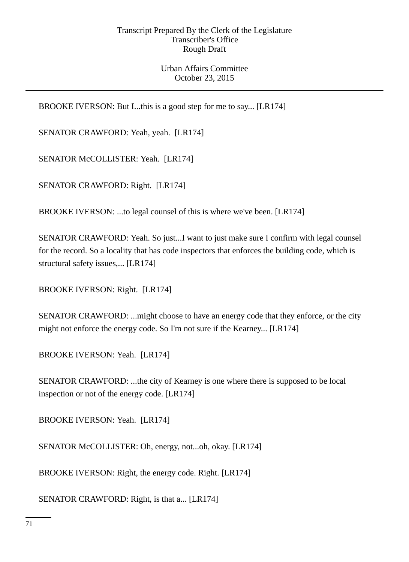# Urban Affairs Committee October 23, 2015

BROOKE IVERSON: But I...this is a good step for me to say... [LR174]

SENATOR CRAWFORD: Yeah, yeah. [LR174]

SENATOR McCOLLISTER: Yeah. [LR174]

SENATOR CRAWFORD: Right. [LR174]

BROOKE IVERSON: ...to legal counsel of this is where we've been. [LR174]

SENATOR CRAWFORD: Yeah. So just...I want to just make sure I confirm with legal counsel for the record. So a locality that has code inspectors that enforces the building code, which is structural safety issues,... [LR174]

BROOKE IVERSON: Right. [LR174]

SENATOR CRAWFORD: ...might choose to have an energy code that they enforce, or the city might not enforce the energy code. So I'm not sure if the Kearney... [LR174]

BROOKE IVERSON: Yeah. [LR174]

SENATOR CRAWFORD: ...the city of Kearney is one where there is supposed to be local inspection or not of the energy code. [LR174]

BROOKE IVERSON: Yeah. [LR174]

SENATOR McCOLLISTER: Oh, energy, not...oh, okay. [LR174]

BROOKE IVERSON: Right, the energy code. Right. [LR174]

SENATOR CRAWFORD: Right, is that a... [LR174]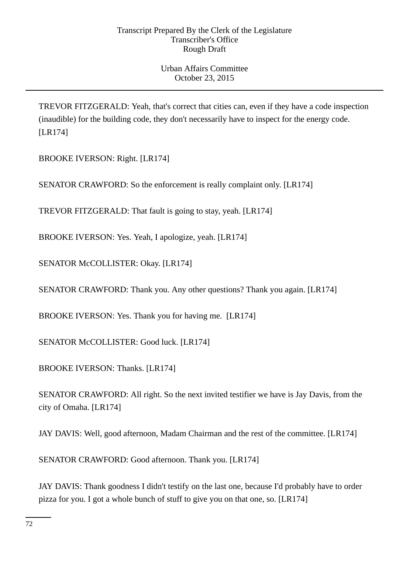TREVOR FITZGERALD: Yeah, that's correct that cities can, even if they have a code inspection (inaudible) for the building code, they don't necessarily have to inspect for the energy code. [LR174]

BROOKE IVERSON: Right. [LR174]

SENATOR CRAWFORD: So the enforcement is really complaint only. [LR174]

TREVOR FITZGERALD: That fault is going to stay, yeah. [LR174]

BROOKE IVERSON: Yes. Yeah, I apologize, yeah. [LR174]

SENATOR McCOLLISTER: Okay. [LR174]

SENATOR CRAWFORD: Thank you. Any other questions? Thank you again. [LR174]

BROOKE IVERSON: Yes. Thank you for having me. [LR174]

SENATOR McCOLLISTER: Good luck. [LR174]

BROOKE IVERSON: Thanks. [LR174]

SENATOR CRAWFORD: All right. So the next invited testifier we have is Jay Davis, from the city of Omaha. [LR174]

JAY DAVIS: Well, good afternoon, Madam Chairman and the rest of the committee. [LR174]

SENATOR CRAWFORD: Good afternoon. Thank you. [LR174]

JAY DAVIS: Thank goodness I didn't testify on the last one, because I'd probably have to order pizza for you. I got a whole bunch of stuff to give you on that one, so. [LR174]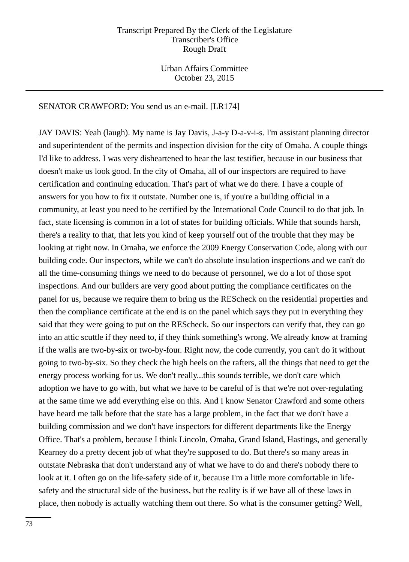Urban Affairs Committee October 23, 2015

#### SENATOR CRAWFORD: You send us an e-mail. [LR174]

JAY DAVIS: Yeah (laugh). My name is Jay Davis, J-a-y D-a-v-i-s. I'm assistant planning director and superintendent of the permits and inspection division for the city of Omaha. A couple things I'd like to address. I was very disheartened to hear the last testifier, because in our business that doesn't make us look good. In the city of Omaha, all of our inspectors are required to have certification and continuing education. That's part of what we do there. I have a couple of answers for you how to fix it outstate. Number one is, if you're a building official in a community, at least you need to be certified by the International Code Council to do that job. In fact, state licensing is common in a lot of states for building officials. While that sounds harsh, there's a reality to that, that lets you kind of keep yourself out of the trouble that they may be looking at right now. In Omaha, we enforce the 2009 Energy Conservation Code, along with our building code. Our inspectors, while we can't do absolute insulation inspections and we can't do all the time-consuming things we need to do because of personnel, we do a lot of those spot inspections. And our builders are very good about putting the compliance certificates on the panel for us, because we require them to bring us the REScheck on the residential properties and then the compliance certificate at the end is on the panel which says they put in everything they said that they were going to put on the REScheck. So our inspectors can verify that, they can go into an attic scuttle if they need to, if they think something's wrong. We already know at framing if the walls are two-by-six or two-by-four. Right now, the code currently, you can't do it without going to two-by-six. So they check the high heels on the rafters, all the things that need to get the energy process working for us. We don't really...this sounds terrible, we don't care which adoption we have to go with, but what we have to be careful of is that we're not over-regulating at the same time we add everything else on this. And I know Senator Crawford and some others have heard me talk before that the state has a large problem, in the fact that we don't have a building commission and we don't have inspectors for different departments like the Energy Office. That's a problem, because I think Lincoln, Omaha, Grand Island, Hastings, and generally Kearney do a pretty decent job of what they're supposed to do. But there's so many areas in outstate Nebraska that don't understand any of what we have to do and there's nobody there to look at it. I often go on the life-safety side of it, because I'm a little more comfortable in lifesafety and the structural side of the business, but the reality is if we have all of these laws in place, then nobody is actually watching them out there. So what is the consumer getting? Well,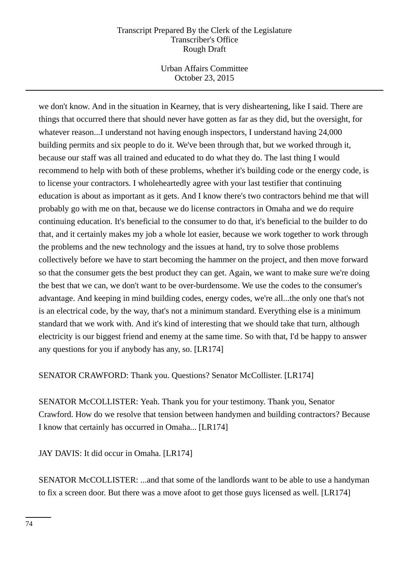Urban Affairs Committee October 23, 2015

we don't know. And in the situation in Kearney, that is very disheartening, like I said. There are things that occurred there that should never have gotten as far as they did, but the oversight, for whatever reason...I understand not having enough inspectors, I understand having 24,000 building permits and six people to do it. We've been through that, but we worked through it, because our staff was all trained and educated to do what they do. The last thing I would recommend to help with both of these problems, whether it's building code or the energy code, is to license your contractors. I wholeheartedly agree with your last testifier that continuing education is about as important as it gets. And I know there's two contractors behind me that will probably go with me on that, because we do license contractors in Omaha and we do require continuing education. It's beneficial to the consumer to do that, it's beneficial to the builder to do that, and it certainly makes my job a whole lot easier, because we work together to work through the problems and the new technology and the issues at hand, try to solve those problems collectively before we have to start becoming the hammer on the project, and then move forward so that the consumer gets the best product they can get. Again, we want to make sure we're doing the best that we can, we don't want to be over-burdensome. We use the codes to the consumer's advantage. And keeping in mind building codes, energy codes, we're all...the only one that's not is an electrical code, by the way, that's not a minimum standard. Everything else is a minimum standard that we work with. And it's kind of interesting that we should take that turn, although electricity is our biggest friend and enemy at the same time. So with that, I'd be happy to answer any questions for you if anybody has any, so. [LR174]

SENATOR CRAWFORD: Thank you. Questions? Senator McCollister. [LR174]

SENATOR McCOLLISTER: Yeah. Thank you for your testimony. Thank you, Senator Crawford. How do we resolve that tension between handymen and building contractors? Because I know that certainly has occurred in Omaha... [LR174]

JAY DAVIS: It did occur in Omaha. [LR174]

SENATOR McCOLLISTER: ...and that some of the landlords want to be able to use a handyman to fix a screen door. But there was a move afoot to get those guys licensed as well. [LR174]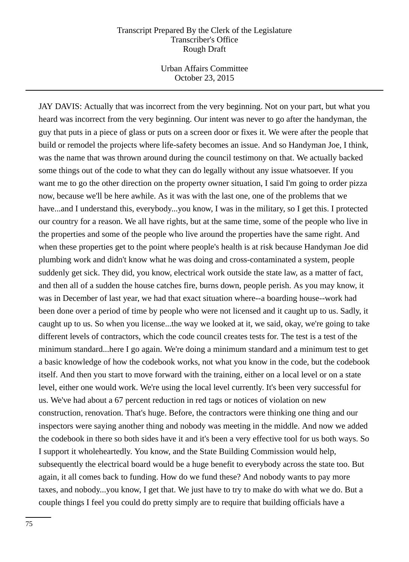Urban Affairs Committee October 23, 2015

JAY DAVIS: Actually that was incorrect from the very beginning. Not on your part, but what you heard was incorrect from the very beginning. Our intent was never to go after the handyman, the guy that puts in a piece of glass or puts on a screen door or fixes it. We were after the people that build or remodel the projects where life-safety becomes an issue. And so Handyman Joe, I think, was the name that was thrown around during the council testimony on that. We actually backed some things out of the code to what they can do legally without any issue whatsoever. If you want me to go the other direction on the property owner situation, I said I'm going to order pizza now, because we'll be here awhile. As it was with the last one, one of the problems that we have...and I understand this, everybody...you know, I was in the military, so I get this. I protected our country for a reason. We all have rights, but at the same time, some of the people who live in the properties and some of the people who live around the properties have the same right. And when these properties get to the point where people's health is at risk because Handyman Joe did plumbing work and didn't know what he was doing and cross-contaminated a system, people suddenly get sick. They did, you know, electrical work outside the state law, as a matter of fact, and then all of a sudden the house catches fire, burns down, people perish. As you may know, it was in December of last year, we had that exact situation where--a boarding house--work had been done over a period of time by people who were not licensed and it caught up to us. Sadly, it caught up to us. So when you license...the way we looked at it, we said, okay, we're going to take different levels of contractors, which the code council creates tests for. The test is a test of the minimum standard...here I go again. We're doing a minimum standard and a minimum test to get a basic knowledge of how the codebook works, not what you know in the code, but the codebook itself. And then you start to move forward with the training, either on a local level or on a state level, either one would work. We're using the local level currently. It's been very successful for us. We've had about a 67 percent reduction in red tags or notices of violation on new construction, renovation. That's huge. Before, the contractors were thinking one thing and our inspectors were saying another thing and nobody was meeting in the middle. And now we added the codebook in there so both sides have it and it's been a very effective tool for us both ways. So I support it wholeheartedly. You know, and the State Building Commission would help, subsequently the electrical board would be a huge benefit to everybody across the state too. But again, it all comes back to funding. How do we fund these? And nobody wants to pay more taxes, and nobody...you know, I get that. We just have to try to make do with what we do. But a couple things I feel you could do pretty simply are to require that building officials have a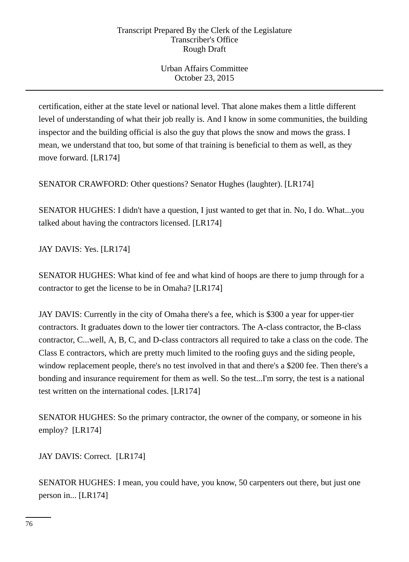Urban Affairs Committee October 23, 2015

certification, either at the state level or national level. That alone makes them a little different level of understanding of what their job really is. And I know in some communities, the building inspector and the building official is also the guy that plows the snow and mows the grass. I mean, we understand that too, but some of that training is beneficial to them as well, as they move forward. [LR174]

SENATOR CRAWFORD: Other questions? Senator Hughes (laughter). [LR174]

SENATOR HUGHES: I didn't have a question, I just wanted to get that in. No, I do. What...you talked about having the contractors licensed. [LR174]

JAY DAVIS: Yes. [LR174]

SENATOR HUGHES: What kind of fee and what kind of hoops are there to jump through for a contractor to get the license to be in Omaha? [LR174]

JAY DAVIS: Currently in the city of Omaha there's a fee, which is \$300 a year for upper-tier contractors. It graduates down to the lower tier contractors. The A-class contractor, the B-class contractor, C...well, A, B, C, and D-class contractors all required to take a class on the code. The Class E contractors, which are pretty much limited to the roofing guys and the siding people, window replacement people, there's no test involved in that and there's a \$200 fee. Then there's a bonding and insurance requirement for them as well. So the test...I'm sorry, the test is a national test written on the international codes. [LR174]

SENATOR HUGHES: So the primary contractor, the owner of the company, or someone in his employ? [LR174]

JAY DAVIS: Correct. [LR174]

SENATOR HUGHES: I mean, you could have, you know, 50 carpenters out there, but just one person in... [LR174]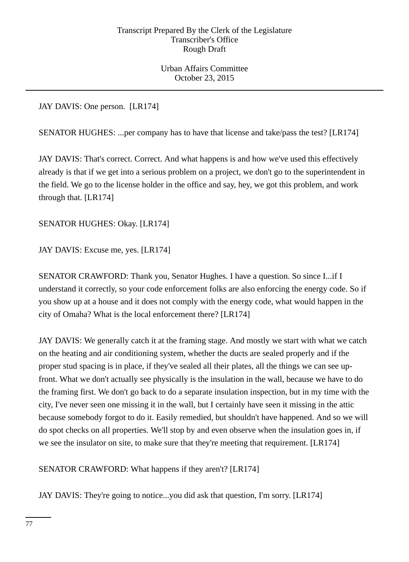Urban Affairs Committee October 23, 2015

JAY DAVIS: One person. [LR174]

SENATOR HUGHES: ...per company has to have that license and take/pass the test? [LR174]

JAY DAVIS: That's correct. Correct. And what happens is and how we've used this effectively already is that if we get into a serious problem on a project, we don't go to the superintendent in the field. We go to the license holder in the office and say, hey, we got this problem, and work through that. [LR174]

# SENATOR HUGHES: Okay. [LR174]

JAY DAVIS: Excuse me, yes. [LR174]

SENATOR CRAWFORD: Thank you, Senator Hughes. I have a question. So since I...if I understand it correctly, so your code enforcement folks are also enforcing the energy code. So if you show up at a house and it does not comply with the energy code, what would happen in the city of Omaha? What is the local enforcement there? [LR174]

JAY DAVIS: We generally catch it at the framing stage. And mostly we start with what we catch on the heating and air conditioning system, whether the ducts are sealed properly and if the proper stud spacing is in place, if they've sealed all their plates, all the things we can see upfront. What we don't actually see physically is the insulation in the wall, because we have to do the framing first. We don't go back to do a separate insulation inspection, but in my time with the city, I've never seen one missing it in the wall, but I certainly have seen it missing in the attic because somebody forgot to do it. Easily remedied, but shouldn't have happened. And so we will do spot checks on all properties. We'll stop by and even observe when the insulation goes in, if we see the insulator on site, to make sure that they're meeting that requirement. [LR174]

SENATOR CRAWFORD: What happens if they aren't? [LR174]

JAY DAVIS: They're going to notice...you did ask that question, I'm sorry. [LR174]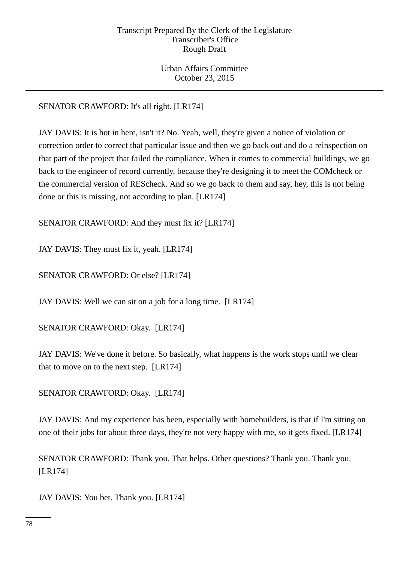Urban Affairs Committee October 23, 2015

# SENATOR CRAWFORD: It's all right. [LR174]

JAY DAVIS: It is hot in here, isn't it? No. Yeah, well, they're given a notice of violation or correction order to correct that particular issue and then we go back out and do a reinspection on that part of the project that failed the compliance. When it comes to commercial buildings, we go back to the engineer of record currently, because they're designing it to meet the COMcheck or the commercial version of REScheck. And so we go back to them and say, hey, this is not being done or this is missing, not according to plan. [LR174]

SENATOR CRAWFORD: And they must fix it? [LR174]

JAY DAVIS: They must fix it, yeah. [LR174]

SENATOR CRAWFORD: Or else? [LR174]

JAY DAVIS: Well we can sit on a job for a long time. [LR174]

SENATOR CRAWFORD: Okay. [LR174]

JAY DAVIS: We've done it before. So basically, what happens is the work stops until we clear that to move on to the next step. [LR174]

SENATOR CRAWFORD: Okay. [LR174]

JAY DAVIS: And my experience has been, especially with homebuilders, is that if I'm sitting on one of their jobs for about three days, they're not very happy with me, so it gets fixed. [LR174]

SENATOR CRAWFORD: Thank you. That helps. Other questions? Thank you. Thank you. [LR174]

JAY DAVIS: You bet. Thank you. [LR174]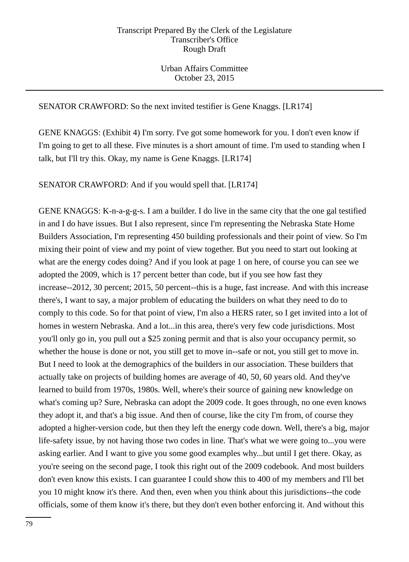## SENATOR CRAWFORD: So the next invited testifier is Gene Knaggs. [LR174]

GENE KNAGGS: (Exhibit 4) I'm sorry. I've got some homework for you. I don't even know if I'm going to get to all these. Five minutes is a short amount of time. I'm used to standing when I talk, but I'll try this. Okay, my name is Gene Knaggs. [LR174]

SENATOR CRAWFORD: And if you would spell that. [LR174]

GENE KNAGGS: K-n-a-g-g-s. I am a builder. I do live in the same city that the one gal testified in and I do have issues. But I also represent, since I'm representing the Nebraska State Home Builders Association, I'm representing 450 building professionals and their point of view. So I'm mixing their point of view and my point of view together. But you need to start out looking at what are the energy codes doing? And if you look at page 1 on here, of course you can see we adopted the 2009, which is 17 percent better than code, but if you see how fast they increase--2012, 30 percent; 2015, 50 percent--this is a huge, fast increase. And with this increase there's, I want to say, a major problem of educating the builders on what they need to do to comply to this code. So for that point of view, I'm also a HERS rater, so I get invited into a lot of homes in western Nebraska. And a lot...in this area, there's very few code jurisdictions. Most you'll only go in, you pull out a \$25 zoning permit and that is also your occupancy permit, so whether the house is done or not, you still get to move in--safe or not, you still get to move in. But I need to look at the demographics of the builders in our association. These builders that actually take on projects of building homes are average of 40, 50, 60 years old. And they've learned to build from 1970s, 1980s. Well, where's their source of gaining new knowledge on what's coming up? Sure, Nebraska can adopt the 2009 code. It goes through, no one even knows they adopt it, and that's a big issue. And then of course, like the city I'm from, of course they adopted a higher-version code, but then they left the energy code down. Well, there's a big, major life-safety issue, by not having those two codes in line. That's what we were going to...you were asking earlier. And I want to give you some good examples why...but until I get there. Okay, as you're seeing on the second page, I took this right out of the 2009 codebook. And most builders don't even know this exists. I can guarantee I could show this to 400 of my members and I'll bet you 10 might know it's there. And then, even when you think about this jurisdictions--the code officials, some of them know it's there, but they don't even bother enforcing it. And without this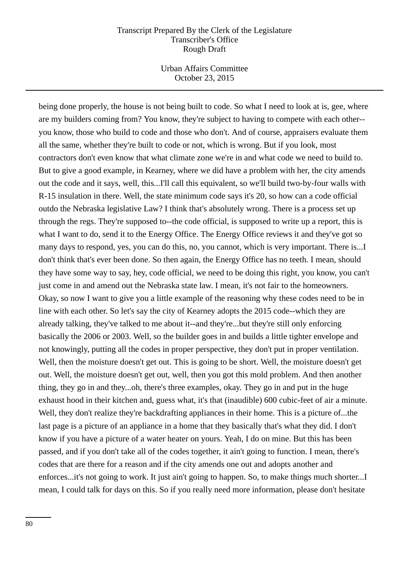Urban Affairs Committee October 23, 2015

being done properly, the house is not being built to code. So what I need to look at is, gee, where are my builders coming from? You know, they're subject to having to compete with each other- you know, those who build to code and those who don't. And of course, appraisers evaluate them all the same, whether they're built to code or not, which is wrong. But if you look, most contractors don't even know that what climate zone we're in and what code we need to build to. But to give a good example, in Kearney, where we did have a problem with her, the city amends out the code and it says, well, this...I'll call this equivalent, so we'll build two-by-four walls with R-15 insulation in there. Well, the state minimum code says it's 20, so how can a code official outdo the Nebraska legislative Law? I think that's absolutely wrong. There is a process set up through the regs. They're supposed to--the code official, is supposed to write up a report, this is what I want to do, send it to the Energy Office. The Energy Office reviews it and they've got so many days to respond, yes, you can do this, no, you cannot, which is very important. There is...I don't think that's ever been done. So then again, the Energy Office has no teeth. I mean, should they have some way to say, hey, code official, we need to be doing this right, you know, you can't just come in and amend out the Nebraska state law. I mean, it's not fair to the homeowners. Okay, so now I want to give you a little example of the reasoning why these codes need to be in line with each other. So let's say the city of Kearney adopts the 2015 code--which they are already talking, they've talked to me about it--and they're...but they're still only enforcing basically the 2006 or 2003. Well, so the builder goes in and builds a little tighter envelope and not knowingly, putting all the codes in proper perspective, they don't put in proper ventilation. Well, then the moisture doesn't get out. This is going to be short. Well, the moisture doesn't get out. Well, the moisture doesn't get out, well, then you got this mold problem. And then another thing, they go in and they...oh, there's three examples, okay. They go in and put in the huge exhaust hood in their kitchen and, guess what, it's that (inaudible) 600 cubic-feet of air a minute. Well, they don't realize they're backdrafting appliances in their home. This is a picture of...the last page is a picture of an appliance in a home that they basically that's what they did. I don't know if you have a picture of a water heater on yours. Yeah, I do on mine. But this has been passed, and if you don't take all of the codes together, it ain't going to function. I mean, there's codes that are there for a reason and if the city amends one out and adopts another and enforces...it's not going to work. It just ain't going to happen. So, to make things much shorter...I mean, I could talk for days on this. So if you really need more information, please don't hesitate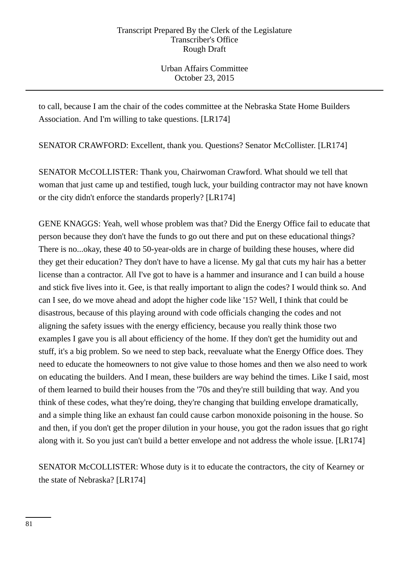Urban Affairs Committee October 23, 2015

to call, because I am the chair of the codes committee at the Nebraska State Home Builders Association. And I'm willing to take questions. [LR174]

SENATOR CRAWFORD: Excellent, thank you. Questions? Senator McCollister. [LR174]

SENATOR McCOLLISTER: Thank you, Chairwoman Crawford. What should we tell that woman that just came up and testified, tough luck, your building contractor may not have known or the city didn't enforce the standards properly? [LR174]

GENE KNAGGS: Yeah, well whose problem was that? Did the Energy Office fail to educate that person because they don't have the funds to go out there and put on these educational things? There is no...okay, these 40 to 50-year-olds are in charge of building these houses, where did they get their education? They don't have to have a license. My gal that cuts my hair has a better license than a contractor. All I've got to have is a hammer and insurance and I can build a house and stick five lives into it. Gee, is that really important to align the codes? I would think so. And can I see, do we move ahead and adopt the higher code like '15? Well, I think that could be disastrous, because of this playing around with code officials changing the codes and not aligning the safety issues with the energy efficiency, because you really think those two examples I gave you is all about efficiency of the home. If they don't get the humidity out and stuff, it's a big problem. So we need to step back, reevaluate what the Energy Office does. They need to educate the homeowners to not give value to those homes and then we also need to work on educating the builders. And I mean, these builders are way behind the times. Like I said, most of them learned to build their houses from the '70s and they're still building that way. And you think of these codes, what they're doing, they're changing that building envelope dramatically, and a simple thing like an exhaust fan could cause carbon monoxide poisoning in the house. So and then, if you don't get the proper dilution in your house, you got the radon issues that go right along with it. So you just can't build a better envelope and not address the whole issue. [LR174]

SENATOR McCOLLISTER: Whose duty is it to educate the contractors, the city of Kearney or the state of Nebraska? [LR174]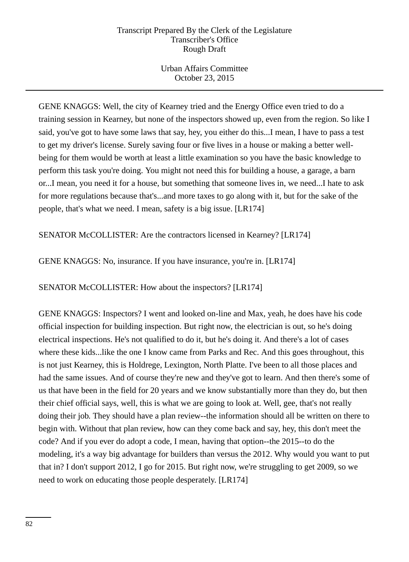Urban Affairs Committee October 23, 2015

GENE KNAGGS: Well, the city of Kearney tried and the Energy Office even tried to do a training session in Kearney, but none of the inspectors showed up, even from the region. So like I said, you've got to have some laws that say, hey, you either do this...I mean, I have to pass a test to get my driver's license. Surely saving four or five lives in a house or making a better wellbeing for them would be worth at least a little examination so you have the basic knowledge to perform this task you're doing. You might not need this for building a house, a garage, a barn or...I mean, you need it for a house, but something that someone lives in, we need...I hate to ask for more regulations because that's...and more taxes to go along with it, but for the sake of the people, that's what we need. I mean, safety is a big issue. [LR174]

SENATOR McCOLLISTER: Are the contractors licensed in Kearney? [LR174]

GENE KNAGGS: No, insurance. If you have insurance, you're in. [LR174]

SENATOR McCOLLISTER: How about the inspectors? [LR174]

GENE KNAGGS: Inspectors? I went and looked on-line and Max, yeah, he does have his code official inspection for building inspection. But right now, the electrician is out, so he's doing electrical inspections. He's not qualified to do it, but he's doing it. And there's a lot of cases where these kids...like the one I know came from Parks and Rec. And this goes throughout, this is not just Kearney, this is Holdrege, Lexington, North Platte. I've been to all those places and had the same issues. And of course they're new and they've got to learn. And then there's some of us that have been in the field for 20 years and we know substantially more than they do, but then their chief official says, well, this is what we are going to look at. Well, gee, that's not really doing their job. They should have a plan review--the information should all be written on there to begin with. Without that plan review, how can they come back and say, hey, this don't meet the code? And if you ever do adopt a code, I mean, having that option--the 2015--to do the modeling, it's a way big advantage for builders than versus the 2012. Why would you want to put that in? I don't support 2012, I go for 2015. But right now, we're struggling to get 2009, so we need to work on educating those people desperately. [LR174]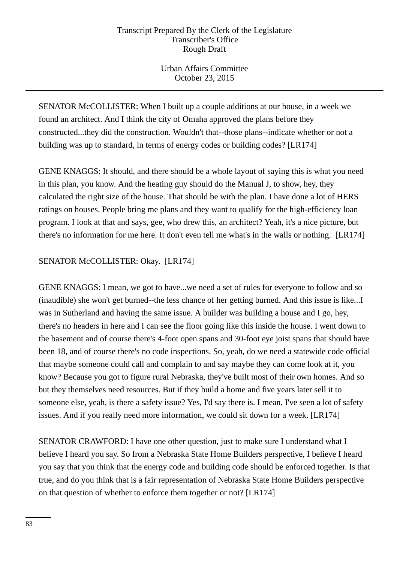Urban Affairs Committee October 23, 2015

SENATOR McCOLLISTER: When I built up a couple additions at our house, in a week we found an architect. And I think the city of Omaha approved the plans before they constructed...they did the construction. Wouldn't that--those plans--indicate whether or not a building was up to standard, in terms of energy codes or building codes? [LR174]

GENE KNAGGS: It should, and there should be a whole layout of saying this is what you need in this plan, you know. And the heating guy should do the Manual J, to show, hey, they calculated the right size of the house. That should be with the plan. I have done a lot of HERS ratings on houses. People bring me plans and they want to qualify for the high-efficiency loan program. I look at that and says, gee, who drew this, an architect? Yeah, it's a nice picture, but there's no information for me here. It don't even tell me what's in the walls or nothing. [LR174]

## SENATOR McCOLLISTER: Okay. [LR174]

GENE KNAGGS: I mean, we got to have...we need a set of rules for everyone to follow and so (inaudible) she won't get burned--the less chance of her getting burned. And this issue is like...I was in Sutherland and having the same issue. A builder was building a house and I go, hey, there's no headers in here and I can see the floor going like this inside the house. I went down to the basement and of course there's 4-foot open spans and 30-foot eye joist spans that should have been 18, and of course there's no code inspections. So, yeah, do we need a statewide code official that maybe someone could call and complain to and say maybe they can come look at it, you know? Because you got to figure rural Nebraska, they've built most of their own homes. And so but they themselves need resources. But if they build a home and five years later sell it to someone else, yeah, is there a safety issue? Yes, I'd say there is. I mean, I've seen a lot of safety issues. And if you really need more information, we could sit down for a week. [LR174]

SENATOR CRAWFORD: I have one other question, just to make sure I understand what I believe I heard you say. So from a Nebraska State Home Builders perspective, I believe I heard you say that you think that the energy code and building code should be enforced together. Is that true, and do you think that is a fair representation of Nebraska State Home Builders perspective on that question of whether to enforce them together or not? [LR174]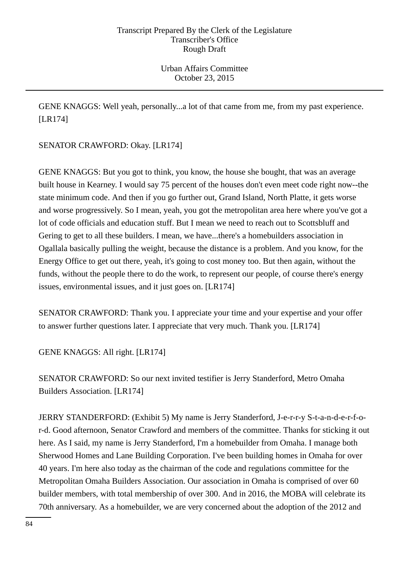GENE KNAGGS: Well yeah, personally...a lot of that came from me, from my past experience. [LR174]

SENATOR CRAWFORD: Okay. [LR174]

GENE KNAGGS: But you got to think, you know, the house she bought, that was an average built house in Kearney. I would say 75 percent of the houses don't even meet code right now--the state minimum code. And then if you go further out, Grand Island, North Platte, it gets worse and worse progressively. So I mean, yeah, you got the metropolitan area here where you've got a lot of code officials and education stuff. But I mean we need to reach out to Scottsbluff and Gering to get to all these builders. I mean, we have...there's a homebuilders association in Ogallala basically pulling the weight, because the distance is a problem. And you know, for the Energy Office to get out there, yeah, it's going to cost money too. But then again, without the funds, without the people there to do the work, to represent our people, of course there's energy issues, environmental issues, and it just goes on. [LR174]

SENATOR CRAWFORD: Thank you. I appreciate your time and your expertise and your offer to answer further questions later. I appreciate that very much. Thank you. [LR174]

GENE KNAGGS: All right. [LR174]

SENATOR CRAWFORD: So our next invited testifier is Jerry Standerford, Metro Omaha Builders Association. [LR174]

JERRY STANDERFORD: (Exhibit 5) My name is Jerry Standerford, J-e-r-r-y S-t-a-n-d-e-r-f-or-d. Good afternoon, Senator Crawford and members of the committee. Thanks for sticking it out here. As I said, my name is Jerry Standerford, I'm a homebuilder from Omaha. I manage both Sherwood Homes and Lane Building Corporation. I've been building homes in Omaha for over 40 years. I'm here also today as the chairman of the code and regulations committee for the Metropolitan Omaha Builders Association. Our association in Omaha is comprised of over 60 builder members, with total membership of over 300. And in 2016, the MOBA will celebrate its 70th anniversary. As a homebuilder, we are very concerned about the adoption of the 2012 and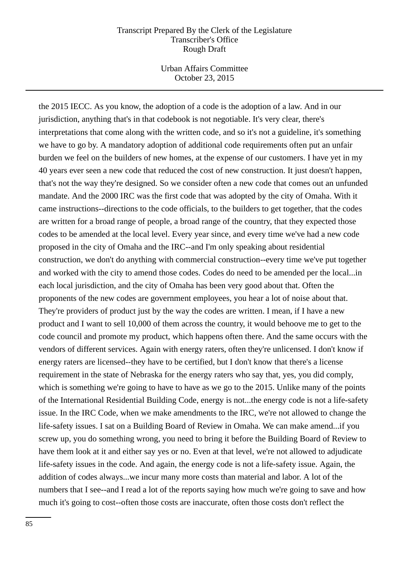Urban Affairs Committee October 23, 2015

the 2015 IECC. As you know, the adoption of a code is the adoption of a law. And in our jurisdiction, anything that's in that codebook is not negotiable. It's very clear, there's interpretations that come along with the written code, and so it's not a guideline, it's something we have to go by. A mandatory adoption of additional code requirements often put an unfair burden we feel on the builders of new homes, at the expense of our customers. I have yet in my 40 years ever seen a new code that reduced the cost of new construction. It just doesn't happen, that's not the way they're designed. So we consider often a new code that comes out an unfunded mandate. And the 2000 IRC was the first code that was adopted by the city of Omaha. With it came instructions--directions to the code officials, to the builders to get together, that the codes are written for a broad range of people, a broad range of the country, that they expected those codes to be amended at the local level. Every year since, and every time we've had a new code proposed in the city of Omaha and the IRC--and I'm only speaking about residential construction, we don't do anything with commercial construction--every time we've put together and worked with the city to amend those codes. Codes do need to be amended per the local...in each local jurisdiction, and the city of Omaha has been very good about that. Often the proponents of the new codes are government employees, you hear a lot of noise about that. They're providers of product just by the way the codes are written. I mean, if I have a new product and I want to sell 10,000 of them across the country, it would behoove me to get to the code council and promote my product, which happens often there. And the same occurs with the vendors of different services. Again with energy raters, often they're unlicensed. I don't know if energy raters are licensed--they have to be certified, but I don't know that there's a license requirement in the state of Nebraska for the energy raters who say that, yes, you did comply, which is something we're going to have to have as we go to the 2015. Unlike many of the points of the International Residential Building Code, energy is not...the energy code is not a life-safety issue. In the IRC Code, when we make amendments to the IRC, we're not allowed to change the life-safety issues. I sat on a Building Board of Review in Omaha. We can make amend...if you screw up, you do something wrong, you need to bring it before the Building Board of Review to have them look at it and either say yes or no. Even at that level, we're not allowed to adjudicate life-safety issues in the code. And again, the energy code is not a life-safety issue. Again, the addition of codes always...we incur many more costs than material and labor. A lot of the numbers that I see--and I read a lot of the reports saying how much we're going to save and how much it's going to cost--often those costs are inaccurate, often those costs don't reflect the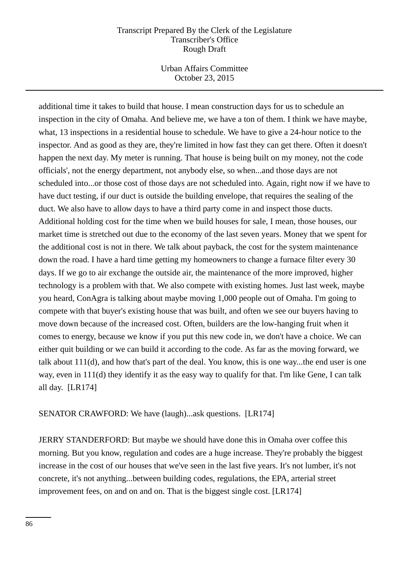Urban Affairs Committee October 23, 2015

additional time it takes to build that house. I mean construction days for us to schedule an inspection in the city of Omaha. And believe me, we have a ton of them. I think we have maybe, what, 13 inspections in a residential house to schedule. We have to give a 24-hour notice to the inspector. And as good as they are, they're limited in how fast they can get there. Often it doesn't happen the next day. My meter is running. That house is being built on my money, not the code officials', not the energy department, not anybody else, so when...and those days are not scheduled into...or those cost of those days are not scheduled into. Again, right now if we have to have duct testing, if our duct is outside the building envelope, that requires the sealing of the duct. We also have to allow days to have a third party come in and inspect those ducts. Additional holding cost for the time when we build houses for sale, I mean, those houses, our market time is stretched out due to the economy of the last seven years. Money that we spent for the additional cost is not in there. We talk about payback, the cost for the system maintenance down the road. I have a hard time getting my homeowners to change a furnace filter every 30 days. If we go to air exchange the outside air, the maintenance of the more improved, higher technology is a problem with that. We also compete with existing homes. Just last week, maybe you heard, ConAgra is talking about maybe moving 1,000 people out of Omaha. I'm going to compete with that buyer's existing house that was built, and often we see our buyers having to move down because of the increased cost. Often, builders are the low-hanging fruit when it comes to energy, because we know if you put this new code in, we don't have a choice. We can either quit building or we can build it according to the code. As far as the moving forward, we talk about 111(d), and how that's part of the deal. You know, this is one way...the end user is one way, even in 111(d) they identify it as the easy way to qualify for that. I'm like Gene, I can talk all day. [LR174]

SENATOR CRAWFORD: We have (laugh)...ask questions. [LR174]

JERRY STANDERFORD: But maybe we should have done this in Omaha over coffee this morning. But you know, regulation and codes are a huge increase. They're probably the biggest increase in the cost of our houses that we've seen in the last five years. It's not lumber, it's not concrete, it's not anything...between building codes, regulations, the EPA, arterial street improvement fees, on and on and on. That is the biggest single cost. [LR174]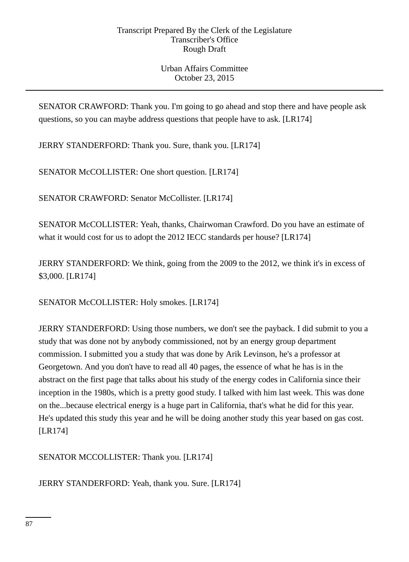SENATOR CRAWFORD: Thank you. I'm going to go ahead and stop there and have people ask questions, so you can maybe address questions that people have to ask. [LR174]

JERRY STANDERFORD: Thank you. Sure, thank you. [LR174]

SENATOR McCOLLISTER: One short question. [LR174]

SENATOR CRAWFORD: Senator McCollister. [LR174]

SENATOR McCOLLISTER: Yeah, thanks, Chairwoman Crawford. Do you have an estimate of what it would cost for us to adopt the 2012 IECC standards per house? [LR174]

JERRY STANDERFORD: We think, going from the 2009 to the 2012, we think it's in excess of \$3,000. [LR174]

SENATOR McCOLLISTER: Holy smokes. [LR174]

JERRY STANDERFORD: Using those numbers, we don't see the payback. I did submit to you a study that was done not by anybody commissioned, not by an energy group department commission. I submitted you a study that was done by Arik Levinson, he's a professor at Georgetown. And you don't have to read all 40 pages, the essence of what he has is in the abstract on the first page that talks about his study of the energy codes in California since their inception in the 1980s, which is a pretty good study. I talked with him last week. This was done on the...because electrical energy is a huge part in California, that's what he did for this year. He's updated this study this year and he will be doing another study this year based on gas cost. [LR174]

SENATOR MCCOLLISTER: Thank you. [LR174]

JERRY STANDERFORD: Yeah, thank you. Sure. [LR174]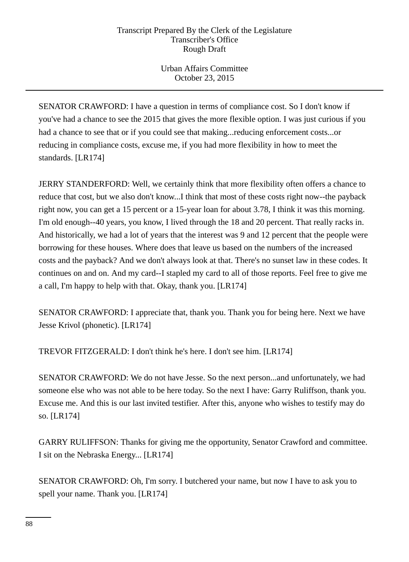Urban Affairs Committee October 23, 2015

SENATOR CRAWFORD: I have a question in terms of compliance cost. So I don't know if you've had a chance to see the 2015 that gives the more flexible option. I was just curious if you had a chance to see that or if you could see that making...reducing enforcement costs...or reducing in compliance costs, excuse me, if you had more flexibility in how to meet the standards. [LR174]

JERRY STANDERFORD: Well, we certainly think that more flexibility often offers a chance to reduce that cost, but we also don't know...I think that most of these costs right now--the payback right now, you can get a 15 percent or a 15-year loan for about 3.78, I think it was this morning. I'm old enough--40 years, you know, I lived through the 18 and 20 percent. That really racks in. And historically, we had a lot of years that the interest was 9 and 12 percent that the people were borrowing for these houses. Where does that leave us based on the numbers of the increased costs and the payback? And we don't always look at that. There's no sunset law in these codes. It continues on and on. And my card--I stapled my card to all of those reports. Feel free to give me a call, I'm happy to help with that. Okay, thank you. [LR174]

SENATOR CRAWFORD: I appreciate that, thank you. Thank you for being here. Next we have Jesse Krivol (phonetic). [LR174]

TREVOR FITZGERALD: I don't think he's here. I don't see him. [LR174]

SENATOR CRAWFORD: We do not have Jesse. So the next person...and unfortunately, we had someone else who was not able to be here today. So the next I have: Garry Ruliffson, thank you. Excuse me. And this is our last invited testifier. After this, anyone who wishes to testify may do so. [LR174]

GARRY RULIFFSON: Thanks for giving me the opportunity, Senator Crawford and committee. I sit on the Nebraska Energy... [LR174]

SENATOR CRAWFORD: Oh, I'm sorry. I butchered your name, but now I have to ask you to spell your name. Thank you. [LR174]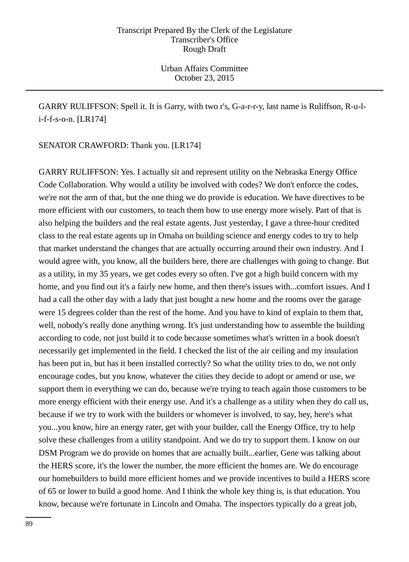GARRY RULIFFSON: Spell it. It is Garry, with two r's, G-a-r-r-y, last name is Ruliffson, R-u-li-f-f-s-o-n. [LR174]

SENATOR CRAWFORD: Thank you. [LR174]

GARRY RULIFFSON: Yes. I actually sit and represent utility on the Nebraska Energy Office Code Collaboration. Why would a utility be involved with codes? We don't enforce the codes, we're not the arm of that, but the one thing we do provide is education. We have directives to be more efficient with our customers, to teach them how to use energy more wisely. Part of that is also helping the builders and the real estate agents. Just yesterday, I gave a three-hour credited class to the real estate agents up in Omaha on building science and energy codes to try to help that market understand the changes that are actually occurring around their own industry. And I would agree with, you know, all the builders here, there are challenges with going to change. But as a utility, in my 35 years, we get codes every so often. I've got a high build concern with my home, and you find out it's a fairly new home, and then there's issues with...comfort issues. And I had a call the other day with a lady that just bought a new home and the rooms over the garage were 15 degrees colder than the rest of the home. And you have to kind of explain to them that, well, nobody's really done anything wrong. It's just understanding how to assemble the building according to code, not just build it to code because sometimes what's written in a book doesn't necessarily get implemented in the field. I checked the list of the air ceiling and my insulation has been put in, but has it been installed correctly? So what the utility tries to do, we not only encourage codes, but you know, whatever the cities they decide to adopt or amend or use, we support them in everything we can do, because we're trying to teach again those customers to be more energy efficient with their energy use. And it's a challenge as a utility when they do call us, because if we try to work with the builders or whomever is involved, to say, hey, here's what you...you know, hire an energy rater, get with your builder, call the Energy Office, try to help solve these challenges from a utility standpoint. And we do try to support them. I know on our DSM Program we do provide on homes that are actually built...earlier, Gene was talking about the HERS score, it's the lower the number, the more efficient the homes are. We do encourage our homebuilders to build more efficient homes and we provide incentives to build a HERS score of 65 or lower to build a good home. And I think the whole key thing is, is that education. You know, because we're fortunate in Lincoln and Omaha. The inspectors typically do a great job,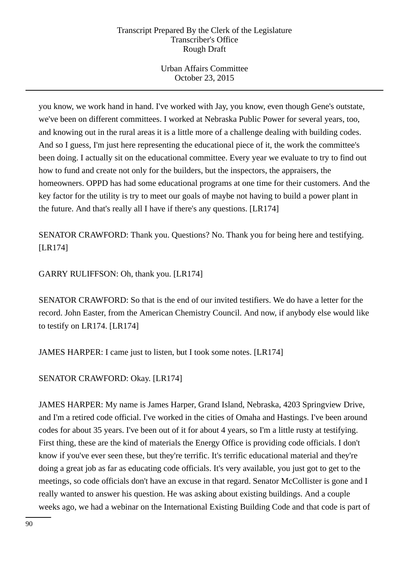Urban Affairs Committee October 23, 2015

you know, we work hand in hand. I've worked with Jay, you know, even though Gene's outstate, we've been on different committees. I worked at Nebraska Public Power for several years, too, and knowing out in the rural areas it is a little more of a challenge dealing with building codes. And so I guess, I'm just here representing the educational piece of it, the work the committee's been doing. I actually sit on the educational committee. Every year we evaluate to try to find out how to fund and create not only for the builders, but the inspectors, the appraisers, the homeowners. OPPD has had some educational programs at one time for their customers. And the key factor for the utility is try to meet our goals of maybe not having to build a power plant in the future. And that's really all I have if there's any questions. [LR174]

SENATOR CRAWFORD: Thank you. Questions? No. Thank you for being here and testifying. [LR174]

GARRY RULIFFSON: Oh, thank you. [LR174]

SENATOR CRAWFORD: So that is the end of our invited testifiers. We do have a letter for the record. John Easter, from the American Chemistry Council. And now, if anybody else would like to testify on LR174. [LR174]

JAMES HARPER: I came just to listen, but I took some notes. [LR174]

SENATOR CRAWFORD: Okay. [LR174]

JAMES HARPER: My name is James Harper, Grand Island, Nebraska, 4203 Springview Drive, and I'm a retired code official. I've worked in the cities of Omaha and Hastings. I've been around codes for about 35 years. I've been out of it for about 4 years, so I'm a little rusty at testifying. First thing, these are the kind of materials the Energy Office is providing code officials. I don't know if you've ever seen these, but they're terrific. It's terrific educational material and they're doing a great job as far as educating code officials. It's very available, you just got to get to the meetings, so code officials don't have an excuse in that regard. Senator McCollister is gone and I really wanted to answer his question. He was asking about existing buildings. And a couple weeks ago, we had a webinar on the International Existing Building Code and that code is part of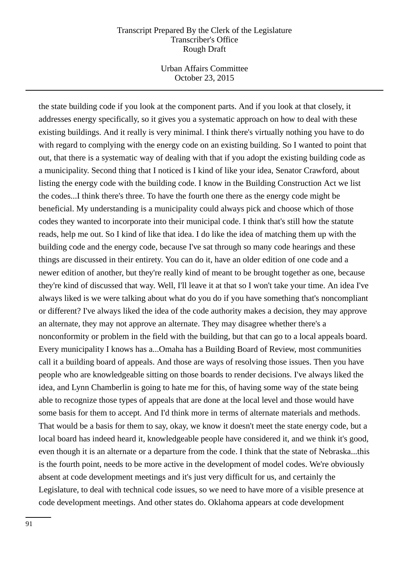Urban Affairs Committee October 23, 2015

the state building code if you look at the component parts. And if you look at that closely, it addresses energy specifically, so it gives you a systematic approach on how to deal with these existing buildings. And it really is very minimal. I think there's virtually nothing you have to do with regard to complying with the energy code on an existing building. So I wanted to point that out, that there is a systematic way of dealing with that if you adopt the existing building code as a municipality. Second thing that I noticed is I kind of like your idea, Senator Crawford, about listing the energy code with the building code. I know in the Building Construction Act we list the codes...I think there's three. To have the fourth one there as the energy code might be beneficial. My understanding is a municipality could always pick and choose which of those codes they wanted to incorporate into their municipal code. I think that's still how the statute reads, help me out. So I kind of like that idea. I do like the idea of matching them up with the building code and the energy code, because I've sat through so many code hearings and these things are discussed in their entirety. You can do it, have an older edition of one code and a newer edition of another, but they're really kind of meant to be brought together as one, because they're kind of discussed that way. Well, I'll leave it at that so I won't take your time. An idea I've always liked is we were talking about what do you do if you have something that's noncompliant or different? I've always liked the idea of the code authority makes a decision, they may approve an alternate, they may not approve an alternate. They may disagree whether there's a nonconformity or problem in the field with the building, but that can go to a local appeals board. Every municipality I knows has a...Omaha has a Building Board of Review, most communities call it a building board of appeals. And those are ways of resolving those issues. Then you have people who are knowledgeable sitting on those boards to render decisions. I've always liked the idea, and Lynn Chamberlin is going to hate me for this, of having some way of the state being able to recognize those types of appeals that are done at the local level and those would have some basis for them to accept. And I'd think more in terms of alternate materials and methods. That would be a basis for them to say, okay, we know it doesn't meet the state energy code, but a local board has indeed heard it, knowledgeable people have considered it, and we think it's good, even though it is an alternate or a departure from the code. I think that the state of Nebraska...this is the fourth point, needs to be more active in the development of model codes. We're obviously absent at code development meetings and it's just very difficult for us, and certainly the Legislature, to deal with technical code issues, so we need to have more of a visible presence at code development meetings. And other states do. Oklahoma appears at code development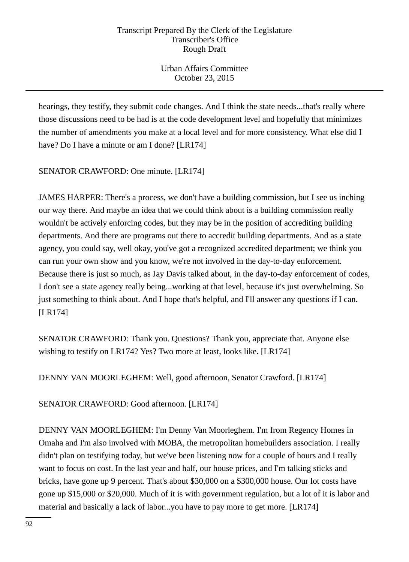Urban Affairs Committee October 23, 2015

hearings, they testify, they submit code changes. And I think the state needs...that's really where those discussions need to be had is at the code development level and hopefully that minimizes the number of amendments you make at a local level and for more consistency. What else did I have? Do I have a minute or am I done? [LR174]

SENATOR CRAWFORD: One minute. [LR174]

JAMES HARPER: There's a process, we don't have a building commission, but I see us inching our way there. And maybe an idea that we could think about is a building commission really wouldn't be actively enforcing codes, but they may be in the position of accrediting building departments. And there are programs out there to accredit building departments. And as a state agency, you could say, well okay, you've got a recognized accredited department; we think you can run your own show and you know, we're not involved in the day-to-day enforcement. Because there is just so much, as Jay Davis talked about, in the day-to-day enforcement of codes, I don't see a state agency really being...working at that level, because it's just overwhelming. So just something to think about. And I hope that's helpful, and I'll answer any questions if I can. [LR174]

SENATOR CRAWFORD: Thank you. Questions? Thank you, appreciate that. Anyone else wishing to testify on LR174? Yes? Two more at least, looks like. [LR174]

DENNY VAN MOORLEGHEM: Well, good afternoon, Senator Crawford. [LR174]

SENATOR CRAWFORD: Good afternoon. [LR174]

DENNY VAN MOORLEGHEM: I'm Denny Van Moorleghem. I'm from Regency Homes in Omaha and I'm also involved with MOBA, the metropolitan homebuilders association. I really didn't plan on testifying today, but we've been listening now for a couple of hours and I really want to focus on cost. In the last year and half, our house prices, and I'm talking sticks and bricks, have gone up 9 percent. That's about \$30,000 on a \$300,000 house. Our lot costs have gone up \$15,000 or \$20,000. Much of it is with government regulation, but a lot of it is labor and material and basically a lack of labor...you have to pay more to get more. [LR174]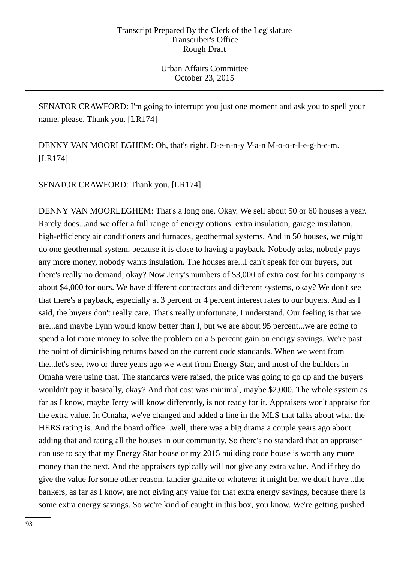SENATOR CRAWFORD: I'm going to interrupt you just one moment and ask you to spell your name, please. Thank you. [LR174]

DENNY VAN MOORLEGHEM: Oh, that's right. D-e-n-n-y V-a-n M-o-o-r-l-e-g-h-e-m. [LR174]

SENATOR CRAWFORD: Thank you. [LR174]

DENNY VAN MOORLEGHEM: That's a long one. Okay. We sell about 50 or 60 houses a year. Rarely does...and we offer a full range of energy options: extra insulation, garage insulation, high-efficiency air conditioners and furnaces, geothermal systems. And in 50 houses, we might do one geothermal system, because it is close to having a payback. Nobody asks, nobody pays any more money, nobody wants insulation. The houses are...I can't speak for our buyers, but there's really no demand, okay? Now Jerry's numbers of \$3,000 of extra cost for his company is about \$4,000 for ours. We have different contractors and different systems, okay? We don't see that there's a payback, especially at 3 percent or 4 percent interest rates to our buyers. And as I said, the buyers don't really care. That's really unfortunate, I understand. Our feeling is that we are...and maybe Lynn would know better than I, but we are about 95 percent...we are going to spend a lot more money to solve the problem on a 5 percent gain on energy savings. We're past the point of diminishing returns based on the current code standards. When we went from the...let's see, two or three years ago we went from Energy Star, and most of the builders in Omaha were using that. The standards were raised, the price was going to go up and the buyers wouldn't pay it basically, okay? And that cost was minimal, maybe \$2,000. The whole system as far as I know, maybe Jerry will know differently, is not ready for it. Appraisers won't appraise for the extra value. In Omaha, we've changed and added a line in the MLS that talks about what the HERS rating is. And the board office...well, there was a big drama a couple years ago about adding that and rating all the houses in our community. So there's no standard that an appraiser can use to say that my Energy Star house or my 2015 building code house is worth any more money than the next. And the appraisers typically will not give any extra value. And if they do give the value for some other reason, fancier granite or whatever it might be, we don't have...the bankers, as far as I know, are not giving any value for that extra energy savings, because there is some extra energy savings. So we're kind of caught in this box, you know. We're getting pushed